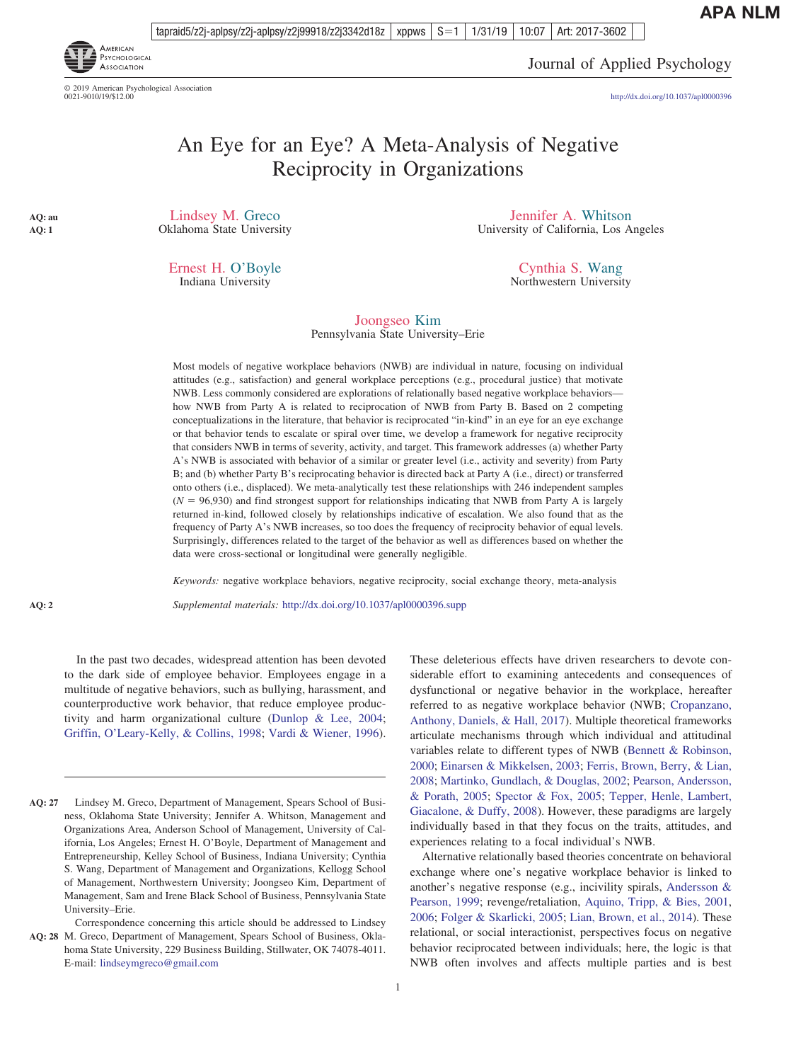**APA NLM**

tapraid5/z2j-aplpsy/z2j-aplpsy/z2j99918/z2j3342d18z | xppws  $\mid S=1$ 1/31/19 10:07 Art: 2017-3602



© 2019 American Psychological Association<br>0021-9010/19/\$12.00

Journal of Applied Psychology

http://dx.doi.org[/10.1037/apl0000396](http://dx.doi.org/10.1037/apl0000396)

# An Eye for an Eye? A Meta-Analysis of Negative Reciprocity in Organizations

Lindsey M. Greco Oklahoma State University

> Ernest H. O'Boyle Indiana University

Jennifer A. Whitson University of California, Los Angeles

> Cynthia S. Wang Northwestern University

Joongseo Kim Pennsylvania State University–Erie

Most models of negative workplace behaviors (NWB) are individual in nature, focusing on individual attitudes (e.g., satisfaction) and general workplace perceptions (e.g., procedural justice) that motivate NWB. Less commonly considered are explorations of relationally based negative workplace behaviors how NWB from Party A is related to reciprocation of NWB from Party B. Based on 2 competing conceptualizations in the literature, that behavior is reciprocated "in-kind" in an eye for an eye exchange or that behavior tends to escalate or spiral over time, we develop a framework for negative reciprocity that considers NWB in terms of severity, activity, and target. This framework addresses (a) whether Party A's NWB is associated with behavior of a similar or greater level (i.e., activity and severity) from Party B; and (b) whether Party B's reciprocating behavior is directed back at Party A (i.e., direct) or transferred onto others (i.e., displaced). We meta-analytically test these relationships with 246 independent samples  $(N = 96,930)$  and find strongest support for relationships indicating that NWB from Party A is largely returned in-kind, followed closely by relationships indicative of escalation. We also found that as the frequency of Party A's NWB increases, so too does the frequency of reciprocity behavior of equal levels. Surprisingly, differences related to the target of the behavior as well as differences based on whether the data were cross-sectional or longitudinal were generally negligible.

*Keywords:* negative workplace behaviors, negative reciprocity, social exchange theory, meta-analysis

*Supplemental materials:* http://dx.doi.org/10.1037/apl0000396.supp

In the past two decades, widespread attention has been devoted to the dark side of employee behavior. Employees engage in a multitude of negative behaviors, such as bullying, harassment, and counterproductive work behavior, that reduce employee productivity and harm organizational culture [\(Dunlop & Lee, 2004;](#page-19-0) [Griffin, O'Leary-Kelly, & Collins, 1998;](#page-21-0) [Vardi & Wiener, 1996\)](#page-26-0).

These deleterious effects have driven researchers to devote considerable effort to examining antecedents and consequences of dysfunctional or negative behavior in the workplace, hereafter referred to as negative workplace behavior (NWB; [Cropanzano,](#page-19-0) [Anthony, Daniels, & Hall, 2017\)](#page-19-0). Multiple theoretical frameworks articulate mechanisms through which individual and attitudinal variables relate to different types of NWB [\(Bennett & Robinson,](#page-18-0) [2000;](#page-18-0) [Einarsen & Mikkelsen, 2003;](#page-19-0) [Ferris, Brown, Berry, & Lian,](#page-20-0) [2008;](#page-20-0) [Martinko, Gundlach, & Douglas, 2002;](#page-23-0) [Pearson, Andersson,](#page-24-0) [& Porath, 2005;](#page-24-0) [Spector & Fox, 2005;](#page-25-0) [Tepper, Henle, Lambert,](#page-25-0) [Giacalone, & Duffy, 2008\)](#page-25-0). However, these paradigms are largely individually based in that they focus on the traits, attitudes, and experiences relating to a focal individual's NWB.

Alternative relationally based theories concentrate on behavioral exchange where one's negative workplace behavior is linked to another's negative response (e.g., incivility spirals, [Andersson &](#page-17-0) [Pearson, 1999;](#page-17-0) revenge/retaliation, [Aquino, Tripp, & Bies, 2001,](#page-17-0) [2006;](#page-17-0) [Folger & Skarlicki, 2005;](#page-20-0) [Lian, Brown, et al., 2014\)](#page-22-0). These relational, or social interactionist, perspectives focus on negative behavior reciprocated between individuals; here, the logic is that NWB often involves and affects multiple parties and is best

 $\frac{1}{2}$ **AQ: 2**

**AQ: au AQ: 1**

Lindsey M. Greco, Department of Management, Spears School of Business, Oklahoma State University; Jennifer A. Whitson, Management and Organizations Area, Anderson School of Management, University of California, Los Angeles; Ernest H. O'Boyle, Department of Management and Entrepreneurship, Kelley School of Business, Indiana University; Cynthia S. Wang, Department of Management and Organizations, Kellogg School of Management, Northwestern University; Joongseo Kim, Department of Management, Sam and Irene Black School of Business, Pennsylvania State University–Erie. **AQ: 27**

Correspondence concerning this article should be addressed to Lindsey AQ: 28 M. Greco, Department of Management, Spears School of Business, Oklahoma State University, 229 Business Building, Stillwater, OK 74078-4011. E-mail: [lindseymgreco@gmail.com](mailto:lindseymgreco@gmail.com)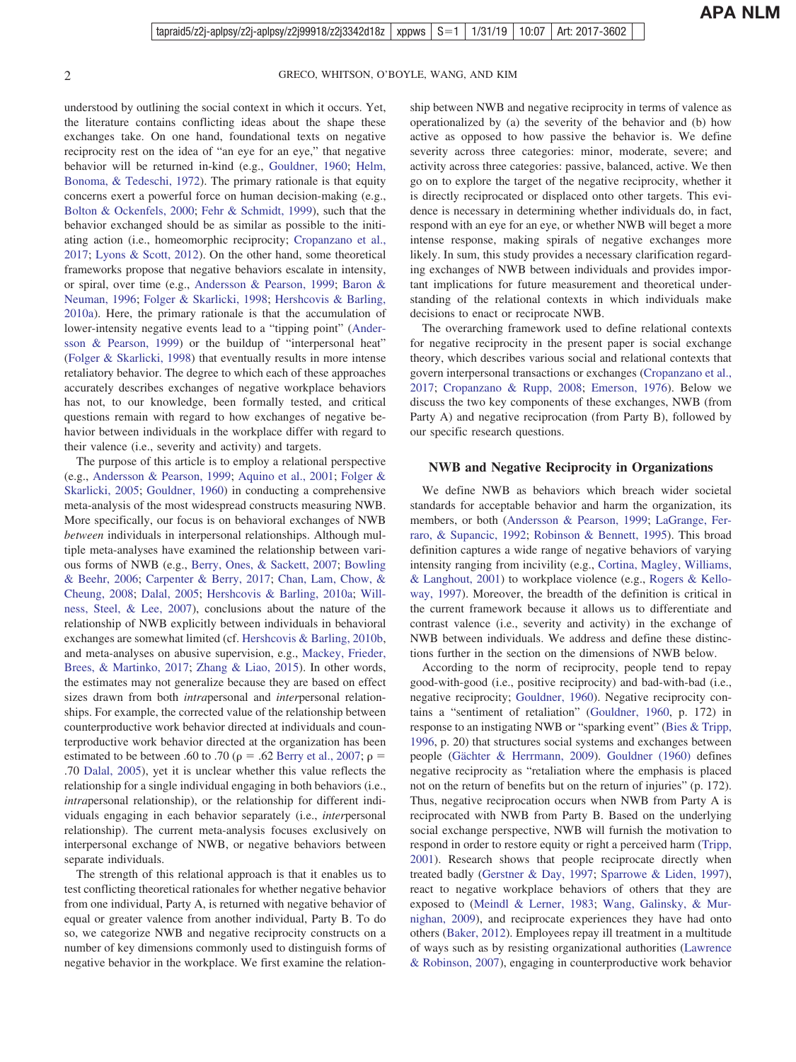understood by outlining the social context in which it occurs. Yet, the literature contains conflicting ideas about the shape these exchanges take. On one hand, foundational texts on negative reciprocity rest on the idea of "an eye for an eye," that negative behavior will be returned in-kind (e.g., [Gouldner, 1960;](#page-20-0) [Helm,](#page-21-0) [Bonoma, & Tedeschi, 1972\)](#page-21-0). The primary rationale is that equity concerns exert a powerful force on human decision-making (e.g., [Bolton & Ockenfels, 2000;](#page-18-0) [Fehr & Schmidt, 1999\)](#page-20-0), such that the behavior exchanged should be as similar as possible to the initiating action (i.e., homeomorphic reciprocity; [Cropanzano et al.,](#page-19-0) [2017;](#page-19-0) [Lyons & Scott, 2012\)](#page-23-0). On the other hand, some theoretical frameworks propose that negative behaviors escalate in intensity, or spiral, over time (e.g., [Andersson & Pearson, 1999;](#page-17-0) [Baron &](#page-18-0) [Neuman, 1996;](#page-18-0) [Folger & Skarlicki, 1998;](#page-20-0) [Hershcovis & Barling,](#page-21-0) [2010a\)](#page-21-0). Here, the primary rationale is that the accumulation of lower-intensity negative events lead to a "tipping point" [\(Ander](#page-17-0)[sson & Pearson, 1999\)](#page-17-0) or the buildup of "interpersonal heat" [\(Folger & Skarlicki, 1998\)](#page-20-0) that eventually results in more intense retaliatory behavior. The degree to which each of these approaches accurately describes exchanges of negative workplace behaviors has not, to our knowledge, been formally tested, and critical questions remain with regard to how exchanges of negative behavior between individuals in the workplace differ with regard to their valence (i.e., severity and activity) and targets.

The purpose of this article is to employ a relational perspective (e.g., [Andersson & Pearson, 1999;](#page-17-0) [Aquino et al., 2001;](#page-17-0) [Folger &](#page-20-0) [Skarlicki, 2005;](#page-20-0) [Gouldner, 1960\)](#page-20-0) in conducting a comprehensive meta-analysis of the most widespread constructs measuring NWB. More specifically, our focus is on behavioral exchanges of NWB *between* individuals in interpersonal relationships. Although multiple meta-analyses have examined the relationship between various forms of NWB (e.g., [Berry, Ones, & Sackett, 2007;](#page-18-0) [Bowling](#page-18-0) [& Beehr, 2006;](#page-18-0) [Carpenter & Berry, 2017;](#page-19-0) [Chan, Lam, Chow, &](#page-19-0) [Cheung, 2008;](#page-19-0) [Dalal, 2005;](#page-19-0) [Hershcovis & Barling, 2010a;](#page-21-0) [Will](#page-26-0)[ness, Steel, & Lee, 2007\)](#page-26-0), conclusions about the nature of the relationship of NWB explicitly between individuals in behavioral exchanges are somewhat limited (cf. [Hershcovis & Barling, 2010b,](#page-21-0) and meta-analyses on abusive supervision, e.g., [Mackey, Frieder,](#page-23-0) [Brees, & Martinko, 2017;](#page-23-0) [Zhang & Liao, 2015\)](#page-26-0). In other words, the estimates may not generalize because they are based on effect sizes drawn from both *intra*personal and *inter*personal relationships. For example, the corrected value of the relationship between counterproductive work behavior directed at individuals and counterproductive work behavior directed at the organization has been estimated to be between .60 to .70 ( $\rho = .62$  [Berry et al., 2007;](#page-18-0)  $\rho =$ .70 [Dalal, 2005\)](#page-19-0), yet it is unclear whether this value reflects the relationship for a single individual engaging in both behaviors (i.e., *intra*personal relationship), or the relationship for different individuals engaging in each behavior separately (i.e., *inter*personal relationship). The current meta-analysis focuses exclusively on interpersonal exchange of NWB, or negative behaviors between separate individuals.

The strength of this relational approach is that it enables us to test conflicting theoretical rationales for whether negative behavior from one individual, Party A, is returned with negative behavior of equal or greater valence from another individual, Party B. To do so, we categorize NWB and negative reciprocity constructs on a number of key dimensions commonly used to distinguish forms of negative behavior in the workplace. We first examine the relationship between NWB and negative reciprocity in terms of valence as operationalized by (a) the severity of the behavior and (b) how active as opposed to how passive the behavior is. We define severity across three categories: minor, moderate, severe; and activity across three categories: passive, balanced, active. We then go on to explore the target of the negative reciprocity, whether it is directly reciprocated or displaced onto other targets. This evidence is necessary in determining whether individuals do, in fact, respond with an eye for an eye, or whether NWB will beget a more intense response, making spirals of negative exchanges more likely. In sum, this study provides a necessary clarification regarding exchanges of NWB between individuals and provides important implications for future measurement and theoretical understanding of the relational contexts in which individuals make decisions to enact or reciprocate NWB.

The overarching framework used to define relational contexts for negative reciprocity in the present paper is social exchange theory, which describes various social and relational contexts that govern interpersonal transactions or exchanges [\(Cropanzano et al.,](#page-19-0) [2017;](#page-19-0) [Cropanzano & Rupp, 2008;](#page-19-0) [Emerson, 1976\)](#page-20-0). Below we discuss the two key components of these exchanges, NWB (from Party A) and negative reciprocation (from Party B), followed by our specific research questions.

#### **NWB and Negative Reciprocity in Organizations**

We define NWB as behaviors which breach wider societal standards for acceptable behavior and harm the organization, its members, or both [\(Andersson & Pearson, 1999;](#page-17-0) [LaGrange, Fer](#page-22-0)[raro, & Supancic, 1992;](#page-22-0) [Robinson & Bennett, 1995\)](#page-24-0). This broad definition captures a wide range of negative behaviors of varying intensity ranging from incivility (e.g., [Cortina, Magley, Williams,](#page-19-0) [& Langhout, 2001\)](#page-19-0) to workplace violence (e.g., [Rogers & Kello](#page-24-0)[way, 1997\)](#page-24-0). Moreover, the breadth of the definition is critical in the current framework because it allows us to differentiate and contrast valence (i.e., severity and activity) in the exchange of NWB between individuals. We address and define these distinctions further in the section on the dimensions of NWB below.

According to the norm of reciprocity, people tend to repay good-with-good (i.e., positive reciprocity) and bad-with-bad (i.e., negative reciprocity; [Gouldner, 1960\)](#page-20-0). Negative reciprocity contains a "sentiment of retaliation" [\(Gouldner, 1960,](#page-20-0) p. 172) in response to an instigating NWB or "sparking event" [\(Bies & Tripp,](#page-18-0) [1996,](#page-18-0) p. 20) that structures social systems and exchanges between people [\(Gächter & Herrmann, 2009\)](#page-20-0). [Gouldner \(1960\)](#page-20-0) defines negative reciprocity as "retaliation where the emphasis is placed not on the return of benefits but on the return of injuries" (p. 172). Thus, negative reciprocation occurs when NWB from Party A is reciprocated with NWB from Party B. Based on the underlying social exchange perspective, NWB will furnish the motivation to respond in order to restore equity or right a perceived harm [\(Tripp,](#page-26-0) [2001\)](#page-26-0). Research shows that people reciprocate directly when treated badly [\(Gerstner & Day, 1997;](#page-20-0) [Sparrowe & Liden, 1997\)](#page-25-0), react to negative workplace behaviors of others that they are exposed to [\(Meindl & Lerner, 1983;](#page-23-0) [Wang, Galinsky, & Mur](#page-26-0)[nighan, 2009\)](#page-26-0), and reciprocate experiences they have had onto others [\(Baker, 2012\)](#page-17-0). Employees repay ill treatment in a multitude of ways such as by resisting organizational authorities [\(Lawrence](#page-22-0) [& Robinson, 2007\)](#page-22-0), engaging in counterproductive work behavior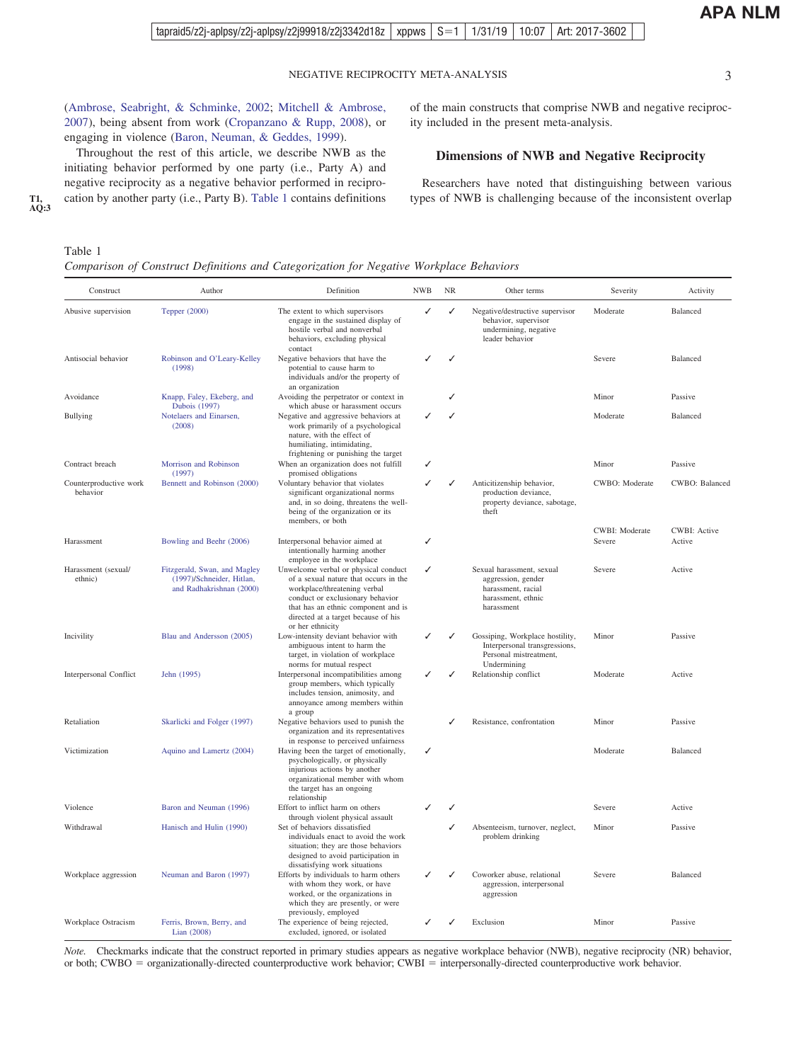<span id="page-2-0"></span>[\(Ambrose, Seabright, & Schminke, 2002;](#page-17-0) [Mitchell & Ambrose,](#page-23-0) [2007\)](#page-23-0), being absent from work [\(Cropanzano & Rupp, 2008\)](#page-19-0), or engaging in violence [\(Baron, Neuman, & Geddes, 1999\)](#page-18-0).

Throughout the rest of this article, we describe NWB as the initiating behavior performed by one party (i.e., Party A) and negative reciprocity as a negative behavior performed in reciprocation by another party (i.e., Party B). Table 1 contains definitions

## Table 1

*Comparison of Construct Definitions and Categorization for Negative Workplace Behaviors*

| Construct                          | Author                                                                                | Definition                                                                                                                                                                                                                                          | <b>NWB</b> | NR | Other terms                                                                                               | Severity                 | Activity                      |
|------------------------------------|---------------------------------------------------------------------------------------|-----------------------------------------------------------------------------------------------------------------------------------------------------------------------------------------------------------------------------------------------------|------------|----|-----------------------------------------------------------------------------------------------------------|--------------------------|-------------------------------|
| Abusive supervision                | Tepper (2000)                                                                         | The extent to which supervisors<br>engage in the sustained display of<br>hostile verbal and nonverbal<br>behaviors, excluding physical<br>contact                                                                                                   |            | ✓  | Negative/destructive supervisor<br>behavior, supervisor<br>undermining, negative<br>leader behavior       | Moderate                 | Balanced                      |
| Antisocial behavior                | Robinson and O'Leary-Kelley<br>(1998)                                                 | Negative behaviors that have the<br>potential to cause harm to<br>individuals and/or the property of<br>an organization                                                                                                                             |            | ✓  |                                                                                                           | Severe                   | Balanced                      |
| Avoidance                          | Knapp, Faley, Ekeberg, and<br><b>Dubois</b> (1997)                                    | Avoiding the perpetrator or context in<br>which abuse or harassment occurs                                                                                                                                                                          |            |    |                                                                                                           | Minor                    | Passive                       |
| <b>Bullying</b>                    | Notelaers and Einarsen,<br>(2008)                                                     | Negative and aggressive behaviors at<br>work primarily of a psychological<br>nature, with the effect of<br>humiliating, intimidating,<br>frightening or punishing the target                                                                        |            |    |                                                                                                           | Moderate                 | Balanced                      |
| Contract breach                    | Morrison and Robinson<br>(1997)                                                       | When an organization does not fulfill<br>promised obligations                                                                                                                                                                                       |            |    |                                                                                                           | Minor                    | Passive                       |
| Counterproductive work<br>behavior | Bennett and Robinson (2000)                                                           | Voluntary behavior that violates<br>significant organizational norms<br>and, in so doing, threatens the well-<br>being of the organization or its<br>members, or both                                                                               |            | ✓  | Anticitizenship behavior,<br>production deviance,<br>property deviance, sabotage,<br>theft                | CWBO: Moderate           | CWBO: Balanced                |
| Harassment                         | Bowling and Beehr (2006)                                                              | Interpersonal behavior aimed at                                                                                                                                                                                                                     |            |    |                                                                                                           | CWBI: Moderate<br>Severe | <b>CWBI: Active</b><br>Active |
|                                    |                                                                                       | intentionally harming another<br>employee in the workplace                                                                                                                                                                                          |            |    |                                                                                                           |                          |                               |
| Harassment (sexual/<br>ethnic)     | Fitzgerald, Swan, and Magley<br>(1997)/Schneider, Hitlan,<br>and Radhakrishnan (2000) | Unwelcome verbal or physical conduct<br>of a sexual nature that occurs in the<br>workplace/threatening verbal<br>conduct or exclusionary behavior<br>that has an ethnic component and is<br>directed at a target because of his<br>or her ethnicity |            |    | Sexual harassment, sexual<br>aggression, gender<br>harassment, racial<br>harassment, ethnic<br>harassment | Severe                   | Active                        |
| Incivility                         | Blau and Andersson (2005)                                                             | Low-intensity deviant behavior with<br>ambiguous intent to harm the<br>target, in violation of workplace<br>norms for mutual respect                                                                                                                |            |    | Gossiping, Workplace hostility,<br>Interpersonal transgressions,<br>Personal mistreatment,<br>Undermining | Minor                    | Passive                       |
| Interpersonal Conflict             | Jehn (1995)                                                                           | Interpersonal incompatibilities among<br>group members, which typically<br>includes tension, animosity, and<br>annoyance among members within<br>a group                                                                                            |            |    | Relationship conflict                                                                                     | Moderate                 | Active                        |
| Retaliation                        | Skarlicki and Folger (1997)                                                           | Negative behaviors used to punish the<br>organization and its representatives<br>in response to perceived unfairness                                                                                                                                |            | ℐ  | Resistance, confrontation                                                                                 | Minor                    | Passive                       |
| Victimization                      | Aquino and Lamertz (2004)                                                             | Having been the target of emotionally,<br>psychologically, or physically<br>injurious actions by another<br>organizational member with whom<br>the target has an ongoing<br>relationship                                                            |            |    |                                                                                                           | Moderate                 | Balanced                      |
| Violence                           | Baron and Neuman (1996)                                                               | Effort to inflict harm on others<br>through violent physical assault                                                                                                                                                                                |            | J  |                                                                                                           | Severe                   | Active                        |
| Withdrawal                         | Hanisch and Hulin (1990)                                                              | Set of behaviors dissatisfied<br>individuals enact to avoid the work<br>situation; they are those behaviors<br>designed to avoid participation in<br>dissatisfying work situations                                                                  |            | ✓  | Absenteeism, turnover, neglect,<br>problem drinking                                                       | Minor                    | Passive                       |
| Workplace aggression               | Neuman and Baron (1997)                                                               | Efforts by individuals to harm others<br>with whom they work, or have<br>worked, or the organizations in<br>which they are presently, or were<br>previously, employed                                                                               |            |    | Coworker abuse, relational<br>aggression, interpersonal<br>aggression                                     | Severe                   | Balanced                      |
| Workplace Ostracism                | Ferris, Brown, Berry, and<br>Lian (2008)                                              | The experience of being rejected,<br>excluded, ignored, or isolated                                                                                                                                                                                 |            |    | Exclusion                                                                                                 | Minor                    | Passive                       |

*Note.* Checkmarks indicate that the construct reported in primary studies appears as negative workplace behavior (NWB), negative reciprocity (NR) behavior, or both; CWBO = organizationally-directed counterproductive work behavior; CWBI = interpersonally-directed counterproductive work behavior.

of the main constructs that comprise NWB and negative reciproc-

**Dimensions of NWB and Negative Reciprocity**

Researchers have noted that distinguishing between various types of NWB is challenging because of the inconsistent overlap

ity included in the present meta-analysis.

**T1, AQ:3**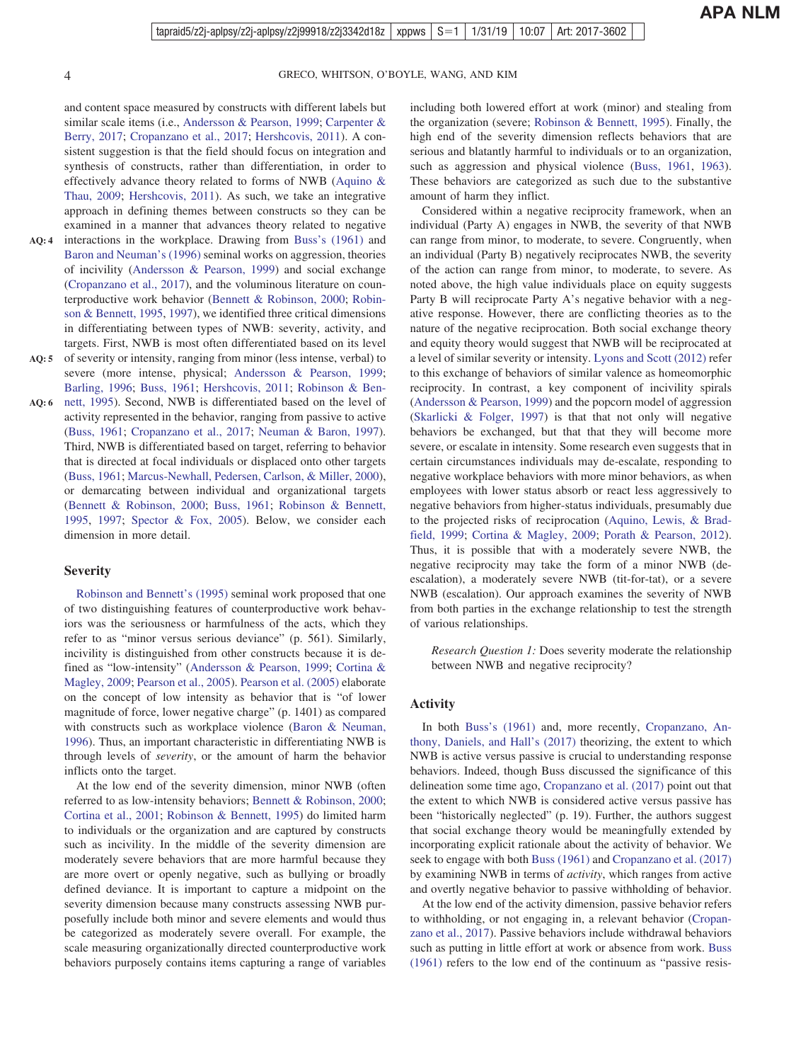and content space measured by constructs with different labels but similar scale items (i.e., [Andersson & Pearson, 1999;](#page-17-0) [Carpenter &](#page-19-0) [Berry, 2017;](#page-19-0) [Cropanzano et al., 2017;](#page-19-0) [Hershcovis, 2011\)](#page-21-0). A consistent suggestion is that the field should focus on integration and synthesis of constructs, rather than differentiation, in order to effectively advance theory related to forms of NWB [\(Aquino &](#page-17-0) [Thau, 2009;](#page-17-0) [Hershcovis, 2011\)](#page-21-0). As such, we take an integrative approach in defining themes between constructs so they can be examined in a manner that advances theory related to negative

- interactions in the workplace. Drawing from [Buss's \(1961\)](#page-19-0) and [Baron and Neuman's \(1996\)](#page-18-0) seminal works on aggression, theories of incivility [\(Andersson & Pearson, 1999\)](#page-17-0) and social exchange [\(Cropanzano et al., 2017\)](#page-19-0), and the voluminous literature on counterproductive work behavior [\(Bennett & Robinson, 2000;](#page-18-0) [Robin](#page-24-0)[son & Bennett, 1995,](#page-24-0) [1997\)](#page-24-0), we identified three critical dimensions in differentiating between types of NWB: severity, activity, and targets. First, NWB is most often differentiated based on its level **AQ: 4**
- AQ: 5 of severity or intensity, ranging from minor (less intense, verbal) to severe (more intense, physical; [Andersson & Pearson, 1999;](#page-17-0) [Barling, 1996;](#page-17-0) [Buss, 1961;](#page-19-0) [Hershcovis, 2011;](#page-21-0) [Robinson & Ben-](#page-24-0)
- AQ: 6 [nett, 1995\)](#page-24-0). Second, NWB is differentiated based on the level of activity represented in the behavior, ranging from passive to active [\(Buss, 1961;](#page-19-0) [Cropanzano et al., 2017;](#page-19-0) [Neuman & Baron, 1997\)](#page-23-0). Third, NWB is differentiated based on target, referring to behavior that is directed at focal individuals or displaced onto other targets [\(Buss, 1961;](#page-19-0) [Marcus-Newhall, Pedersen, Carlson, & Miller, 2000\)](#page-23-0), or demarcating between individual and organizational targets [\(Bennett & Robinson, 2000;](#page-18-0) [Buss, 1961;](#page-19-0) [Robinson & Bennett,](#page-24-0) [1995,](#page-24-0) [1997;](#page-24-0) [Spector & Fox, 2005\)](#page-25-0). Below, we consider each dimension in more detail.  $\frac{1}{2}$

#### **Severity**

[Robinson and Bennett's \(1995\)](#page-24-0) seminal work proposed that one of two distinguishing features of counterproductive work behaviors was the seriousness or harmfulness of the acts, which they refer to as "minor versus serious deviance" (p. 561). Similarly, incivility is distinguished from other constructs because it is defined as "low-intensity" [\(Andersson & Pearson, 1999;](#page-17-0) [Cortina &](#page-19-0) [Magley, 2009;](#page-19-0) [Pearson et al., 2005\)](#page-24-0). [Pearson et al. \(2005\)](#page-24-0) elaborate on the concept of low intensity as behavior that is "of lower magnitude of force, lower negative charge" (p. 1401) as compared with constructs such as workplace violence [\(Baron & Neuman,](#page-18-0) [1996\)](#page-18-0). Thus, an important characteristic in differentiating NWB is through levels of *severity*, or the amount of harm the behavior inflicts onto the target.

At the low end of the severity dimension, minor NWB (often referred to as low-intensity behaviors; [Bennett & Robinson, 2000;](#page-18-0) [Cortina et al., 2001;](#page-19-0) [Robinson & Bennett, 1995\)](#page-24-0) do limited harm to individuals or the organization and are captured by constructs such as incivility. In the middle of the severity dimension are moderately severe behaviors that are more harmful because they are more overt or openly negative, such as bullying or broadly defined deviance. It is important to capture a midpoint on the severity dimension because many constructs assessing NWB purposefully include both minor and severe elements and would thus be categorized as moderately severe overall. For example, the scale measuring organizationally directed counterproductive work behaviors purposely contains items capturing a range of variables including both lowered effort at work (minor) and stealing from the organization (severe; [Robinson & Bennett, 1995\)](#page-24-0). Finally, the high end of the severity dimension reflects behaviors that are serious and blatantly harmful to individuals or to an organization, such as aggression and physical violence [\(Buss, 1961,](#page-19-0) [1963\)](#page-19-0). These behaviors are categorized as such due to the substantive amount of harm they inflict.

Considered within a negative reciprocity framework, when an individual (Party A) engages in NWB, the severity of that NWB can range from minor, to moderate, to severe. Congruently, when an individual (Party B) negatively reciprocates NWB, the severity of the action can range from minor, to moderate, to severe. As noted above, the high value individuals place on equity suggests Party B will reciprocate Party A's negative behavior with a negative response. However, there are conflicting theories as to the nature of the negative reciprocation. Both social exchange theory and equity theory would suggest that NWB will be reciprocated at a level of similar severity or intensity. [Lyons and Scott \(2012\)](#page-23-0) refer to this exchange of behaviors of similar valence as homeomorphic reciprocity. In contrast, a key component of incivility spirals [\(Andersson & Pearson, 1999\)](#page-17-0) and the popcorn model of aggression [\(Skarlicki & Folger, 1997\)](#page-25-0) is that that not only will negative behaviors be exchanged, but that that they will become more severe, or escalate in intensity. Some research even suggests that in certain circumstances individuals may de-escalate, responding to negative workplace behaviors with more minor behaviors, as when employees with lower status absorb or react less aggressively to negative behaviors from higher-status individuals, presumably due to the projected risks of reciprocation [\(Aquino, Lewis, & Brad](#page-17-0)[field, 1999;](#page-17-0) [Cortina & Magley, 2009;](#page-19-0) [Porath & Pearson, 2012\)](#page-24-0). Thus, it is possible that with a moderately severe NWB, the negative reciprocity may take the form of a minor NWB (deescalation), a moderately severe NWB (tit-for-tat), or a severe NWB (escalation). Our approach examines the severity of NWB from both parties in the exchange relationship to test the strength of various relationships.

*Research Question 1:* Does severity moderate the relationship between NWB and negative reciprocity?

#### **Activity**

In both [Buss's \(1961\)](#page-19-0) and, more recently, [Cropanzano, An](#page-19-0)[thony, Daniels, and Hall's \(2017\)](#page-19-0) theorizing, the extent to which NWB is active versus passive is crucial to understanding response behaviors. Indeed, though Buss discussed the significance of this delineation some time ago, [Cropanzano et al. \(2017\)](#page-19-0) point out that the extent to which NWB is considered active versus passive has been "historically neglected" (p. 19). Further, the authors suggest that social exchange theory would be meaningfully extended by incorporating explicit rationale about the activity of behavior. We seek to engage with both [Buss \(1961\)](#page-19-0) and [Cropanzano et al. \(2017\)](#page-19-0) by examining NWB in terms of *activity*, which ranges from active and overtly negative behavior to passive withholding of behavior.

At the low end of the activity dimension, passive behavior refers to withholding, or not engaging in, a relevant behavior [\(Cropan](#page-19-0)[zano et al., 2017\)](#page-19-0). Passive behaviors include withdrawal behaviors such as putting in little effort at work or absence from work. [Buss](#page-19-0) [\(1961\)](#page-19-0) refers to the low end of the continuum as "passive resis-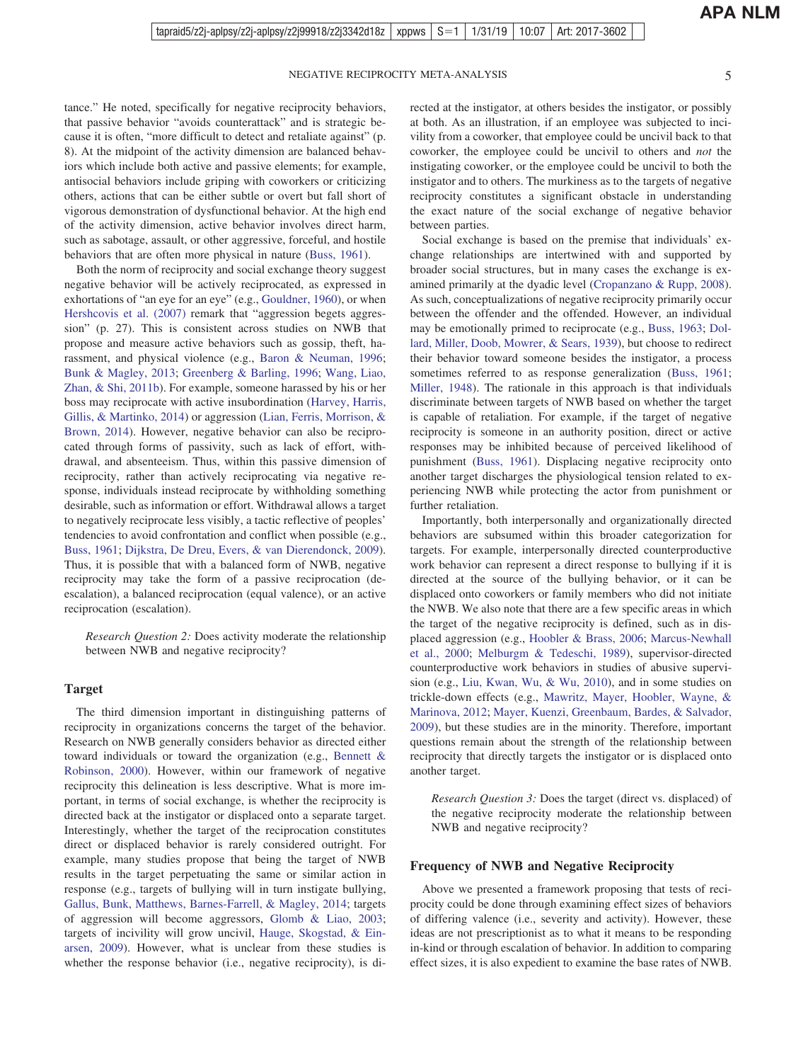tance." He noted, specifically for negative reciprocity behaviors, that passive behavior "avoids counterattack" and is strategic because it is often, "more difficult to detect and retaliate against" (p. 8). At the midpoint of the activity dimension are balanced behaviors which include both active and passive elements; for example, antisocial behaviors include griping with coworkers or criticizing others, actions that can be either subtle or overt but fall short of vigorous demonstration of dysfunctional behavior. At the high end of the activity dimension, active behavior involves direct harm, such as sabotage, assault, or other aggressive, forceful, and hostile behaviors that are often more physical in nature [\(Buss, 1961\)](#page-19-0).

Both the norm of reciprocity and social exchange theory suggest negative behavior will be actively reciprocated, as expressed in exhortations of "an eye for an eye" (e.g., [Gouldner, 1960\)](#page-20-0), or when [Hershcovis et al. \(2007\)](#page-21-0) remark that "aggression begets aggression" (p. 27). This is consistent across studies on NWB that propose and measure active behaviors such as gossip, theft, harassment, and physical violence (e.g., [Baron & Neuman, 1996;](#page-18-0) [Bunk & Magley, 2013;](#page-18-0) [Greenberg & Barling, 1996;](#page-20-0) [Wang, Liao,](#page-26-0) [Zhan, & Shi, 2011b\)](#page-26-0). For example, someone harassed by his or her boss may reciprocate with active insubordination [\(Harvey, Harris,](#page-21-0) [Gillis, & Martinko, 2014\)](#page-21-0) or aggression [\(Lian, Ferris, Morrison, &](#page-22-0) [Brown, 2014\)](#page-22-0). However, negative behavior can also be reciprocated through forms of passivity, such as lack of effort, withdrawal, and absenteeism. Thus, within this passive dimension of reciprocity, rather than actively reciprocating via negative response, individuals instead reciprocate by withholding something desirable, such as information or effort. Withdrawal allows a target to negatively reciprocate less visibly, a tactic reflective of peoples' tendencies to avoid confrontation and conflict when possible (e.g., [Buss, 1961;](#page-19-0) [Dijkstra, De Dreu, Evers, & van Dierendonck, 2009\)](#page-19-0). Thus, it is possible that with a balanced form of NWB, negative reciprocity may take the form of a passive reciprocation (deescalation), a balanced reciprocation (equal valence), or an active reciprocation (escalation).

*Research Question 2:* Does activity moderate the relationship between NWB and negative reciprocity?

#### **Target**

The third dimension important in distinguishing patterns of reciprocity in organizations concerns the target of the behavior. Research on NWB generally considers behavior as directed either toward individuals or toward the organization (e.g., [Bennett &](#page-18-0) [Robinson, 2000\)](#page-18-0). However, within our framework of negative reciprocity this delineation is less descriptive. What is more important, in terms of social exchange, is whether the reciprocity is directed back at the instigator or displaced onto a separate target. Interestingly, whether the target of the reciprocation constitutes direct or displaced behavior is rarely considered outright. For example, many studies propose that being the target of NWB results in the target perpetuating the same or similar action in response (e.g., targets of bullying will in turn instigate bullying, [Gallus, Bunk, Matthews, Barnes-Farrell, & Magley, 2014;](#page-20-0) targets of aggression will become aggressors, [Glomb & Liao, 2003;](#page-20-0) targets of incivility will grow uncivil, [Hauge, Skogstad, & Ein](#page-21-0)[arsen, 2009\)](#page-21-0). However, what is unclear from these studies is whether the response behavior (i.e., negative reciprocity), is di-

rected at the instigator, at others besides the instigator, or possibly at both. As an illustration, if an employee was subjected to incivility from a coworker, that employee could be uncivil back to that coworker, the employee could be uncivil to others and *not* the instigating coworker, or the employee could be uncivil to both the instigator and to others. The murkiness as to the targets of negative reciprocity constitutes a significant obstacle in understanding the exact nature of the social exchange of negative behavior between parties.

Social exchange is based on the premise that individuals' exchange relationships are intertwined with and supported by broader social structures, but in many cases the exchange is examined primarily at the dyadic level [\(Cropanzano & Rupp, 2008\)](#page-19-0). As such, conceptualizations of negative reciprocity primarily occur between the offender and the offended. However, an individual may be emotionally primed to reciprocate (e.g., [Buss, 1963;](#page-19-0) [Dol](#page-19-0)[lard, Miller, Doob, Mowrer, & Sears, 1939\)](#page-19-0), but choose to redirect their behavior toward someone besides the instigator, a process sometimes referred to as response generalization [\(Buss, 1961;](#page-19-0) [Miller, 1948\)](#page-23-0). The rationale in this approach is that individuals discriminate between targets of NWB based on whether the target is capable of retaliation. For example, if the target of negative reciprocity is someone in an authority position, direct or active responses may be inhibited because of perceived likelihood of punishment [\(Buss, 1961\)](#page-19-0). Displacing negative reciprocity onto another target discharges the physiological tension related to experiencing NWB while protecting the actor from punishment or further retaliation.

Importantly, both interpersonally and organizationally directed behaviors are subsumed within this broader categorization for targets. For example, interpersonally directed counterproductive work behavior can represent a direct response to bullying if it is directed at the source of the bullying behavior, or it can be displaced onto coworkers or family members who did not initiate the NWB. We also note that there are a few specific areas in which the target of the negative reciprocity is defined, such as in displaced aggression (e.g., [Hoobler & Brass, 2006;](#page-21-0) [Marcus-Newhall](#page-23-0) [et al., 2000;](#page-23-0) [Melburgm & Tedeschi, 1989\)](#page-23-0), supervisor-directed counterproductive work behaviors in studies of abusive supervision (e.g., [Liu, Kwan, Wu, & Wu, 2010\)](#page-22-0), and in some studies on trickle-down effects (e.g., [Mawritz, Mayer, Hoobler, Wayne, &](#page-23-0) [Marinova, 2012;](#page-23-0) [Mayer, Kuenzi, Greenbaum, Bardes, & Salvador,](#page-23-0) [2009\)](#page-23-0), but these studies are in the minority. Therefore, important questions remain about the strength of the relationship between reciprocity that directly targets the instigator or is displaced onto another target.

*Research Question 3:* Does the target (direct vs. displaced) of the negative reciprocity moderate the relationship between NWB and negative reciprocity?

#### **Frequency of NWB and Negative Reciprocity**

Above we presented a framework proposing that tests of reciprocity could be done through examining effect sizes of behaviors of differing valence (i.e., severity and activity). However, these ideas are not prescriptionist as to what it means to be responding in-kind or through escalation of behavior. In addition to comparing effect sizes, it is also expedient to examine the base rates of NWB.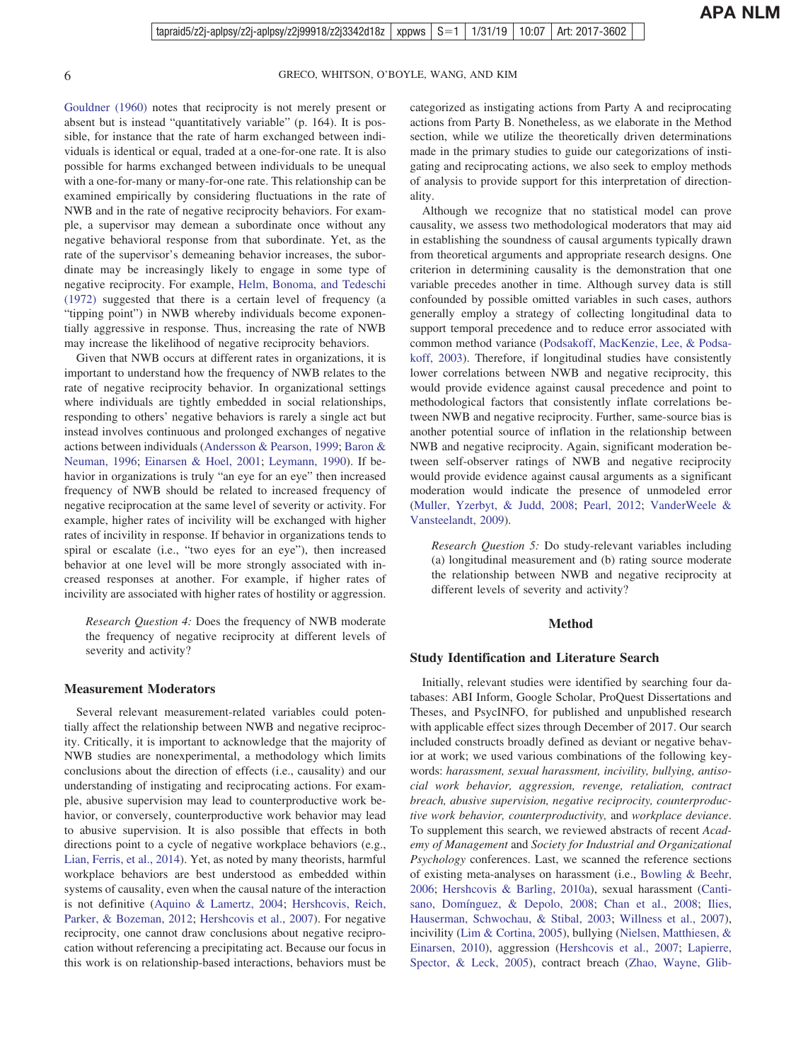[Gouldner \(1960\)](#page-20-0) notes that reciprocity is not merely present or absent but is instead "quantitatively variable" (p. 164). It is possible, for instance that the rate of harm exchanged between individuals is identical or equal, traded at a one-for-one rate. It is also possible for harms exchanged between individuals to be unequal with a one-for-many or many-for-one rate. This relationship can be examined empirically by considering fluctuations in the rate of NWB and in the rate of negative reciprocity behaviors. For example, a supervisor may demean a subordinate once without any negative behavioral response from that subordinate. Yet, as the rate of the supervisor's demeaning behavior increases, the subordinate may be increasingly likely to engage in some type of negative reciprocity. For example, [Helm, Bonoma, and Tedeschi](#page-21-0) [\(1972\)](#page-21-0) suggested that there is a certain level of frequency (a "tipping point") in NWB whereby individuals become exponentially aggressive in response. Thus, increasing the rate of NWB may increase the likelihood of negative reciprocity behaviors.

Given that NWB occurs at different rates in organizations, it is important to understand how the frequency of NWB relates to the rate of negative reciprocity behavior. In organizational settings where individuals are tightly embedded in social relationships, responding to others' negative behaviors is rarely a single act but instead involves continuous and prolonged exchanges of negative actions between individuals [\(Andersson & Pearson, 1999;](#page-17-0) [Baron &](#page-18-0) [Neuman, 1996;](#page-18-0) [Einarsen & Hoel, 2001;](#page-19-0) [Leymann, 1990\)](#page-22-0). If behavior in organizations is truly "an eye for an eye" then increased frequency of NWB should be related to increased frequency of negative reciprocation at the same level of severity or activity. For example, higher rates of incivility will be exchanged with higher rates of incivility in response. If behavior in organizations tends to spiral or escalate (i.e., "two eyes for an eye"), then increased behavior at one level will be more strongly associated with increased responses at another. For example, if higher rates of incivility are associated with higher rates of hostility or aggression.

*Research Question 4:* Does the frequency of NWB moderate the frequency of negative reciprocity at different levels of severity and activity?

#### **Measurement Moderators**

Several relevant measurement-related variables could potentially affect the relationship between NWB and negative reciprocity. Critically, it is important to acknowledge that the majority of NWB studies are nonexperimental, a methodology which limits conclusions about the direction of effects (i.e., causality) and our understanding of instigating and reciprocating actions. For example, abusive supervision may lead to counterproductive work behavior, or conversely, counterproductive work behavior may lead to abusive supervision. It is also possible that effects in both directions point to a cycle of negative workplace behaviors (e.g., [Lian, Ferris, et al., 2014\)](#page-22-0). Yet, as noted by many theorists, harmful workplace behaviors are best understood as embedded within systems of causality, even when the causal nature of the interaction is not definitive [\(Aquino & Lamertz, 2004;](#page-17-0) [Hershcovis, Reich,](#page-21-0) [Parker, & Bozeman, 2012;](#page-21-0) [Hershcovis et al., 2007\)](#page-21-0). For negative reciprocity, one cannot draw conclusions about negative reciprocation without referencing a precipitating act. Because our focus in this work is on relationship-based interactions, behaviors must be

categorized as instigating actions from Party A and reciprocating actions from Party B. Nonetheless, as we elaborate in the Method section, while we utilize the theoretically driven determinations made in the primary studies to guide our categorizations of instigating and reciprocating actions, we also seek to employ methods of analysis to provide support for this interpretation of directionality.

Although we recognize that no statistical model can prove causality, we assess two methodological moderators that may aid in establishing the soundness of causal arguments typically drawn from theoretical arguments and appropriate research designs. One criterion in determining causality is the demonstration that one variable precedes another in time. Although survey data is still confounded by possible omitted variables in such cases, authors generally employ a strategy of collecting longitudinal data to support temporal precedence and to reduce error associated with common method variance [\(Podsakoff, MacKenzie, Lee, & Podsa](#page-24-0)[koff, 2003\)](#page-24-0). Therefore, if longitudinal studies have consistently lower correlations between NWB and negative reciprocity, this would provide evidence against causal precedence and point to methodological factors that consistently inflate correlations between NWB and negative reciprocity. Further, same-source bias is another potential source of inflation in the relationship between NWB and negative reciprocity. Again, significant moderation between self-observer ratings of NWB and negative reciprocity would provide evidence against causal arguments as a significant moderation would indicate the presence of unmodeled error [\(Muller, Yzerbyt, & Judd, 2008;](#page-23-0) [Pearl, 2012;](#page-24-0) [VanderWeele &](#page-26-0) [Vansteelandt, 2009\)](#page-26-0).

*Research Question 5:* Do study-relevant variables including (a) longitudinal measurement and (b) rating source moderate the relationship between NWB and negative reciprocity at different levels of severity and activity?

#### **Method**

#### **Study Identification and Literature Search**

Initially, relevant studies were identified by searching four databases: ABI Inform, Google Scholar, ProQuest Dissertations and Theses, and PsycINFO, for published and unpublished research with applicable effect sizes through December of 2017. Our search included constructs broadly defined as deviant or negative behavior at work; we used various combinations of the following keywords: *harassment, sexual harassment, incivility, bullying, antisocial work behavior, aggression, revenge, retaliation, contract breach, abusive supervision, negative reciprocity, counterproductive work behavior, counterproductivity,* and *workplace deviance*. To supplement this search, we reviewed abstracts of recent *Academy of Management* and *Society for Industrial and Organizational Psychology* conferences. Last, we scanned the reference sections of existing meta-analyses on harassment (i.e., [Bowling & Beehr,](#page-18-0) [2006;](#page-18-0) [Hershcovis & Barling, 2010a\)](#page-21-0), sexual harassment [\(Canti](#page-19-0)[sano, Domínguez, & Depolo, 2008;](#page-19-0) [Chan et al., 2008;](#page-19-0) [Ilies,](#page-21-0) [Hauserman, Schwochau, & Stibal, 2003;](#page-21-0) [Willness et al., 2007\)](#page-26-0), incivility [\(Lim & Cortina, 2005\)](#page-22-0), bullying [\(Nielsen, Matthiesen, &](#page-24-0) [Einarsen, 2010\)](#page-24-0), aggression [\(Hershcovis et al., 2007;](#page-21-0) [Lapierre,](#page-22-0) [Spector, & Leck, 2005\)](#page-22-0), contract breach [\(Zhao, Wayne, Glib-](#page-26-0)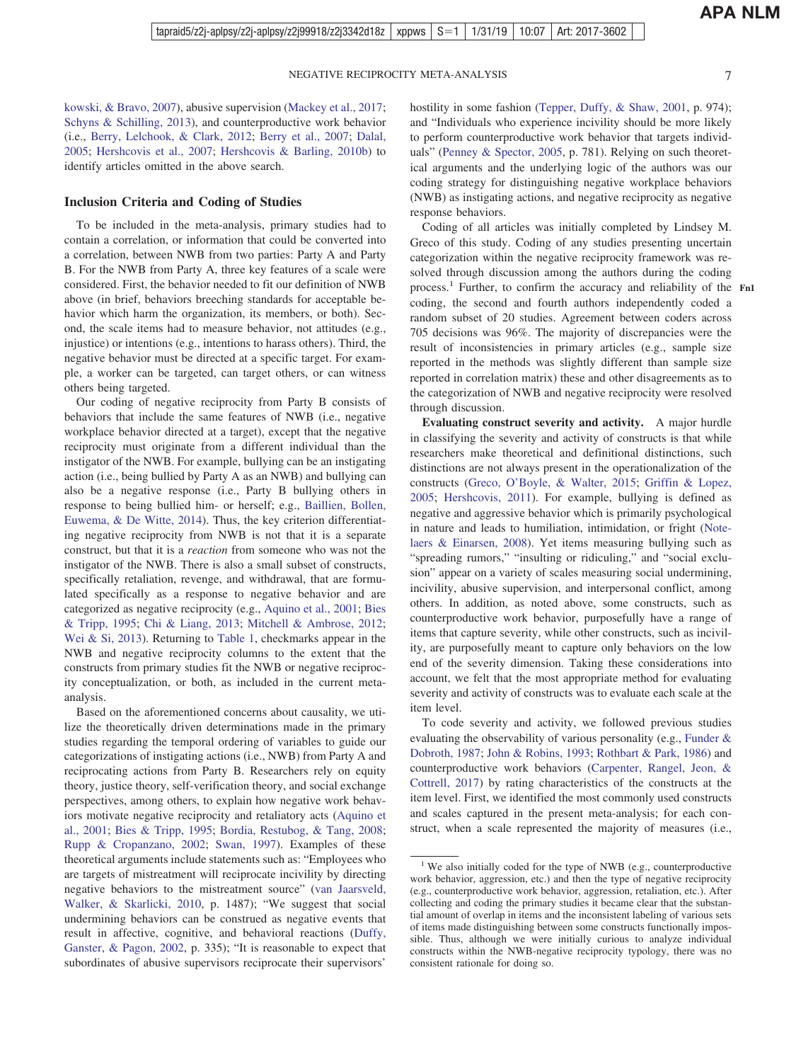[kowski, & Bravo, 2007\)](#page-26-0), abusive supervision [\(Mackey et al., 2017;](#page-23-0) [Schyns & Schilling, 2013\)](#page-25-0), and counterproductive work behavior (i.e., [Berry, Lelchook, & Clark, 2012;](#page-18-0) [Berry et al., 2007;](#page-18-0) [Dalal,](#page-19-0) [2005;](#page-19-0) [Hershcovis et al., 2007;](#page-21-0) [Hershcovis & Barling, 2010b\)](#page-21-0) to identify articles omitted in the above search.

#### **Inclusion Criteria and Coding of Studies**

To be included in the meta-analysis, primary studies had to contain a correlation, or information that could be converted into a correlation, between NWB from two parties: Party A and Party B. For the NWB from Party A, three key features of a scale were considered. First, the behavior needed to fit our definition of NWB above (in brief, behaviors breeching standards for acceptable behavior which harm the organization, its members, or both). Second, the scale items had to measure behavior, not attitudes (e.g., injustice) or intentions (e.g., intentions to harass others). Third, the negative behavior must be directed at a specific target. For example, a worker can be targeted, can target others, or can witness others being targeted.

Our coding of negative reciprocity from Party B consists of behaviors that include the same features of NWB (i.e., negative workplace behavior directed at a target), except that the negative reciprocity must originate from a different individual than the instigator of the NWB. For example, bullying can be an instigating action (i.e., being bullied by Party A as an NWB) and bullying can also be a negative response (i.e., Party B bullying others in response to being bullied him- or herself; e.g., [Baillien, Bollen,](#page-17-0) [Euwema, & De Witte, 2014\)](#page-17-0). Thus, the key criterion differentiating negative reciprocity from NWB is not that it is a separate construct, but that it is a *reaction* from someone who was not the instigator of the NWB. There is also a small subset of constructs, specifically retaliation, revenge, and withdrawal, that are formulated specifically as a response to negative behavior and are categorized as negative reciprocity (e.g., [Aquino et al., 2001;](#page-17-0) [Bies](#page-18-0) [& Tripp, 1995;](#page-18-0) [Chi & Liang, 2013;](#page-19-0) [Mitchell & Ambrose, 2012;](#page-23-0) [Wei & Si, 2013\)](#page-26-0). Returning to [Table 1,](#page-2-0) checkmarks appear in the NWB and negative reciprocity columns to the extent that the constructs from primary studies fit the NWB or negative reciprocity conceptualization, or both, as included in the current metaanalysis.

Based on the aforementioned concerns about causality, we utilize the theoretically driven determinations made in the primary studies regarding the temporal ordering of variables to guide our categorizations of instigating actions (i.e., NWB) from Party A and reciprocating actions from Party B. Researchers rely on equity theory, justice theory, self-verification theory, and social exchange perspectives, among others, to explain how negative work behaviors motivate negative reciprocity and retaliatory acts [\(Aquino et](#page-17-0) [al., 2001;](#page-17-0) [Bies & Tripp, 1995;](#page-18-0) [Bordia, Restubog, & Tang, 2008;](#page-18-0) [Rupp & Cropanzano, 2002;](#page-24-0) [Swan, 1997\)](#page-25-0). Examples of these theoretical arguments include statements such as: "Employees who are targets of mistreatment will reciprocate incivility by directing negative behaviors to the mistreatment source" [\(van Jaarsveld,](#page-26-0) [Walker, & Skarlicki, 2010,](#page-26-0) p. 1487); "We suggest that social undermining behaviors can be construed as negative events that result in affective, cognitive, and behavioral reactions [\(Duffy,](#page-19-0) [Ganster, & Pagon, 2002,](#page-19-0) p. 335); "It is reasonable to expect that subordinates of abusive supervisors reciprocate their supervisors'

hostility in some fashion [\(Tepper, Duffy, & Shaw, 2001,](#page-25-0) p. 974); and "Individuals who experience incivility should be more likely to perform counterproductive work behavior that targets individuals" [\(Penney & Spector, 2005,](#page-24-0) p. 781). Relying on such theoretical arguments and the underlying logic of the authors was our coding strategy for distinguishing negative workplace behaviors (NWB) as instigating actions, and negative reciprocity as negative response behaviors.

Coding of all articles was initially completed by Lindsey M. Greco of this study. Coding of any studies presenting uncertain categorization within the negative reciprocity framework was resolved through discussion among the authors during the coding process.<sup>1</sup> Further, to confirm the accuracy and reliability of the Fn1 coding, the second and fourth authors independently coded a random subset of 20 studies. Agreement between coders across 705 decisions was 96%. The majority of discrepancies were the result of inconsistencies in primary articles (e.g., sample size reported in the methods was slightly different than sample size reported in correlation matrix) these and other disagreements as to the categorization of NWB and negative reciprocity were resolved through discussion.

**Evaluating construct severity and activity.** A major hurdle in classifying the severity and activity of constructs is that while researchers make theoretical and definitional distinctions, such distinctions are not always present in the operationalization of the constructs [\(Greco, O'Boyle, & Walter, 2015;](#page-20-0) [Griffin & Lopez,](#page-21-0) [2005;](#page-21-0) [Hershcovis, 2011\)](#page-21-0). For example, bullying is defined as negative and aggressive behavior which is primarily psychological in nature and leads to humiliation, intimidation, or fright [\(Note](#page-24-0)[laers & Einarsen, 2008\)](#page-24-0). Yet items measuring bullying such as "spreading rumors," "insulting or ridiculing," and "social exclusion" appear on a variety of scales measuring social undermining, incivility, abusive supervision, and interpersonal conflict, among others. In addition, as noted above, some constructs, such as counterproductive work behavior, purposefully have a range of items that capture severity, while other constructs, such as incivility, are purposefully meant to capture only behaviors on the low end of the severity dimension. Taking these considerations into account, we felt that the most appropriate method for evaluating severity and activity of constructs was to evaluate each scale at the item level.

To code severity and activity, we followed previous studies evaluating the observability of various personality (e.g., [Funder &](#page-20-0) [Dobroth, 1987;](#page-20-0) [John & Robins, 1993;](#page-21-0) [Rothbart & Park, 1986\)](#page-24-0) and counterproductive work behaviors [\(Carpenter, Rangel, Jeon, &](#page-19-0) [Cottrell, 2017\)](#page-19-0) by rating characteristics of the constructs at the item level. First, we identified the most commonly used constructs and scales captured in the present meta-analysis; for each construct, when a scale represented the majority of measures (i.e.,

<sup>&</sup>lt;sup>1</sup> We also initially coded for the type of NWB (e.g., counterproductive work behavior, aggression, etc.) and then the type of negative reciprocity (e.g., counterproductive work behavior, aggression, retaliation, etc.). After collecting and coding the primary studies it became clear that the substantial amount of overlap in items and the inconsistent labeling of various sets of items made distinguishing between some constructs functionally impossible. Thus, although we were initially curious to analyze individual constructs within the NWB-negative reciprocity typology, there was no consistent rationale for doing so.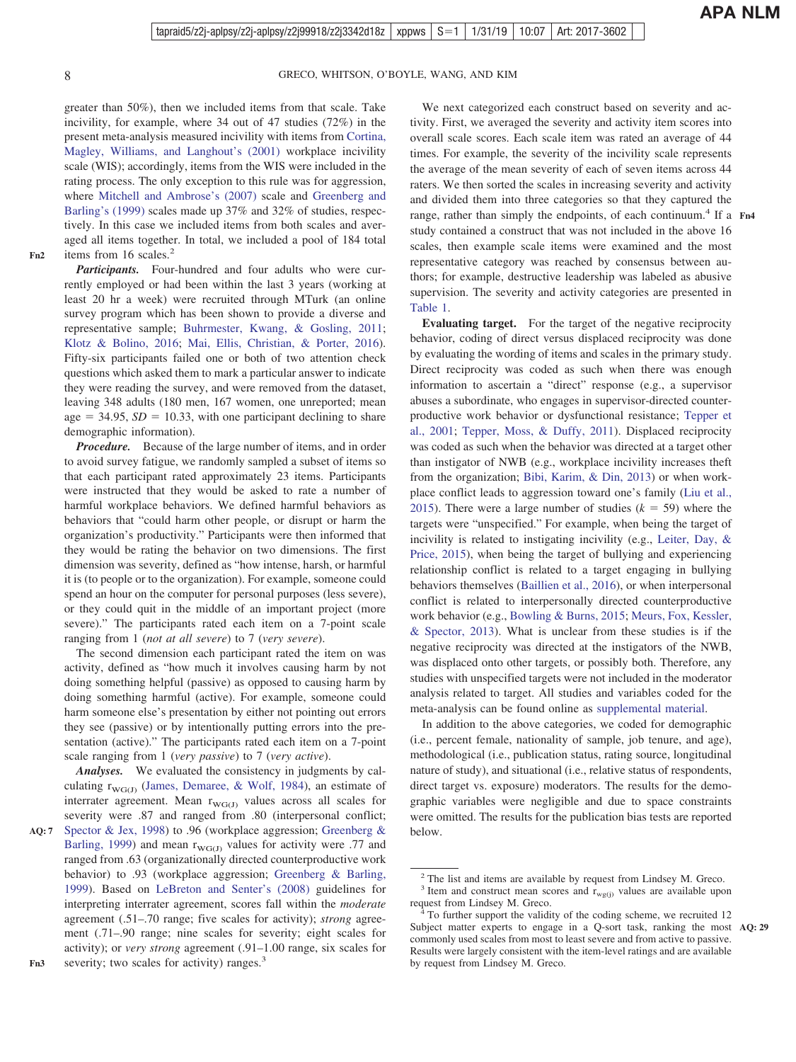greater than 50%), then we included items from that scale. Take incivility, for example, where 34 out of 47 studies (72%) in the present meta-analysis measured incivility with items from [Cortina,](#page-19-0) [Magley, Williams, and Langhout's \(2001\)](#page-19-0) workplace incivility scale (WIS); accordingly, items from the WIS were included in the rating process. The only exception to this rule was for aggression, where [Mitchell and Ambrose's \(2007\)](#page-23-0) scale and [Greenberg and](#page-20-0) [Barling's \(1999\)](#page-20-0) scales made up 37% and 32% of studies, respectively. In this case we included items from both scales and averaged all items together. In total, we included a pool of 184 total items from 16 scales.<sup>2</sup>

**Fn2**

*Participants.* Four-hundred and four adults who were currently employed or had been within the last 3 years (working at least 20 hr a week) were recruited through MTurk (an online survey program which has been shown to provide a diverse and representative sample; [Buhrmester, Kwang, & Gosling, 2011;](#page-18-0) [Klotz & Bolino, 2016;](#page-22-0) [Mai, Ellis, Christian, & Porter, 2016\)](#page-23-0). Fifty-six participants failed one or both of two attention check questions which asked them to mark a particular answer to indicate they were reading the survey, and were removed from the dataset, leaving 348 adults (180 men, 167 women, one unreported; mean age  $=$  34.95,  $SD = 10.33$ , with one participant declining to share demographic information).

*Procedure.* Because of the large number of items, and in order to avoid survey fatigue, we randomly sampled a subset of items so that each participant rated approximately 23 items. Participants were instructed that they would be asked to rate a number of harmful workplace behaviors. We defined harmful behaviors as behaviors that "could harm other people, or disrupt or harm the organization's productivity." Participants were then informed that they would be rating the behavior on two dimensions. The first dimension was severity, defined as "how intense, harsh, or harmful it is (to people or to the organization). For example, someone could spend an hour on the computer for personal purposes (less severe), or they could quit in the middle of an important project (more severe)." The participants rated each item on a 7-point scale ranging from 1 (*not at all severe*) to 7 (*very severe*).

The second dimension each participant rated the item on was activity, defined as "how much it involves causing harm by not doing something helpful (passive) as opposed to causing harm by doing something harmful (active). For example, someone could harm someone else's presentation by either not pointing out errors they see (passive) or by intentionally putting errors into the presentation (active)." The participants rated each item on a 7-point scale ranging from 1 (*very passive*) to 7 (*very active*).

*Analyses.* We evaluated the consistency in judgments by calculating  $r_{WG(J)}$  [\(James, Demaree, & Wolf, 1984\)](#page-21-0), an estimate of interrater agreement. Mean  $r_{\text{WG}(J)}$  values across all scales for severity were .87 and ranged from .80 (interpersonal conflict;

We next categorized each construct based on severity and activity. First, we averaged the severity and activity item scores into overall scale scores. Each scale item was rated an average of 44 times. For example, the severity of the incivility scale represents the average of the mean severity of each of seven items across 44 raters. We then sorted the scales in increasing severity and activity and divided them into three categories so that they captured the range, rather than simply the endpoints, of each continuum.<sup>4</sup> If a Fn4 study contained a construct that was not included in the above 16 scales, then example scale items were examined and the most representative category was reached by consensus between authors; for example, destructive leadership was labeled as abusive supervision. The severity and activity categories are presented in [Table 1.](#page-2-0)

**Evaluating target.** For the target of the negative reciprocity behavior, coding of direct versus displaced reciprocity was done by evaluating the wording of items and scales in the primary study. Direct reciprocity was coded as such when there was enough information to ascertain a "direct" response (e.g., a supervisor abuses a subordinate, who engages in supervisor-directed counterproductive work behavior or dysfunctional resistance; [Tepper et](#page-25-0) [al., 2001;](#page-25-0) [Tepper, Moss, & Duffy, 2011\)](#page-25-0). Displaced reciprocity was coded as such when the behavior was directed at a target other than instigator of NWB (e.g., workplace incivility increases theft from the organization; [Bibi, Karim, & Din, 2013\)](#page-18-0) or when workplace conflict leads to aggression toward one's family [\(Liu et al.,](#page-23-0) [2015\)](#page-23-0). There were a large number of studies  $(k = 59)$  where the targets were "unspecified." For example, when being the target of incivility is related to instigating incivility (e.g., [Leiter, Day, &](#page-22-0) [Price, 2015\)](#page-22-0), when being the target of bullying and experiencing relationship conflict is related to a target engaging in bullying behaviors themselves [\(Baillien et al., 2016\)](#page-17-0), or when interpersonal conflict is related to interpersonally directed counterproductive work behavior (e.g., [Bowling & Burns, 2015;](#page-18-0) [Meurs, Fox, Kessler,](#page-23-0) [& Spector, 2013\)](#page-23-0). What is unclear from these studies is if the negative reciprocity was directed at the instigators of the NWB, was displaced onto other targets, or possibly both. Therefore, any studies with unspecified targets were not included in the moderator analysis related to target. All studies and variables coded for the meta-analysis can be found online as [supplemental material.](http://dx.doi.org/10.1037/apl0000396.supp)

In addition to the above categories, we coded for demographic (i.e., percent female, nationality of sample, job tenure, and age), methodological (i.e., publication status, rating source, longitudinal nature of study), and situational (i.e., relative status of respondents, direct target vs. exposure) moderators. The results for the demographic variables were negligible and due to space constraints were omitted. The results for the publication bias tests are reported below.

[Spector & Jex, 1998\)](#page-25-0) to .96 (workplace aggression; [Greenberg &](#page-20-0) [Barling, 1999\)](#page-20-0) and mean  $r_{\text{WG}(J)}$  values for activity were .77 and ranged from .63 (organizationally directed counterproductive work behavior) to .93 (workplace aggression; [Greenberg & Barling,](#page-20-0) [1999\)](#page-20-0). Based on [LeBreton and Senter's \(2008\)](#page-22-0) guidelines for interpreting interrater agreement, scores fall within the *moderate* agreement (.51–.70 range; five scales for activity); *strong* agreement (.71–.90 range; nine scales for severity; eight scales for activity); or *very strong* agreement (.91–1.00 range, six scales for severity; two scales for activity) ranges.<sup>3</sup> **AQ: 7**

<sup>2</sup> The list and items are available by request from Lindsey M. Greco.

<sup>&</sup>lt;sup>3</sup> Item and construct mean scores and  $r_{wg(j)}$  values are available upon request from Lindsey M. Greco.

To further support the validity of the coding scheme, we recruited 12 Subject matter experts to engage in a Q-sort task, ranking the most **AQ: 29** commonly used scales from most to least severe and from active to passive. Results were largely consistent with the item-level ratings and are available by request from Lindsey M. Greco.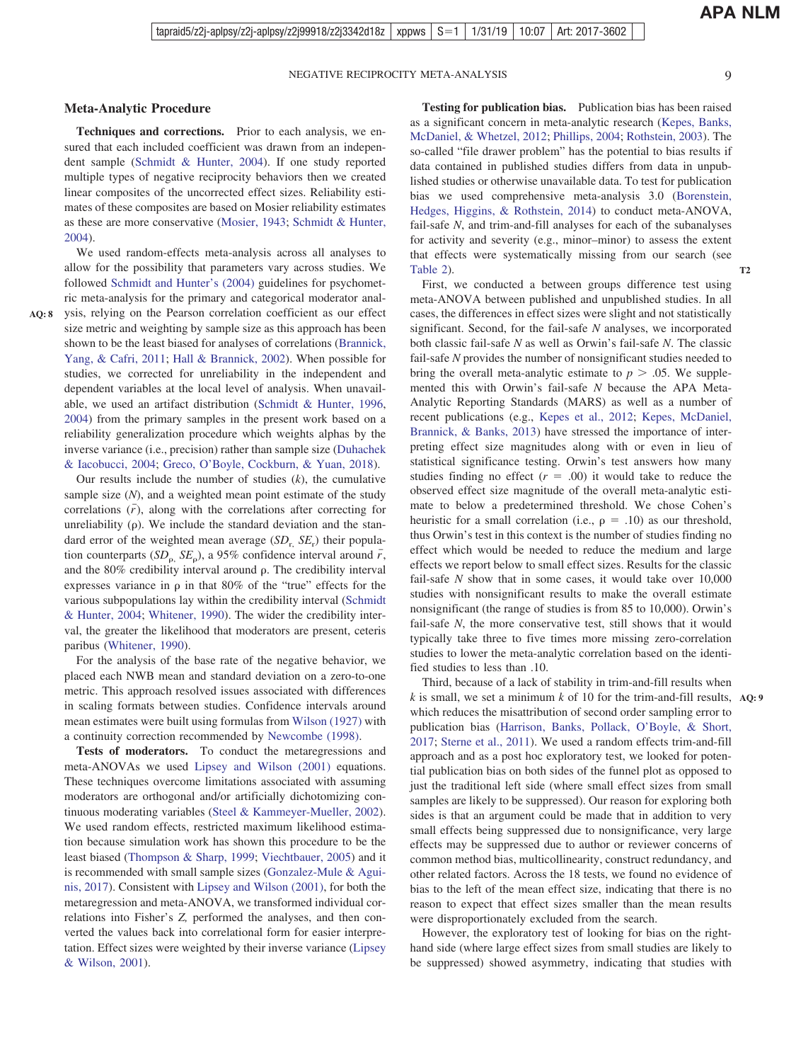**APA NLM**

**T2**

#### **Meta-Analytic Procedure**

**Techniques and corrections.** Prior to each analysis, we ensured that each included coefficient was drawn from an independent sample [\(Schmidt & Hunter, 2004\)](#page-24-0). If one study reported multiple types of negative reciprocity behaviors then we created linear composites of the uncorrected effect sizes. Reliability estimates of these composites are based on Mosier reliability estimates as these are more conservative [\(Mosier, 1943;](#page-23-0) [Schmidt & Hunter,](#page-24-0) [2004\)](#page-24-0).

 $\mathcal{L}$ **AQ: 8**

We used random-effects meta-analysis across all analyses to allow for the possibility that parameters vary across studies. We followed [Schmidt and Hunter's \(2004\)](#page-24-0) guidelines for psychometric meta-analysis for the primary and categorical moderator analysis, relying on the Pearson correlation coefficient as our effect size metric and weighting by sample size as this approach has been shown to be the least biased for analyses of correlations [\(Brannick,](#page-18-0) [Yang, & Cafri, 2011;](#page-18-0) [Hall & Brannick, 2002\)](#page-21-0). When possible for studies, we corrected for unreliability in the independent and dependent variables at the local level of analysis. When unavailable, we used an artifact distribution [\(Schmidt & Hunter, 1996,](#page-24-0) [2004\)](#page-24-0) from the primary samples in the present work based on a reliability generalization procedure which weights alphas by the inverse variance (i.e., precision) rather than sample size [\(Duhachek](#page-19-0) [& Iacobucci, 2004;](#page-19-0) [Greco, O'Boyle, Cockburn, & Yuan, 2018\)](#page-20-0).

Our results include the number of studies (*k*), the cumulative sample size (*N*), and a weighted mean point estimate of the study correlations  $(\bar{r})$ , along with the correlations after correcting for unreliability  $(\rho)$ . We include the standard deviation and the standard error of the weighted mean average (*SD*r, *SE*<sup>r</sup> ) their population counterparts  $(SD_{\rho}, SE_{\rho})$ , a 95% confidence interval around  $\bar{r}$ , and the  $80\%$  credibility interval around  $\rho$ . The credibility interval expresses variance in  $\rho$  in that 80% of the "true" effects for the various subpopulations lay within the credibility interval [\(Schmidt](#page-24-0) [& Hunter, 2004;](#page-24-0) [Whitener, 1990\)](#page-26-0). The wider the credibility interval, the greater the likelihood that moderators are present, ceteris paribus [\(Whitener, 1990\)](#page-26-0).

For the analysis of the base rate of the negative behavior, we placed each NWB mean and standard deviation on a zero-to-one metric. This approach resolved issues associated with differences in scaling formats between studies. Confidence intervals around mean estimates were built using formulas from [Wilson \(1927\)](#page-26-0) with a continuity correction recommended by [Newcombe \(1998\).](#page-23-0)

**Tests of moderators.** To conduct the metaregressions and meta-ANOVAs we used [Lipsey and Wilson \(2001\)](#page-22-0) equations. These techniques overcome limitations associated with assuming moderators are orthogonal and/or artificially dichotomizing continuous moderating variables [\(Steel & Kammeyer-Mueller, 2002\)](#page-25-0). We used random effects, restricted maximum likelihood estimation because simulation work has shown this procedure to be the least biased [\(Thompson & Sharp, 1999;](#page-26-0) [Viechtbauer, 2005\)](#page-26-0) and it is recommended with small sample sizes [\(Gonzalez-Mule & Agui](#page-20-0)[nis, 2017\)](#page-20-0). Consistent with [Lipsey and Wilson \(2001\),](#page-22-0) for both the metaregression and meta-ANOVA, we transformed individual correlations into Fisher's *Z,* performed the analyses, and then converted the values back into correlational form for easier interpretation. Effect sizes were weighted by their inverse variance [\(Lipsey](#page-22-0) [& Wilson, 2001\)](#page-22-0).

**Testing for publication bias.** Publication bias has been raised as a significant concern in meta-analytic research [\(Kepes, Banks,](#page-22-0) [McDaniel, & Whetzel, 2012;](#page-22-0) [Phillips, 2004;](#page-24-0) [Rothstein, 2003\)](#page-24-0). The so-called "file drawer problem" has the potential to bias results if data contained in published studies differs from data in unpublished studies or otherwise unavailable data. To test for publication bias we used comprehensive meta-analysis 3.0 [\(Borenstein,](#page-18-0) [Hedges, Higgins, & Rothstein, 2014\)](#page-18-0) to conduct meta-ANOVA, fail-safe *N*, and trim-and-fill analyses for each of the subanalyses for activity and severity (e.g., minor–minor) to assess the extent that effects were systematically missing from our search (see [Table 2\)](#page-9-0).

First, we conducted a between groups difference test using meta-ANOVA between published and unpublished studies. In all cases, the differences in effect sizes were slight and not statistically significant. Second, for the fail-safe *N* analyses, we incorporated both classic fail-safe *N* as well as Orwin's fail-safe *N*. The classic fail-safe *N* provides the number of nonsignificant studies needed to bring the overall meta-analytic estimate to  $p > .05$ . We supplemented this with Orwin's fail-safe *N* because the APA Meta-Analytic Reporting Standards (MARS) as well as a number of recent publications (e.g., [Kepes et al., 2012;](#page-22-0) [Kepes, McDaniel,](#page-22-0) [Brannick, & Banks, 2013\)](#page-22-0) have stressed the importance of interpreting effect size magnitudes along with or even in lieu of statistical significance testing. Orwin's test answers how many studies finding no effect  $(r = .00)$  it would take to reduce the observed effect size magnitude of the overall meta-analytic estimate to below a predetermined threshold. We chose Cohen's heuristic for a small correlation (i.e.,  $\rho = .10$ ) as our threshold, thus Orwin's test in this context is the number of studies finding no effect which would be needed to reduce the medium and large effects we report below to small effect sizes. Results for the classic fail-safe *N* show that in some cases, it would take over 10,000 studies with nonsignificant results to make the overall estimate nonsignificant (the range of studies is from 85 to 10,000). Orwin's fail-safe *N*, the more conservative test, still shows that it would typically take three to five times more missing zero-correlation studies to lower the meta-analytic correlation based on the identified studies to less than .10.

Third, because of a lack of stability in trim-and-fill results when *k* is small, we set a minimum *k* of 10 for the trim-and-fill results, **AQ: 9** which reduces the misattribution of second order sampling error to publication bias [\(Harrison, Banks, Pollack, O'Boyle, & Short,](#page-21-0) [2017;](#page-21-0) [Sterne et al., 2011\)](#page-25-0). We used a random effects trim-and-fill approach and as a post hoc exploratory test, we looked for potential publication bias on both sides of the funnel plot as opposed to just the traditional left side (where small effect sizes from small samples are likely to be suppressed). Our reason for exploring both sides is that an argument could be made that in addition to very small effects being suppressed due to nonsignificance, very large effects may be suppressed due to author or reviewer concerns of common method bias, multicollinearity, construct redundancy, and other related factors. Across the 18 tests, we found no evidence of bias to the left of the mean effect size, indicating that there is no reason to expect that effect sizes smaller than the mean results were disproportionately excluded from the search.

However, the exploratory test of looking for bias on the righthand side (where large effect sizes from small studies are likely to be suppressed) showed asymmetry, indicating that studies with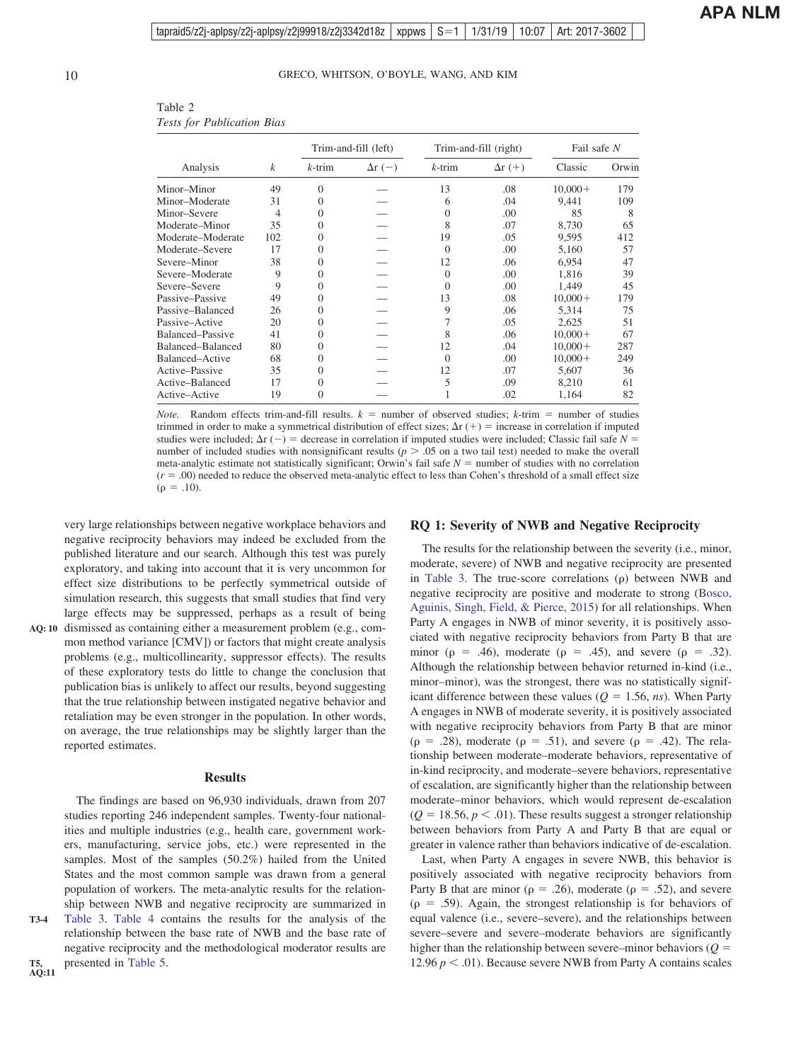|                   |                  |           | Trim-and-fill (left) |           | Trim-and-fill (right) | Fail safe N |       |  |
|-------------------|------------------|-----------|----------------------|-----------|-----------------------|-------------|-------|--|
| Analysis          | $\boldsymbol{k}$ | $k$ -trim | $\Delta r$ (-)       | $k$ -trim | $\Delta r$ (+)        | Classic     | Orwin |  |
| Minor–Minor       | 49               | 0         |                      | 13        | .08                   | $10,000+$   | 179   |  |
| Minor-Moderate    | 31               |           |                      | 6         | .04                   | 9,441       | 109   |  |
| Minor-Severe      | 4                |           |                      | $\Omega$  | .00                   | 85          | 8     |  |
| Moderate–Minor    | 35               |           |                      | 8         | .07                   | 8,730       | 65    |  |
| Moderate–Moderate | 102              |           |                      | 19        | .05                   | 9,595       | 412   |  |
| Moderate–Severe   | 17               |           |                      | $\Omega$  | .00                   | 5,160       | 57    |  |
| Severe–Minor      | 38               |           |                      | 12        | .06                   | 6.954       | 47    |  |
| Severe-Moderate   | 9                |           |                      | $\Omega$  | .00                   | 1,816       | 39    |  |
| Severe–Severe     | 9                |           |                      | $\Omega$  | .00                   | 1,449       | 45    |  |
| Passive–Passive   | 49               |           |                      | 13        | .08                   | $10,000+$   | 179   |  |
| Passive-Balanced  | 26               |           |                      | 9         | .06                   | 5,314       | 75    |  |
| Passive–Active    | 20               |           |                      |           | .05                   | 2,625       | 51    |  |
| Balanced–Passive  | 41               |           |                      | 8         | .06                   | $10,000+$   | 67    |  |
| Balanced-Balanced | 80               |           |                      | 12        | .04                   | $10,000+$   | 287   |  |
| Balanced–Active   | 68               |           |                      | $\Omega$  | .00                   | $10,000+$   | 249   |  |
| Active–Passive    | 35               |           |                      | 12        | .07                   | 5,607       | 36    |  |
| Active-Balanced   | 17               |           |                      | 5         | .09                   | 8,210       | 61    |  |
| Active-Active     | 19               |           |                      |           | .02                   | 1,164       | 82    |  |

<span id="page-9-0"></span>Table 2 *Tests for Publication Bias*

*Note.* Random effects trim-and-fill results.  $k =$  number of observed studies;  $k$ -trim = number of studies trimmed in order to make a symmetrical distribution of effect sizes;  $\Delta r$  (+) = increase in correlation if imputed studies were included;  $\Delta r$  (-) = decrease in correlation if imputed studies were included; Classic fail safe  $N =$ number of included studies with nonsignificant results ( $p > .05$  on a two tail test) needed to make the overall meta-analytic estimate not statistically significant; Orwin's fail safe  $N =$  number of studies with no correlation  $(r = .00)$  needed to reduce the observed meta-analytic effect to less than Cohen's threshold of a small effect size  $(\rho = .10).$ 

very large relationships between negative workplace behaviors and negative reciprocity behaviors may indeed be excluded from the published literature and our search. Although this test was purely exploratory, and taking into account that it is very uncommon for effect size distributions to be perfectly symmetrical outside of simulation research, this suggests that small studies that find very large effects may be suppressed, perhaps as a result of being AQ: 10 dismissed as containing either a measurement problem (e.g., com-

mon method variance [CMV]) or factors that might create analysis problems (e.g., multicollinearity, suppressor effects). The results of these exploratory tests do little to change the conclusion that publication bias is unlikely to affect our results, beyond suggesting that the true relationship between instigated negative behavior and retaliation may be even stronger in the population. In other words, on average, the true relationships may be slightly larger than the reported estimates.

#### **Results**

The findings are based on 96,930 individuals, drawn from 207 studies reporting 246 independent samples. Twenty-four nationalities and multiple industries (e.g., health care, government workers, manufacturing, service jobs, etc.) were represented in the samples. Most of the samples (50.2%) hailed from the United States and the most common sample was drawn from a general population of workers. The meta-analytic results for the relationship between NWB and negative reciprocity are summarized in [Table 3.](#page-10-0) [Table 4](#page-11-0) contains the results for the analysis of the relationship between the base rate of NWB and the base rate of negative reciprocity and the methodological moderator results are presented in [Table 5.](#page-12-0)

#### **RQ 1: Severity of NWB and Negative Reciprocity**

The results for the relationship between the severity (i.e., minor, moderate, severe) of NWB and negative reciprocity are presented in [Table 3.](#page-10-0) The true-score correlations  $(\rho)$  between NWB and negative reciprocity are positive and moderate to strong [\(Bosco,](#page-18-0) [Aguinis, Singh, Field, & Pierce, 2015\)](#page-18-0) for all relationships. When Party A engages in NWB of minor severity, it is positively associated with negative reciprocity behaviors from Party B that are minor ( $\rho = .46$ ), moderate ( $\rho = .45$ ), and severe ( $\rho = .32$ ). Although the relationship between behavior returned in-kind (i.e., minor–minor), was the strongest, there was no statistically significant difference between these values ( $Q = 1.56$ , *ns*). When Party A engages in NWB of moderate severity, it is positively associated with negative reciprocity behaviors from Party B that are minor  $(\rho = .28)$ , moderate  $(\rho = .51)$ , and severe  $(\rho = .42)$ . The relationship between moderate–moderate behaviors, representative of in-kind reciprocity, and moderate–severe behaviors, representative of escalation, are significantly higher than the relationship between moderate–minor behaviors, which would represent de-escalation  $(Q = 18.56, p < .01)$ . These results suggest a stronger relationship between behaviors from Party A and Party B that are equal or greater in valence rather than behaviors indicative of de-escalation.

Last, when Party A engages in severe NWB, this behavior is positively associated with negative reciprocity behaviors from Party B that are minor ( $\rho = .26$ ), moderate ( $\rho = .52$ ), and severe  $(p = .59)$ . Again, the strongest relationship is for behaviors of equal valence (i.e., severe–severe), and the relationships between severe–severe and severe–moderate behaviors are significantly higher than the relationship between severe–minor behaviors  $(Q =$ 12.96  $p < .01$ ). Because severe NWB from Party A contains scales

**T5, AQ:11**

**T3-4**

 $\frac{1}{2}$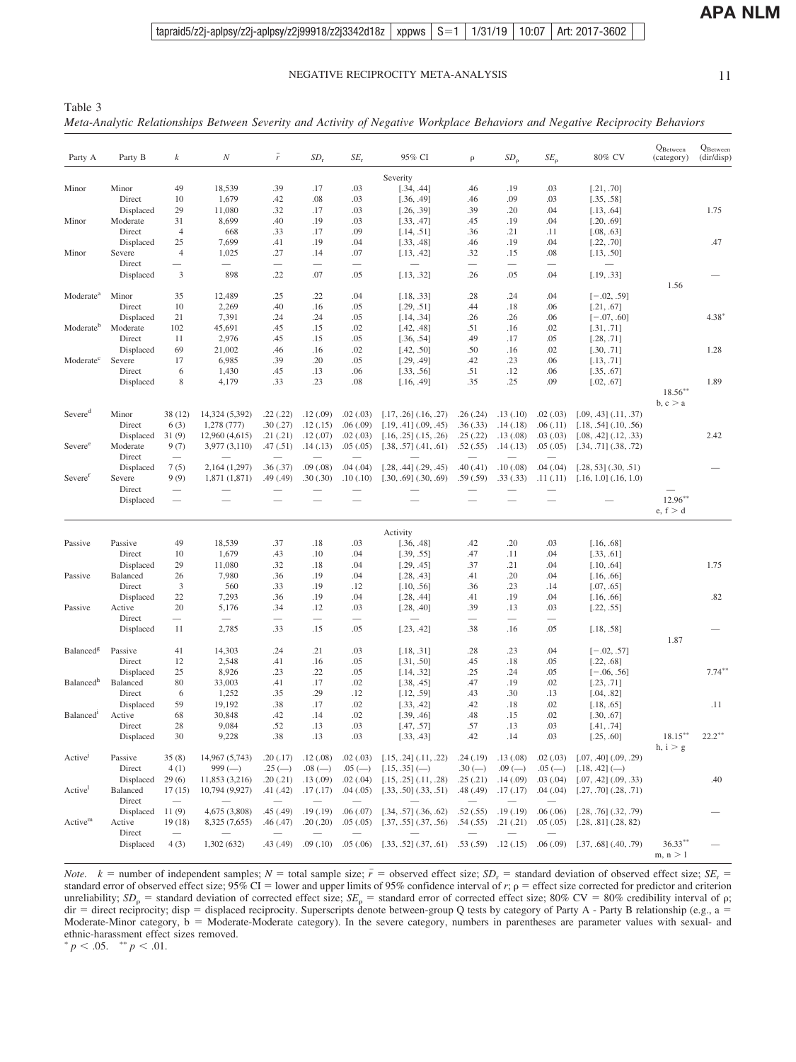m,  $\rm n > 1$ 

| Party A               | Party B             | $\boldsymbol{k}$                   | $\boldsymbol{N}$                           | $\bar{r}$                             | $SD_r$                               | $SE_r$                               | 95% CI                    | $\rho$                               | $SD_{\rho}$                          | $SE_{\rho}$                          | 80% CV                      | $Q_{\text{Between}}$<br>(category) | $Q_{\rm Between}$ (dir/disp) |
|-----------------------|---------------------|------------------------------------|--------------------------------------------|---------------------------------------|--------------------------------------|--------------------------------------|---------------------------|--------------------------------------|--------------------------------------|--------------------------------------|-----------------------------|------------------------------------|------------------------------|
|                       |                     |                                    |                                            |                                       |                                      |                                      | Severity                  |                                      |                                      |                                      |                             |                                    |                              |
| Minor                 | Minor               | 49                                 | 18,539                                     | .39                                   | .17                                  | .03                                  | [.34, .44]                | .46                                  | .19                                  | .03                                  | [.21, .70]                  |                                    |                              |
|                       | Direct              | 10                                 | 1,679                                      | .42                                   | .08                                  | .03                                  | [.36, .49]                | .46                                  | .09                                  | .03                                  | [.35, .58]                  |                                    |                              |
|                       | Displaced           | 29                                 | 11,080                                     | .32                                   | .17                                  | .03                                  | [.26, .39]                | .39                                  | .20                                  | .04                                  | [.13, .64]                  |                                    | 1.75                         |
| Minor                 | Moderate            | 31                                 | 8,699                                      | .40                                   | .19                                  | .03                                  | [.33, .47]                | .45                                  | .19                                  | .04                                  | [.20, .69]                  |                                    |                              |
|                       | Direct<br>Displaced | $\overline{4}$                     | 668<br>7,699                               | .33<br>.41                            | .17<br>.19                           | .09<br>.04                           | [.14, .51]                | .36                                  | .21                                  | .11<br>.04                           | [.08, .63]                  |                                    | .47                          |
| Minor                 | Severe              | 25<br>$\overline{4}$               | 1,025                                      | .27                                   | .14                                  | .07                                  | [.33, .48]<br>[.13, .42]  | .46<br>.32                           | .19<br>.15                           | .08                                  | [.22, .70]<br>[.13, .50]    |                                    |                              |
|                       | Direct              |                                    | $\overline{\phantom{0}}$                   |                                       |                                      |                                      |                           |                                      |                                      |                                      |                             |                                    |                              |
|                       | Displaced           | 3                                  | 898                                        | .22                                   | .07                                  | .05                                  | [.13, .32]                | .26                                  | .05                                  | .04                                  | [.19, .33]                  |                                    |                              |
|                       |                     |                                    |                                            |                                       |                                      |                                      |                           |                                      |                                      |                                      |                             | 1.56                               |                              |
| Moderate <sup>a</sup> | Minor<br>Direct     | 35                                 | 12,489                                     | .25                                   | .22                                  | .04                                  | [.18, .33]                | .28                                  | .24                                  | .04                                  | $[-.02, .59]$               |                                    |                              |
|                       | Displaced           | 10<br>21                           | 2,269<br>7,391                             | .40<br>.24                            | .16                                  | .05<br>.05                           | [.29, .51]                | .44<br>.26                           | .18                                  | .06                                  | [.21, .67]                  |                                    | $4.38*$                      |
| Moderate <sup>b</sup> | Moderate            | 102                                | 45,691                                     | .45                                   | .24<br>.15                           | .02                                  | [.14, .34]<br>[.42, .48]  | .51                                  | .26<br>.16                           | .06<br>.02                           | $[-.07, .60]$<br>[.31, .71] |                                    |                              |
|                       | Direct              | 11                                 | 2,976                                      | .45                                   | .15                                  | .05                                  | [.36, .54]                | .49                                  | .17                                  | .05                                  | [.28, .71]                  |                                    |                              |
|                       | Displaced           | 69                                 | 21,002                                     | .46                                   | .16                                  | .02                                  | [.42, .50]                | .50                                  | .16                                  | .02                                  | [.30, .71]                  |                                    | 1.28                         |
| Moderate <sup>c</sup> | Severe              | 17                                 | 6,985                                      | .39                                   | .20                                  | .05                                  | [.29, .49]                | .42                                  | .23                                  | .06                                  | [.13, .71]                  |                                    |                              |
|                       | Direct              | 6                                  | 1,430                                      | .45                                   | .13                                  | .06                                  | [.33, .56]                | .51                                  | .12                                  | .06                                  | [.35, .67]                  |                                    |                              |
|                       | Displaced           | 8                                  | 4,179                                      | .33                                   | .23                                  | .08                                  | [.16, .49]                | .35                                  | .25                                  | .09                                  | [.02, .67]                  |                                    | 1.89                         |
|                       |                     |                                    |                                            |                                       |                                      |                                      |                           |                                      |                                      |                                      |                             | $18.56***$                         |                              |
|                       |                     |                                    |                                            |                                       |                                      |                                      |                           |                                      |                                      |                                      |                             | b, c > a                           |                              |
| Severed               | Minor               | 38 (12)                            | 14,324 (5,392)                             | .22(.22)                              | .12(.09)                             | .02(.03)                             | $[.17, .26]$ $(.16, .27)$ | .26(.24)                             | .13(.10)                             | .02(.03)                             | $[.09, .43]$ $(.11, .37)$   |                                    |                              |
|                       | Direct              | 6(3)                               | 1,278 (777)                                | .30(.27)                              | .12(.15)                             | .06(.09)                             | $[.19, .41]$ $(.09, .45)$ | .36(.33)                             | .14(.18)                             | .06(0.11)                            | $[.18, .54]$ $(.10, .56)$   |                                    |                              |
|                       | Displaced           | 31(9)                              | 12,960 (4,615)                             | .21(.21)                              | .12(.07)                             | .02(.03)                             | $[.16, .25]$ $(.15, .26)$ | .25(.22)                             | .13(.08)                             | .03(0.03)                            | [.08, .42] (.12, .33)       |                                    | 2.42                         |
| Severee               | Moderate<br>Direct  | 9(7)<br>$\overline{\phantom{m}}$   | 3,977(3,110)                               | .47(.51)                              | .14(.13)                             | .05(.05)                             | [.38, .57] (.41, .61)     | .52(.55)<br>$\overline{\phantom{0}}$ | .14(.13)                             | .05(.05)                             | $[.34, .71]$ $(.38, .72)$   |                                    |                              |
|                       | Displaced           | 7(5)                               | 2,164 (1,297)                              | .36(.37)                              | .09(.08)                             | .04(.04)                             | $[.28, .44]$ $(.29, .45)$ | .40(.41)                             | .10(.08)                             | .04(.04)                             | $[.28, 53]$ $(.30, .51)$    |                                    |                              |
| Severe <sup>t</sup>   | Severe              | 9(9)                               | 1,871 (1,871)                              | .49 (.49)                             | .30(.30)                             | .10(.10)                             | $[.30, .69]$ $(.30, .69)$ | .59(.59)                             | .33(.33)                             | .11(.11)                             | $[.16, 1.0]$ $(.16, 1.0)$   |                                    |                              |
|                       | Direct              | $\overline{\phantom{m}}$           |                                            |                                       |                                      |                                      |                           |                                      |                                      |                                      |                             |                                    |                              |
|                       | Displaced           |                                    |                                            |                                       |                                      |                                      |                           |                                      |                                      |                                      |                             | $12.96***$<br>e, f > d             |                              |
|                       |                     |                                    |                                            |                                       |                                      |                                      | Activity                  |                                      |                                      |                                      |                             |                                    |                              |
| Passive               | Passive             | 49                                 | 18,539                                     | .37                                   | .18                                  | .03                                  | [.36, .48]                | .42                                  | .20                                  | .03                                  | [.16, .68]                  |                                    |                              |
|                       | Direct              | 10                                 | 1,679                                      | .43                                   | .10                                  | .04                                  | [.39, .55]                | .47                                  | .11                                  | .04                                  | [.33, .61]                  |                                    |                              |
|                       | Displaced           | 29                                 | 11,080                                     | .32                                   | .18                                  | .04                                  | [.29, .45]                | .37                                  | .21                                  | .04                                  | [.10, .64]                  |                                    | 1.75                         |
| Passive               | Balanced            | 26                                 | 7,980                                      | .36                                   | .19                                  | .04                                  | [.28, .43]                | .41                                  | .20                                  | .04                                  | [.16, .66]                  |                                    |                              |
|                       | Direct              | 3                                  | 560                                        | .33                                   | .19                                  | .12                                  | [.10, .56]                | .36                                  | .23                                  | .14                                  | [.07, .65]                  |                                    |                              |
|                       | Displaced           | 22                                 | 7,293                                      | .36                                   | .19                                  | .04                                  | [.28, .44]                | .41                                  | .19                                  | .04                                  | [.16, .66]                  |                                    | .82                          |
| Passive               | Active              | 20                                 | 5,176                                      | .34                                   | .12                                  | .03                                  | [.28, .40]                | .39                                  | .13                                  | .03                                  | [.22, .55]                  |                                    |                              |
|                       | Direct              |                                    |                                            |                                       |                                      |                                      |                           |                                      |                                      |                                      |                             |                                    |                              |
|                       | Displaced           | 11                                 | 2,785                                      | .33                                   | .15                                  | .05                                  | [.23, .42]                | .38                                  | .16                                  | .05                                  | [.18, .58]                  |                                    |                              |
| Balanced <sup>g</sup> | Passive             | 41                                 | 14,303                                     | .24                                   | .21                                  | .03                                  | [.18, .31]                | .28                                  | .23                                  | .04                                  | $[-.02, .57]$               | 1.87                               |                              |
|                       | Direct              | 12                                 | 2,548                                      | .41                                   | .16                                  | .05                                  | [.31, .50]                | .45                                  | .18                                  | .05                                  | [.22, .68]                  |                                    |                              |
|                       | Displaced           | 25                                 | 8,926                                      | .23                                   | .22                                  | .05                                  | [.14, .32]                | .25                                  | .24                                  | .05                                  | $[-.06, .56]$               |                                    | $7.74***$                    |
| Balanced <sup>h</sup> | Balanced            | 80                                 | 33,003                                     | .41                                   | .17                                  | .02                                  | [.38, .45]                | .47                                  | .19                                  | .02                                  | [.23, .71]                  |                                    |                              |
|                       | Direct              | 6                                  | 1,252                                      | .35                                   | .29                                  | .12                                  | [.12, .59]                | .43                                  | .30                                  | .13                                  | [.04, .82]                  |                                    |                              |
|                       | Displaced           | 59                                 | 19,192                                     | .38                                   | .17                                  | .02                                  | [.33, .42]                | .42                                  | .18                                  | .02                                  | [.18, .65]                  |                                    | .11                          |
| Balanced <sup>1</sup> | Active              | 68                                 | 30,848                                     | .42                                   | .14                                  | .02                                  | [.39, .46]                | .48                                  | .15                                  | .02                                  | [.30, .67]                  |                                    |                              |
|                       | Direct              | 28                                 | 9,084                                      | .52                                   | .13                                  | .03                                  | [.47, .57]                | .57                                  | .13                                  | .03                                  | [.41, .74]                  |                                    |                              |
|                       | Displaced           | 30                                 | 9,228                                      | .38                                   | .13                                  | .03                                  | [.33, .43]                | .42                                  | .14                                  | .03                                  | [.25, .60]                  | $18.15***$<br>h, i > g             | $22.2***$                    |
| Activel               | Passive             | 35(8)                              | 14,967 (5,743)                             | .20(.17)                              | .12(0.08)                            | .02(.03)                             | [.15, .24] (.11, .22)     | .24(.19)                             | .13(0.08)                            | .02(.03)                             | $[.07, .40]$ $(.09, .29)$   |                                    |                              |
|                       | Direct              | 4(1)                               | $999 (-)$                                  | $.25(-)$                              | $.08$ (-                             | $.05$ (-)                            | $[.15, .35] (-)$          | $.30(-)$                             | $.09$ (-                             | $.05$ (-)                            | [.18, .42] (.)              |                                    |                              |
|                       | Displaced           | 29(6)                              | 11,853 (3,216)                             | .20(.21)                              | .13(0.09)                            | .02(.04)                             | $[.15, .25]$ $(.11, .28)$ | .25(.21)                             | .14(.09)                             | .03(0.04)                            | $[.07, .42]$ $(.09, .33)$   |                                    | .40                          |
| Active                | Balanced<br>Direct  | 17(15)<br>$\overline{\phantom{m}}$ | 10,794 (9,927)<br>$\overline{\phantom{m}}$ | .41 (.42)<br>$\overline{\phantom{0}}$ | .17(.17)<br>$\overline{\phantom{0}}$ | .04(.05)<br>$\overline{\phantom{m}}$ | $[.33, .50]$ $(.33, .51)$ | .48(.49)                             | .17(.17)<br>$\overline{\phantom{m}}$ | .04(.04)<br>$\overline{\phantom{a}}$ | $[.27, .70]$ $(.28, .71)$   |                                    |                              |
|                       | Displaced           | 11(9)                              | 4,675 (3,808)                              | .45(.49)                              | .19(.19)                             | .06(.07)                             | $[.34, .57]$ $(.36, .62)$ | .52(.55)                             | .19(.19)                             | .06(.06)                             | $[.28, .76]$ $(.32, .79)$   |                                    |                              |
| Active <sup>m</sup>   | Active              | 19(18)                             | 8,325 (7,655)                              | .46 (.47)                             | .20(.20)                             | .05(.05)                             | $[.37, .55]$ $(.37, .56)$ | .54(.55)                             | .21(.21)                             | .05(.05)                             | $[.28, .81]$ $(.28, 82)$    |                                    |                              |
|                       | Direct<br>Displaced | $\overline{\phantom{m}}$<br>4(3)   | $\overline{\phantom{m}}$<br>1,302 (632)    | $\qquad \qquad -$<br>.43 (.49)        | .09(.10)                             | .05(.06)                             | $[.33, .52]$ $(.37, .61)$ | .53(.59)                             | $\overline{\phantom{m}}$<br>.12(.15) | .06(.09)                             | $[.37, .68]$ $(.40, .79)$   | $36.33***$                         |                              |

*Note.*  $k =$  number of independent samples;  $N =$  total sample size;  $\bar{r} =$  observed effect size;  $SD_r =$  standard deviation of observed effect size;  $SE_r =$ standard error of observed effect size;  $95\%$  CI = lower and upper limits of 95% confidence interval of  $r$ ;  $\rho$  = effect size corrected for predictor and criterion unreliability;  $SD_{\rho}$  = standard deviation of corrected effect size;  $SE_{\rho}$  = standard error of corrected effect size; 80% CV = 80% credibility interval of  $\rho$ ;  $\text{dir} = \text{direct reciprocity}$ ;  $\text{disp} = \text{displaced reciprocity}$ . Superscripts denote between-group Q tests by category of Party A - Party B relationship (e.g., a = Moderate-Minor category, b = Moderate-Moderate category). In the severe category, numbers in parentheses are parameter values with sexual- and ethnic-harassment effect sizes removed.<br>  $p < .05$ .  $\longrightarrow p < .01$ .

<span id="page-10-0"></span>Table 3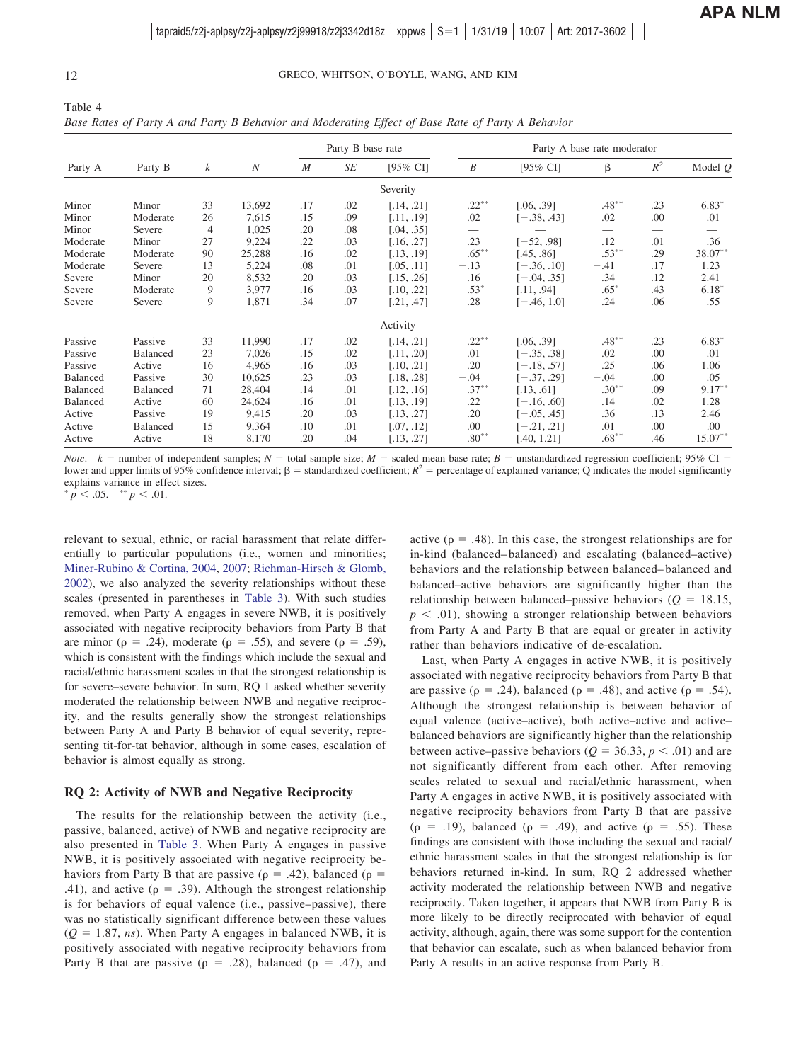<span id="page-11-0"></span>

| Table 4                                                                                           |  |  |  |
|---------------------------------------------------------------------------------------------------|--|--|--|
| Base Rates of Party A and Party B Behavior and Moderating Effect of Base Rate of Party A Behavior |  |  |  |

|          |                 |    |                  | Party B base rate |     |            | Party A base rate moderator |               |          |       |           |
|----------|-----------------|----|------------------|-------------------|-----|------------|-----------------------------|---------------|----------|-------|-----------|
| Party A  | Party B         | k  | $\boldsymbol{N}$ | $\boldsymbol{M}$  | SE  | [95% CI]   | B                           | [95% CI]      | β        | $R^2$ | Model $Q$ |
|          |                 |    |                  |                   |     | Severity   |                             |               |          |       |           |
| Minor    | Minor           | 33 | 13,692           | .17               | .02 | [.14, .21] | $.22***$                    | [.06, .39]    | $.48***$ | .23   | $6.83*$   |
| Minor    | Moderate        | 26 | 7,615            | .15               | .09 | [.11, .19] | .02                         | $[-.38, .43]$ | .02      | .00   | .01       |
| Minor    | Severe          | 4  | 1,025            | .20               | .08 | [.04, .35] |                             |               |          |       |           |
| Moderate | Minor           | 27 | 9,224            | .22               | .03 | [.16, .27] | .23                         | $[-52, .98]$  | .12      | .01   | .36       |
| Moderate | Moderate        | 90 | 25,288           | .16               | .02 | [.13, .19] | $.65***$                    | [.45, .86]    | $.53***$ | .29   | $38.07**$ |
| Moderate | Severe          | 13 | 5,224            | .08               | .01 | [.05, .11] | $-.13$                      | $[-.36, .10]$ | $-.41$   | .17   | 1.23      |
| Severe   | Minor           | 20 | 8,532            | .20               | .03 | [.15, .26] | .16                         | $[-.04, .35]$ | .34      | .12   | 2.41      |
| Severe   | Moderate        | 9  | 3,977            | .16               | .03 | [.10, .22] | $.53*$                      | [.11, .94]    | $.65*$   | .43   | $6.18*$   |
| Severe   | Severe          | 9  | 1,871            | .34               | .07 | [.21, .47] | .28                         | $[-.46, 1.0]$ | .24      | .06   | .55       |
|          |                 |    |                  |                   |     | Activity   |                             |               |          |       |           |
| Passive  | Passive         | 33 | 11,990           | .17               | .02 | [.14, .21] | $.22***$                    | [.06, .39]    | $.48***$ | .23   | $6.83*$   |
| Passive  | <b>Balanced</b> | 23 | 7,026            | .15               | .02 | [.11, .20] | .01                         | $[-.35, .38]$ | .02      | .00   | .01       |
| Passive  | Active          | 16 | 4,965            | .16               | .03 | [.10, .21] | .20                         | $[-.18, .57]$ | .25      | .06   | 1.06      |
| Balanced | Passive         | 30 | 10,625           | .23               | .03 | [.18, .28] | $-.04$                      | $[-.37, .29]$ | $-.04$   | .00   | .05       |
| Balanced | Balanced        | 71 | 28,404           | .14               | .01 | [.12, .16] | $.37***$                    | [.13, .61]    | $.30***$ | .09   | $9.17***$ |
| Balanced | Active          | 60 | 24,624           | .16               | .01 | [.13, .19] | .22                         | $[-.16, .60]$ | .14      | .02   | 1.28      |
| Active   | Passive         | 19 | 9,415            | .20               | .03 | [.13, .27] | .20                         | $[-.05, .45]$ | .36      | .13   | 2.46      |
| Active   | Balanced        | 15 | 9,364            | .10               | .01 | [.07, .12] | .00                         | $[-.21, .21]$ | .01      | .00   | .00.      |
| Active   | Active          | 18 | 8,170            | .20               | .04 | [.13, .27] | $.80**$                     | [.40, 1.21]   | $.68***$ | .46   | $15.07**$ |

*Note.*  $k =$  number of independent samples;  $N =$  total sample size;  $M =$  scaled mean base rate;  $B =$  unstandardized regression coefficient; 95% CI = lower and upper limits of 95% confidence interval;  $\beta$  = standardized coefficient;  $R^2$  = percentage of explained variance; Q indicates the model significantly explains variance in effect sizes.

 $\frac{1}{p}$  < .05.  $\frac{1}{p}$  < .01.

relevant to sexual, ethnic, or racial harassment that relate differentially to particular populations (i.e., women and minorities; [Miner-Rubino & Cortina, 2004,](#page-23-0) [2007;](#page-23-0) [Richman-Hirsch & Glomb,](#page-24-0) [2002\)](#page-24-0), we also analyzed the severity relationships without these scales (presented in parentheses in [Table 3\)](#page-10-0). With such studies removed, when Party A engages in severe NWB, it is positively associated with negative reciprocity behaviors from Party B that are minor ( $\rho = .24$ ), moderate ( $\rho = .55$ ), and severe ( $\rho = .59$ ), which is consistent with the findings which include the sexual and racial/ethnic harassment scales in that the strongest relationship is for severe–severe behavior. In sum, RQ 1 asked whether severity moderated the relationship between NWB and negative reciprocity, and the results generally show the strongest relationships between Party A and Party B behavior of equal severity, representing tit-for-tat behavior, although in some cases, escalation of behavior is almost equally as strong.

#### **RQ 2: Activity of NWB and Negative Reciprocity**

The results for the relationship between the activity (i.e., passive, balanced, active) of NWB and negative reciprocity are also presented in [Table 3.](#page-10-0) When Party A engages in passive NWB, it is positively associated with negative reciprocity behaviors from Party B that are passive ( $\rho = .42$ ), balanced ( $\rho =$ .41), and active ( $\rho = .39$ ). Although the strongest relationship is for behaviors of equal valence (i.e., passive–passive), there was no statistically significant difference between these values  $(Q = 1.87, ns)$ . When Party A engages in balanced NWB, it is positively associated with negative reciprocity behaviors from Party B that are passive ( $\rho = .28$ ), balanced ( $\rho = .47$ ), and

active ( $\rho = .48$ ). In this case, the strongest relationships are for in-kind (balanced– balanced) and escalating (balanced–active) behaviors and the relationship between balanced– balanced and balanced–active behaviors are significantly higher than the relationship between balanced–passive behaviors  $(Q = 18.15,$  $p < .01$ ), showing a stronger relationship between behaviors from Party A and Party B that are equal or greater in activity rather than behaviors indicative of de-escalation.

Last, when Party A engages in active NWB, it is positively associated with negative reciprocity behaviors from Party B that are passive ( $\rho = .24$ ), balanced ( $\rho = .48$ ), and active ( $\rho = .54$ ). Although the strongest relationship is between behavior of equal valence (active–active), both active–active and active– balanced behaviors are significantly higher than the relationship between active–passive behaviors ( $Q = 36.33, p < .01$ ) and are not significantly different from each other. After removing scales related to sexual and racial/ethnic harassment, when Party A engages in active NWB, it is positively associated with negative reciprocity behaviors from Party B that are passive  $(\rho = .19)$ , balanced  $(\rho = .49)$ , and active  $(\rho = .55)$ . These findings are consistent with those including the sexual and racial/ ethnic harassment scales in that the strongest relationship is for behaviors returned in-kind. In sum, RQ 2 addressed whether activity moderated the relationship between NWB and negative reciprocity. Taken together, it appears that NWB from Party B is more likely to be directly reciprocated with behavior of equal activity, although, again, there was some support for the contention that behavior can escalate, such as when balanced behavior from Party A results in an active response from Party B.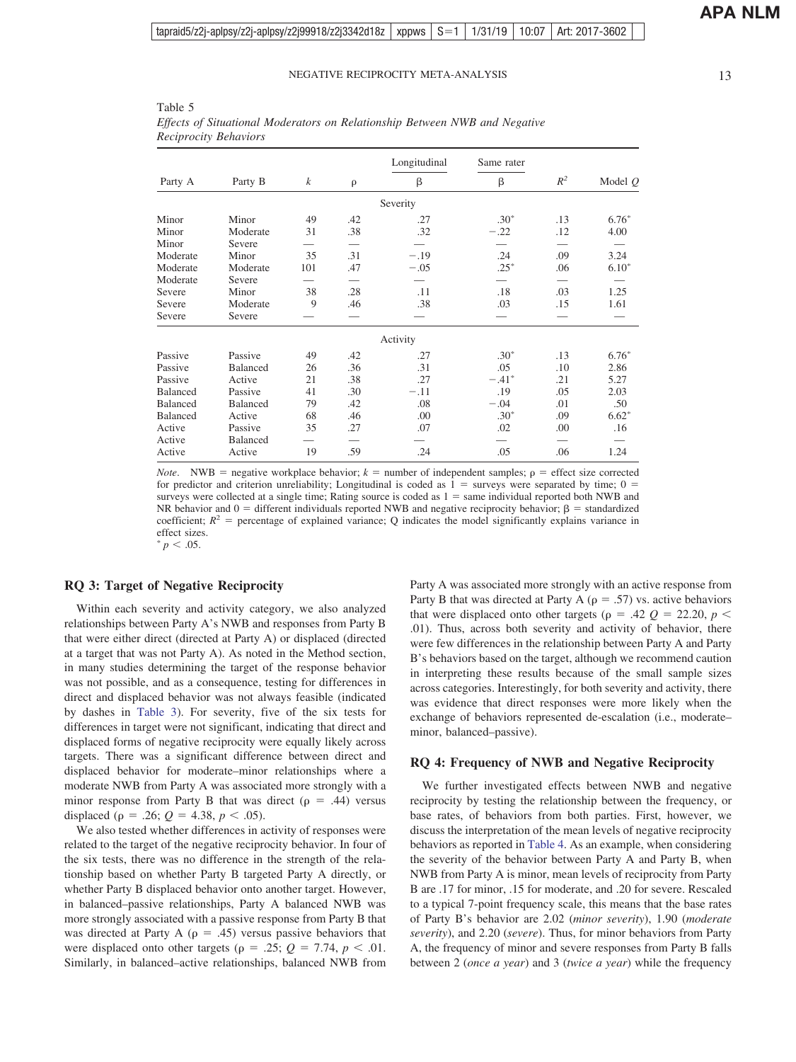| ۰,<br>×<br>۰. |
|---------------|

| Reciprocity Behaviors |          |                  |                          | <u> Lifecio of Bununonum moderatorio on rieumonomo Berneen 1991 and 1905an re</u> |            |       |           |
|-----------------------|----------|------------------|--------------------------|-----------------------------------------------------------------------------------|------------|-------|-----------|
|                       |          |                  |                          | Longitudinal                                                                      | Same rater |       |           |
| Party A               | Party B  | $\boldsymbol{k}$ | $\rho$                   | β                                                                                 | β          | $R^2$ | Model $Q$ |
|                       |          |                  |                          | Severity                                                                          |            |       |           |
| Minor                 | Minor    | 49               | .42                      | .27                                                                               | $.30*$     | .13   | $6.76*$   |
| Minor                 | Moderate | 31               | .38                      | .32                                                                               | $-.22$     | .12   | 4.00      |
| Minor                 | Severe   |                  |                          |                                                                                   |            |       |           |
| Moderate              | Minor    | 35               | .31                      | $-.19$                                                                            | .24        | .09   | 3.24      |
| Moderate              | Moderate | 101              | .47                      | $-.05$                                                                            | $.25*$     | .06   | $6.10*$   |
| Moderate              | Severe   |                  | $\overline{\phantom{0}}$ |                                                                                   |            |       |           |
| Severe                | Minor    | 38               | .28                      | .11                                                                               | .18        | .03   | 1.25      |
| Severe                | Moderate | 9                | .46                      | .38                                                                               | .03        | .15   | 1.61      |
| Severe                | Severe   |                  |                          |                                                                                   |            |       |           |
|                       |          |                  |                          | Activity                                                                          |            |       |           |
| Passive               | Passive  | 49               | .42                      | .27                                                                               | $.30*$     | .13   | $6.76*$   |
| Passive               | Balanced | 26               | .36                      | .31                                                                               | .05        | .10   | 2.86      |
| Passive               | Active   | 21               | .38                      | .27                                                                               | $-.41*$    | .21   | 5.27      |
| Balanced              | Passive  | 41               | .30                      | $-.11$                                                                            | .19        | .05   | 2.03      |
| Balanced              | Balanced | 79               | .42                      | .08                                                                               | $-.04$     | .01   | .50       |
| Balanced              | Active   | 68               | .46                      | .00                                                                               | $.30*$     | .09   | $6.62*$   |
| Active                | Passive  | 35               | .27                      | .07                                                                               | .02        | .00   | .16       |

<span id="page-12-0"></span>Table 5 *Effects of Situational Moderators on Relationship Between NWB and Negative*

*Note*. NWB = negative workplace behavior;  $k =$  number of independent samples;  $\rho =$  effect size corrected for predictor and criterion unreliability; Longitudinal is coded as  $1 =$  surveys were separated by time;  $0 =$ surveys were collected at a single time; Rating source is coded as  $1 =$  same individual reported both NWB and NR behavior and  $0 =$  different individuals reported NWB and negative reciprocity behavior;  $\beta =$  standardized coefficient;  $R^2$  = percentage of explained variance; Q indicates the model significantly explains variance in effect sizes.  $p < .05$ .

Active Balanced — — — — — — — — Active Active 19 .59 .24 .05 .06 1.24

#### **RQ 3: Target of Negative Reciprocity**

Within each severity and activity category, we also analyzed relationships between Party A's NWB and responses from Party B that were either direct (directed at Party A) or displaced (directed at a target that was not Party A). As noted in the Method section, in many studies determining the target of the response behavior was not possible, and as a consequence, testing for differences in direct and displaced behavior was not always feasible (indicated by dashes in [Table 3\)](#page-10-0). For severity, five of the six tests for differences in target were not significant, indicating that direct and displaced forms of negative reciprocity were equally likely across targets. There was a significant difference between direct and displaced behavior for moderate–minor relationships where a moderate NWB from Party A was associated more strongly with a minor response from Party B that was direct ( $\rho = .44$ ) versus displaced ( $\rho = .26$ ;  $Q = 4.38$ ,  $p < .05$ ).

We also tested whether differences in activity of responses were related to the target of the negative reciprocity behavior. In four of the six tests, there was no difference in the strength of the relationship based on whether Party B targeted Party A directly, or whether Party B displaced behavior onto another target. However, in balanced–passive relationships, Party A balanced NWB was more strongly associated with a passive response from Party B that was directed at Party A ( $\rho = .45$ ) versus passive behaviors that were displaced onto other targets ( $\rho = .25$ ;  $Q = 7.74$ ,  $p < .01$ . Similarly, in balanced–active relationships, balanced NWB from Party A was associated more strongly with an active response from Party B that was directed at Party A ( $\rho = .57$ ) vs. active behaviors that were displaced onto other targets ( $\rho = .42$   $Q = 22.20$ ,  $p <$ .01). Thus, across both severity and activity of behavior, there were few differences in the relationship between Party A and Party B's behaviors based on the target, although we recommend caution in interpreting these results because of the small sample sizes across categories. Interestingly, for both severity and activity, there was evidence that direct responses were more likely when the exchange of behaviors represented de-escalation (i.e., moderate– minor, balanced–passive).

#### **RQ 4: Frequency of NWB and Negative Reciprocity**

We further investigated effects between NWB and negative reciprocity by testing the relationship between the frequency, or base rates, of behaviors from both parties. First, however, we discuss the interpretation of the mean levels of negative reciprocity behaviors as reported in [Table 4.](#page-11-0) As an example, when considering the severity of the behavior between Party A and Party B, when NWB from Party A is minor, mean levels of reciprocity from Party B are .17 for minor, .15 for moderate, and .20 for severe. Rescaled to a typical 7-point frequency scale, this means that the base rates of Party B's behavior are 2.02 (*minor severity*), 1.90 (*moderate severity*), and 2.20 (*severe*). Thus, for minor behaviors from Party A, the frequency of minor and severe responses from Party B falls between 2 (*once a year*) and 3 (*twice a year*) while the frequency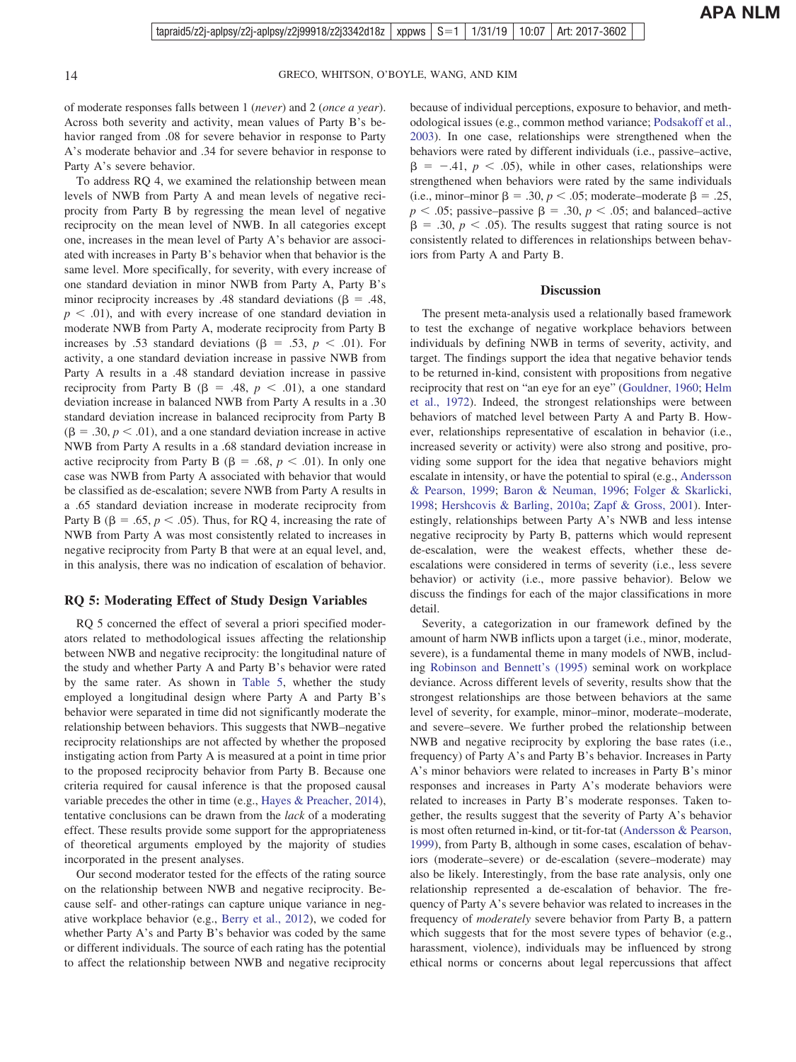of moderate responses falls between 1 (*never*) and 2 (*once a year*). Across both severity and activity, mean values of Party B's behavior ranged from .08 for severe behavior in response to Party A's moderate behavior and .34 for severe behavior in response to Party A's severe behavior.

To address RQ 4, we examined the relationship between mean levels of NWB from Party A and mean levels of negative reciprocity from Party B by regressing the mean level of negative reciprocity on the mean level of NWB. In all categories except one, increases in the mean level of Party A's behavior are associated with increases in Party B's behavior when that behavior is the same level. More specifically, for severity, with every increase of one standard deviation in minor NWB from Party A, Party B's minor reciprocity increases by .48 standard deviations ( $\beta = .48$ ,  $p \leq .01$ ), and with every increase of one standard deviation in moderate NWB from Party A, moderate reciprocity from Party B increases by .53 standard deviations ( $\beta = .53$ ,  $p < .01$ ). For activity, a one standard deviation increase in passive NWB from Party A results in a .48 standard deviation increase in passive reciprocity from Party B ( $\beta$  = .48,  $p$  < .01), a one standard deviation increase in balanced NWB from Party A results in a .30 standard deviation increase in balanced reciprocity from Party B  $(\beta = .30, p < .01)$ , and a one standard deviation increase in active NWB from Party A results in a .68 standard deviation increase in active reciprocity from Party B ( $\beta = .68, p < .01$ ). In only one case was NWB from Party A associated with behavior that would be classified as de-escalation; severe NWB from Party A results in a .65 standard deviation increase in moderate reciprocity from Party B ( $\beta = .65$ ,  $p < .05$ ). Thus, for RQ 4, increasing the rate of NWB from Party A was most consistently related to increases in negative reciprocity from Party B that were at an equal level, and, in this analysis, there was no indication of escalation of behavior.

#### **RQ 5: Moderating Effect of Study Design Variables**

RQ 5 concerned the effect of several a priori specified moderators related to methodological issues affecting the relationship between NWB and negative reciprocity: the longitudinal nature of the study and whether Party A and Party B's behavior were rated by the same rater. As shown in [Table 5,](#page-12-0) whether the study employed a longitudinal design where Party A and Party B's behavior were separated in time did not significantly moderate the relationship between behaviors. This suggests that NWB–negative reciprocity relationships are not affected by whether the proposed instigating action from Party A is measured at a point in time prior to the proposed reciprocity behavior from Party B. Because one criteria required for causal inference is that the proposed causal variable precedes the other in time (e.g., [Hayes & Preacher, 2014\)](#page-21-0), tentative conclusions can be drawn from the *lack* of a moderating effect. These results provide some support for the appropriateness of theoretical arguments employed by the majority of studies incorporated in the present analyses.

Our second moderator tested for the effects of the rating source on the relationship between NWB and negative reciprocity. Because self- and other-ratings can capture unique variance in negative workplace behavior (e.g., [Berry et al., 2012\)](#page-18-0), we coded for whether Party A's and Party B's behavior was coded by the same or different individuals. The source of each rating has the potential to affect the relationship between NWB and negative reciprocity because of individual perceptions, exposure to behavior, and methodological issues (e.g., common method variance; [Podsakoff et al.,](#page-24-0) [2003\)](#page-24-0). In one case, relationships were strengthened when the behaviors were rated by different individuals (i.e., passive–active,  $\beta$  = -.41,  $p$  < .05), while in other cases, relationships were strengthened when behaviors were rated by the same individuals (i.e., minor–minor  $\beta = .30, p < .05$ ; moderate–moderate  $\beta = .25$ ,  $p < .05$ ; passive–passive  $\beta = .30$ ,  $p < .05$ ; and balanced–active  $\beta = .30, p < .05$ ). The results suggest that rating source is not consistently related to differences in relationships between behaviors from Party A and Party B.

#### **Discussion**

The present meta-analysis used a relationally based framework to test the exchange of negative workplace behaviors between individuals by defining NWB in terms of severity, activity, and target. The findings support the idea that negative behavior tends to be returned in-kind, consistent with propositions from negative reciprocity that rest on "an eye for an eye" [\(Gouldner, 1960;](#page-20-0) [Helm](#page-21-0) [et al., 1972\)](#page-21-0). Indeed, the strongest relationships were between behaviors of matched level between Party A and Party B. However, relationships representative of escalation in behavior (i.e., increased severity or activity) were also strong and positive, providing some support for the idea that negative behaviors might escalate in intensity, or have the potential to spiral (e.g., [Andersson](#page-17-0) [& Pearson, 1999;](#page-17-0) [Baron & Neuman, 1996;](#page-18-0) [Folger & Skarlicki,](#page-20-0) [1998;](#page-20-0) [Hershcovis & Barling, 2010a;](#page-21-0) [Zapf & Gross, 2001\)](#page-26-0). Interestingly, relationships between Party A's NWB and less intense negative reciprocity by Party B, patterns which would represent de-escalation, were the weakest effects, whether these deescalations were considered in terms of severity (i.e., less severe behavior) or activity (i.e., more passive behavior). Below we discuss the findings for each of the major classifications in more detail.

Severity, a categorization in our framework defined by the amount of harm NWB inflicts upon a target (i.e., minor, moderate, severe), is a fundamental theme in many models of NWB, including [Robinson and Bennett's \(1995\)](#page-24-0) seminal work on workplace deviance. Across different levels of severity, results show that the strongest relationships are those between behaviors at the same level of severity, for example, minor–minor, moderate–moderate, and severe–severe. We further probed the relationship between NWB and negative reciprocity by exploring the base rates (i.e., frequency) of Party A's and Party B's behavior. Increases in Party A's minor behaviors were related to increases in Party B's minor responses and increases in Party A's moderate behaviors were related to increases in Party B's moderate responses. Taken together, the results suggest that the severity of Party A's behavior is most often returned in-kind, or tit-for-tat [\(Andersson & Pearson,](#page-17-0) [1999\)](#page-17-0), from Party B, although in some cases, escalation of behaviors (moderate–severe) or de-escalation (severe–moderate) may also be likely. Interestingly, from the base rate analysis, only one relationship represented a de-escalation of behavior. The frequency of Party A's severe behavior was related to increases in the frequency of *moderately* severe behavior from Party B, a pattern which suggests that for the most severe types of behavior (e.g., harassment, violence), individuals may be influenced by strong ethical norms or concerns about legal repercussions that affect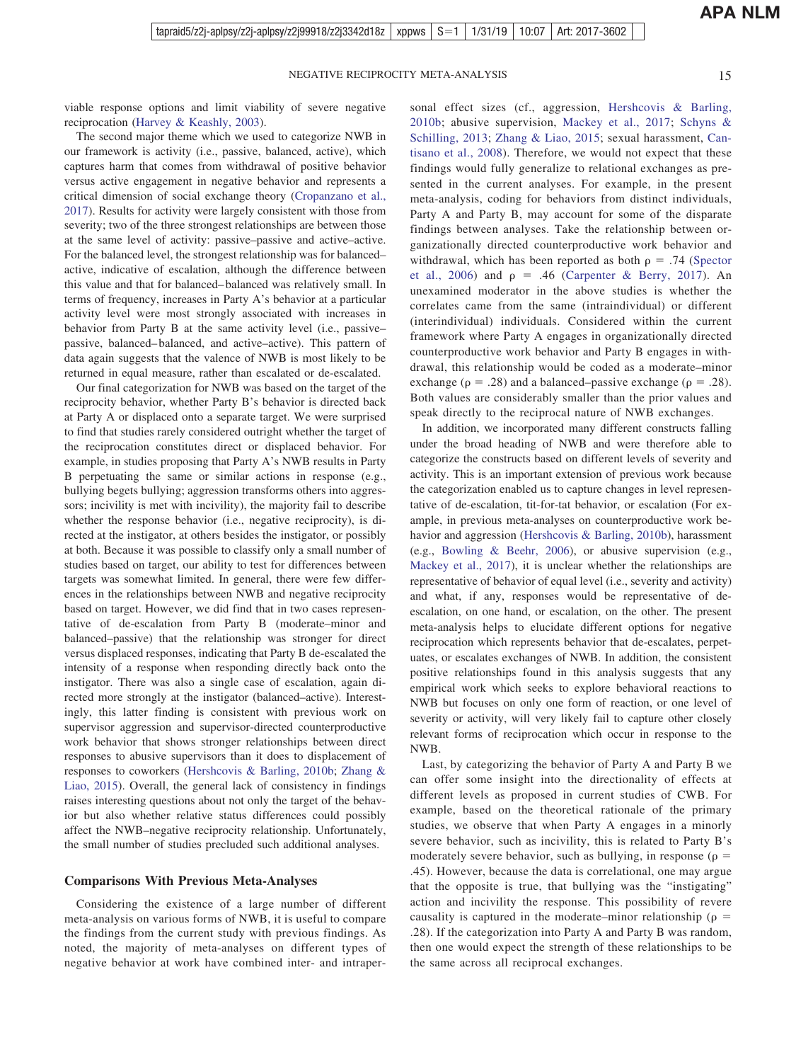viable response options and limit viability of severe negative reciprocation [\(Harvey & Keashly, 2003\)](#page-21-0).

The second major theme which we used to categorize NWB in our framework is activity (i.e., passive, balanced, active), which captures harm that comes from withdrawal of positive behavior versus active engagement in negative behavior and represents a critical dimension of social exchange theory [\(Cropanzano et al.,](#page-19-0) [2017\)](#page-19-0). Results for activity were largely consistent with those from severity; two of the three strongest relationships are between those at the same level of activity: passive–passive and active–active. For the balanced level, the strongest relationship was for balanced– active, indicative of escalation, although the difference between this value and that for balanced– balanced was relatively small. In terms of frequency, increases in Party A's behavior at a particular activity level were most strongly associated with increases in behavior from Party B at the same activity level (i.e., passive– passive, balanced– balanced, and active–active). This pattern of data again suggests that the valence of NWB is most likely to be returned in equal measure, rather than escalated or de-escalated.

Our final categorization for NWB was based on the target of the reciprocity behavior, whether Party B's behavior is directed back at Party A or displaced onto a separate target. We were surprised to find that studies rarely considered outright whether the target of the reciprocation constitutes direct or displaced behavior. For example, in studies proposing that Party A's NWB results in Party B perpetuating the same or similar actions in response (e.g., bullying begets bullying; aggression transforms others into aggressors; incivility is met with incivility), the majority fail to describe whether the response behavior (i.e., negative reciprocity), is directed at the instigator, at others besides the instigator, or possibly at both. Because it was possible to classify only a small number of studies based on target, our ability to test for differences between targets was somewhat limited. In general, there were few differences in the relationships between NWB and negative reciprocity based on target. However, we did find that in two cases representative of de-escalation from Party B (moderate–minor and balanced–passive) that the relationship was stronger for direct versus displaced responses, indicating that Party B de-escalated the intensity of a response when responding directly back onto the instigator. There was also a single case of escalation, again directed more strongly at the instigator (balanced–active). Interestingly, this latter finding is consistent with previous work on supervisor aggression and supervisor-directed counterproductive work behavior that shows stronger relationships between direct responses to abusive supervisors than it does to displacement of responses to coworkers [\(Hershcovis & Barling, 2010b;](#page-21-0) [Zhang &](#page-26-0) [Liao, 2015\)](#page-26-0). Overall, the general lack of consistency in findings raises interesting questions about not only the target of the behavior but also whether relative status differences could possibly affect the NWB–negative reciprocity relationship. Unfortunately, the small number of studies precluded such additional analyses.

#### **Comparisons With Previous Meta-Analyses**

Considering the existence of a large number of different meta-analysis on various forms of NWB, it is useful to compare the findings from the current study with previous findings. As noted, the majority of meta-analyses on different types of negative behavior at work have combined inter- and intraper-

sonal effect sizes (cf., aggression, [Hershcovis & Barling,](#page-21-0) [2010b;](#page-21-0) abusive supervision, [Mackey et al., 2017;](#page-23-0) [Schyns &](#page-25-0) [Schilling, 2013;](#page-25-0) [Zhang & Liao, 2015;](#page-26-0) sexual harassment, [Can](#page-19-0)[tisano et al., 2008\)](#page-19-0). Therefore, we would not expect that these findings would fully generalize to relational exchanges as presented in the current analyses. For example, in the present meta-analysis, coding for behaviors from distinct individuals, Party A and Party B, may account for some of the disparate findings between analyses. Take the relationship between organizationally directed counterproductive work behavior and withdrawal, which has been reported as both  $\rho = .74$  [\(Spector](#page-25-0) [et al., 2006\)](#page-25-0) and  $p = .46$  [\(Carpenter & Berry, 2017\)](#page-19-0). An unexamined moderator in the above studies is whether the correlates came from the same (intraindividual) or different (interindividual) individuals. Considered within the current framework where Party A engages in organizationally directed counterproductive work behavior and Party B engages in withdrawal, this relationship would be coded as a moderate–minor exchange ( $\rho = .28$ ) and a balanced–passive exchange ( $\rho = .28$ ). Both values are considerably smaller than the prior values and speak directly to the reciprocal nature of NWB exchanges.

In addition, we incorporated many different constructs falling under the broad heading of NWB and were therefore able to categorize the constructs based on different levels of severity and activity. This is an important extension of previous work because the categorization enabled us to capture changes in level representative of de-escalation, tit-for-tat behavior, or escalation (For example, in previous meta-analyses on counterproductive work behavior and aggression [\(Hershcovis & Barling, 2010b\)](#page-21-0), harassment (e.g., [Bowling & Beehr, 2006\)](#page-18-0), or abusive supervision (e.g., [Mackey et al., 2017\)](#page-23-0), it is unclear whether the relationships are representative of behavior of equal level (i.e., severity and activity) and what, if any, responses would be representative of deescalation, on one hand, or escalation, on the other. The present meta-analysis helps to elucidate different options for negative reciprocation which represents behavior that de-escalates, perpetuates, or escalates exchanges of NWB. In addition, the consistent positive relationships found in this analysis suggests that any empirical work which seeks to explore behavioral reactions to NWB but focuses on only one form of reaction, or one level of severity or activity, will very likely fail to capture other closely relevant forms of reciprocation which occur in response to the NWB.

Last, by categorizing the behavior of Party A and Party B we can offer some insight into the directionality of effects at different levels as proposed in current studies of CWB. For example, based on the theoretical rationale of the primary studies, we observe that when Party A engages in a minorly severe behavior, such as incivility, this is related to Party B's moderately severe behavior, such as bullying, in response ( $\rho =$ .45). However, because the data is correlational, one may argue that the opposite is true, that bullying was the "instigating" action and incivility the response. This possibility of revere causality is captured in the moderate–minor relationship ( $\rho =$ .28). If the categorization into Party A and Party B was random, then one would expect the strength of these relationships to be the same across all reciprocal exchanges.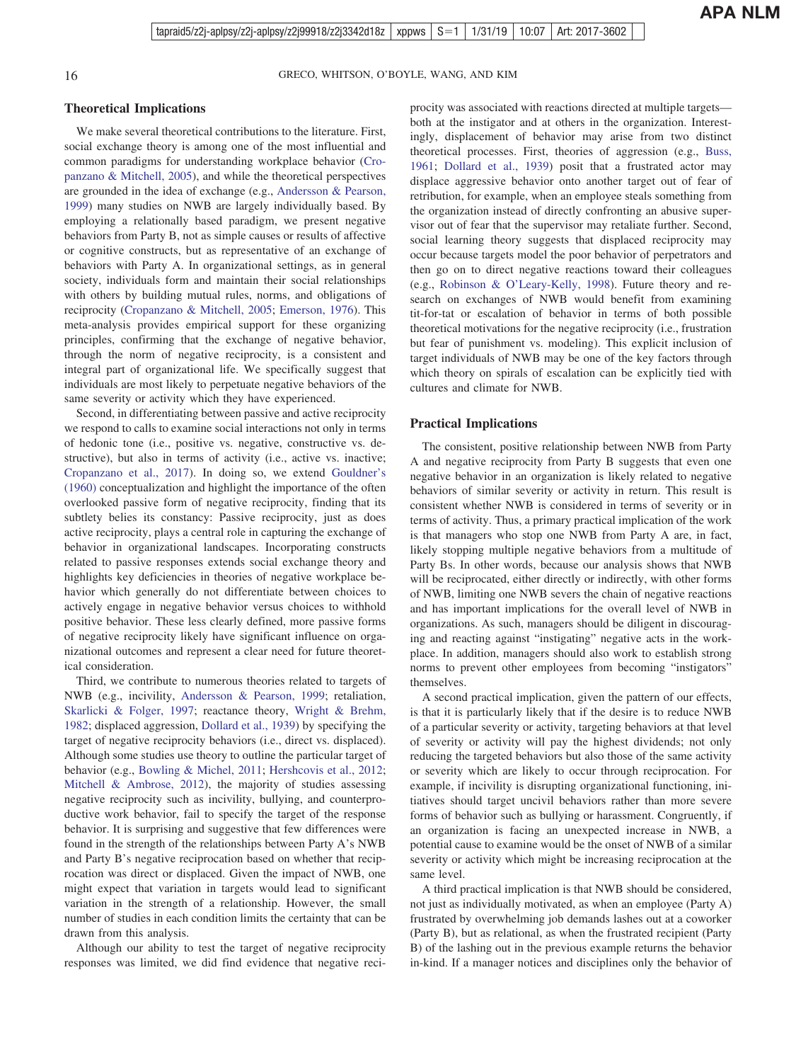### **Theoretical Implications**

We make several theoretical contributions to the literature. First, social exchange theory is among one of the most influential and common paradigms for understanding workplace behavior [\(Cro](#page-19-0)[panzano & Mitchell, 2005\)](#page-19-0), and while the theoretical perspectives are grounded in the idea of exchange (e.g., [Andersson & Pearson,](#page-17-0) [1999\)](#page-17-0) many studies on NWB are largely individually based. By employing a relationally based paradigm, we present negative behaviors from Party B, not as simple causes or results of affective or cognitive constructs, but as representative of an exchange of behaviors with Party A. In organizational settings, as in general society, individuals form and maintain their social relationships with others by building mutual rules, norms, and obligations of reciprocity [\(Cropanzano & Mitchell, 2005;](#page-19-0) [Emerson, 1976\)](#page-20-0). This meta-analysis provides empirical support for these organizing principles, confirming that the exchange of negative behavior, through the norm of negative reciprocity, is a consistent and integral part of organizational life. We specifically suggest that individuals are most likely to perpetuate negative behaviors of the same severity or activity which they have experienced.

Second, in differentiating between passive and active reciprocity we respond to calls to examine social interactions not only in terms of hedonic tone (i.e., positive vs. negative, constructive vs. destructive), but also in terms of activity (i.e., active vs. inactive; [Cropanzano et al., 2017\)](#page-19-0). In doing so, we extend [Gouldner's](#page-20-0) [\(1960\)](#page-20-0) conceptualization and highlight the importance of the often overlooked passive form of negative reciprocity, finding that its subtlety belies its constancy: Passive reciprocity, just as does active reciprocity, plays a central role in capturing the exchange of behavior in organizational landscapes. Incorporating constructs related to passive responses extends social exchange theory and highlights key deficiencies in theories of negative workplace behavior which generally do not differentiate between choices to actively engage in negative behavior versus choices to withhold positive behavior. These less clearly defined, more passive forms of negative reciprocity likely have significant influence on organizational outcomes and represent a clear need for future theoretical consideration.

Third, we contribute to numerous theories related to targets of NWB (e.g., incivility, [Andersson & Pearson, 1999;](#page-17-0) retaliation, [Skarlicki & Folger, 1997;](#page-25-0) reactance theory, [Wright & Brehm,](#page-26-0) [1982;](#page-26-0) displaced aggression, [Dollard et al., 1939\)](#page-19-0) by specifying the target of negative reciprocity behaviors (i.e., direct vs. displaced). Although some studies use theory to outline the particular target of behavior (e.g., [Bowling & Michel, 2011;](#page-18-0) [Hershcovis et al., 2012;](#page-21-0) [Mitchell & Ambrose, 2012\)](#page-23-0), the majority of studies assessing negative reciprocity such as incivility, bullying, and counterproductive work behavior, fail to specify the target of the response behavior. It is surprising and suggestive that few differences were found in the strength of the relationships between Party A's NWB and Party B's negative reciprocation based on whether that reciprocation was direct or displaced. Given the impact of NWB, one might expect that variation in targets would lead to significant variation in the strength of a relationship. However, the small number of studies in each condition limits the certainty that can be drawn from this analysis.

Although our ability to test the target of negative reciprocity responses was limited, we did find evidence that negative reciprocity was associated with reactions directed at multiple targets both at the instigator and at others in the organization. Interestingly, displacement of behavior may arise from two distinct theoretical processes. First, theories of aggression (e.g., [Buss,](#page-19-0) [1961;](#page-19-0) [Dollard et al., 1939\)](#page-19-0) posit that a frustrated actor may displace aggressive behavior onto another target out of fear of retribution, for example, when an employee steals something from the organization instead of directly confronting an abusive supervisor out of fear that the supervisor may retaliate further. Second, social learning theory suggests that displaced reciprocity may occur because targets model the poor behavior of perpetrators and then go on to direct negative reactions toward their colleagues (e.g., [Robinson & O'Leary-Kelly, 1998\)](#page-24-0). Future theory and research on exchanges of NWB would benefit from examining tit-for-tat or escalation of behavior in terms of both possible theoretical motivations for the negative reciprocity (i.e., frustration but fear of punishment vs. modeling). This explicit inclusion of target individuals of NWB may be one of the key factors through which theory on spirals of escalation can be explicitly tied with cultures and climate for NWB.

#### **Practical Implications**

The consistent, positive relationship between NWB from Party A and negative reciprocity from Party B suggests that even one negative behavior in an organization is likely related to negative behaviors of similar severity or activity in return. This result is consistent whether NWB is considered in terms of severity or in terms of activity. Thus, a primary practical implication of the work is that managers who stop one NWB from Party A are, in fact, likely stopping multiple negative behaviors from a multitude of Party Bs. In other words, because our analysis shows that NWB will be reciprocated, either directly or indirectly, with other forms of NWB, limiting one NWB severs the chain of negative reactions and has important implications for the overall level of NWB in organizations. As such, managers should be diligent in discouraging and reacting against "instigating" negative acts in the workplace. In addition, managers should also work to establish strong norms to prevent other employees from becoming "instigators" themselves.

A second practical implication, given the pattern of our effects, is that it is particularly likely that if the desire is to reduce NWB of a particular severity or activity, targeting behaviors at that level of severity or activity will pay the highest dividends; not only reducing the targeted behaviors but also those of the same activity or severity which are likely to occur through reciprocation. For example, if incivility is disrupting organizational functioning, initiatives should target uncivil behaviors rather than more severe forms of behavior such as bullying or harassment. Congruently, if an organization is facing an unexpected increase in NWB, a potential cause to examine would be the onset of NWB of a similar severity or activity which might be increasing reciprocation at the same level.

A third practical implication is that NWB should be considered, not just as individually motivated, as when an employee (Party A) frustrated by overwhelming job demands lashes out at a coworker (Party B), but as relational, as when the frustrated recipient (Party B) of the lashing out in the previous example returns the behavior in-kind. If a manager notices and disciplines only the behavior of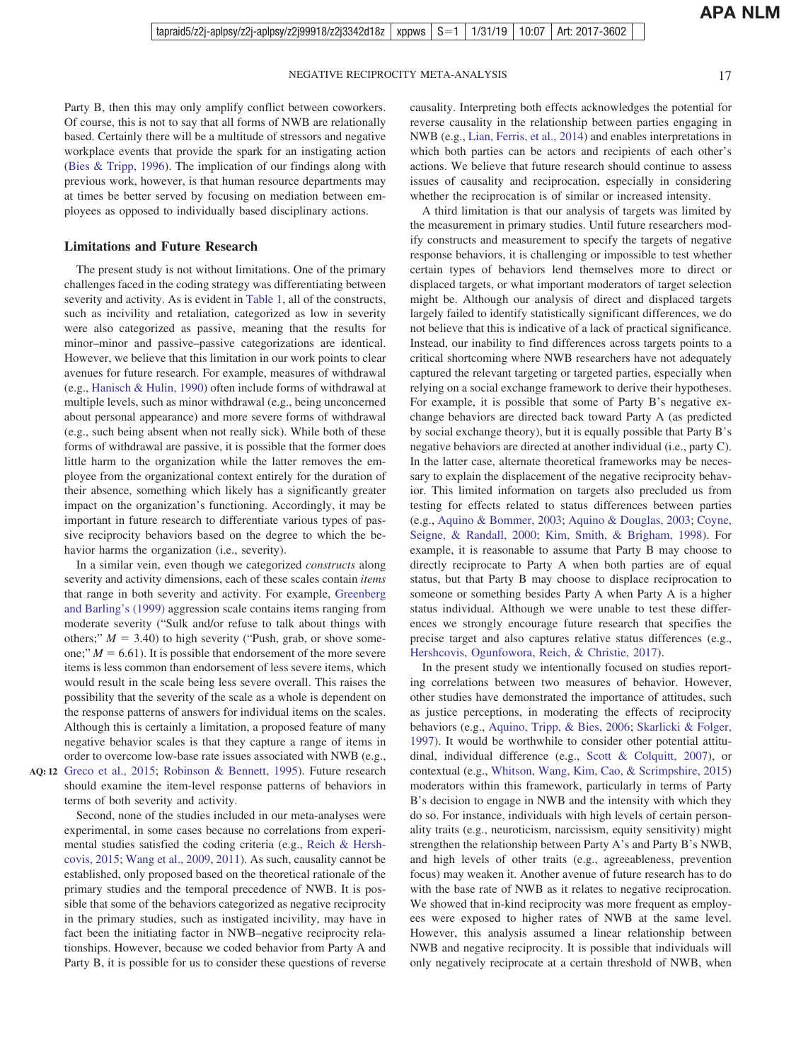Party B, then this may only amplify conflict between coworkers. Of course, this is not to say that all forms of NWB are relationally based. Certainly there will be a multitude of stressors and negative workplace events that provide the spark for an instigating action [\(Bies & Tripp, 1996\)](#page-18-0). The implication of our findings along with previous work, however, is that human resource departments may at times be better served by focusing on mediation between employees as opposed to individually based disciplinary actions.

#### **Limitations and Future Research**

The present study is not without limitations. One of the primary challenges faced in the coding strategy was differentiating between severity and activity. As is evident in [Table 1,](#page-2-0) all of the constructs, such as incivility and retaliation, categorized as low in severity were also categorized as passive, meaning that the results for minor–minor and passive–passive categorizations are identical. However, we believe that this limitation in our work points to clear avenues for future research. For example, measures of withdrawal (e.g., [Hanisch & Hulin, 1990\)](#page-21-0) often include forms of withdrawal at multiple levels, such as minor withdrawal (e.g., being unconcerned about personal appearance) and more severe forms of withdrawal (e.g., such being absent when not really sick). While both of these forms of withdrawal are passive, it is possible that the former does little harm to the organization while the latter removes the employee from the organizational context entirely for the duration of their absence, something which likely has a significantly greater impact on the organization's functioning. Accordingly, it may be important in future research to differentiate various types of passive reciprocity behaviors based on the degree to which the behavior harms the organization (i.e., severity).

In a similar vein, even though we categorized *constructs* along severity and activity dimensions, each of these scales contain *items* that range in both severity and activity. For example, [Greenberg](#page-20-0) [and Barling's \(1999\)](#page-20-0) aggression scale contains items ranging from moderate severity ("Sulk and/or refuse to talk about things with others;"  $M = 3.40$ ) to high severity ("Push, grab, or shove someone;"  $M = 6.61$ ). It is possible that endorsement of the more severe items is less common than endorsement of less severe items, which would result in the scale being less severe overall. This raises the possibility that the severity of the scale as a whole is dependent on the response patterns of answers for individual items on the scales. Although this is certainly a limitation, a proposed feature of many negative behavior scales is that they capture a range of items in order to overcome low-base rate issues associated with NWB (e.g., AQ: 12 [Greco et al., 2015;](#page-20-0) [Robinson & Bennett, 1995\)](#page-24-0). Future research

 $\frac{1}{2}$ 

should examine the item-level response patterns of behaviors in terms of both severity and activity.

Second, none of the studies included in our meta-analyses were experimental, in some cases because no correlations from experimental studies satisfied the coding criteria (e.g., [Reich & Hersh](#page-24-0)[covis, 2015;](#page-24-0) [Wang et al., 2009,](#page-26-0) [2011\)](#page-26-0). As such, causality cannot be established, only proposed based on the theoretical rationale of the primary studies and the temporal precedence of NWB. It is possible that some of the behaviors categorized as negative reciprocity in the primary studies, such as instigated incivility, may have in fact been the initiating factor in NWB–negative reciprocity relationships. However, because we coded behavior from Party A and Party B, it is possible for us to consider these questions of reverse

causality. Interpreting both effects acknowledges the potential for reverse causality in the relationship between parties engaging in NWB (e.g., [Lian, Ferris, et al., 2014\)](#page-22-0) and enables interpretations in which both parties can be actors and recipients of each other's actions. We believe that future research should continue to assess issues of causality and reciprocation, especially in considering whether the reciprocation is of similar or increased intensity.

A third limitation is that our analysis of targets was limited by the measurement in primary studies. Until future researchers modify constructs and measurement to specify the targets of negative response behaviors, it is challenging or impossible to test whether certain types of behaviors lend themselves more to direct or displaced targets, or what important moderators of target selection might be. Although our analysis of direct and displaced targets largely failed to identify statistically significant differences, we do not believe that this is indicative of a lack of practical significance. Instead, our inability to find differences across targets points to a critical shortcoming where NWB researchers have not adequately captured the relevant targeting or targeted parties, especially when relying on a social exchange framework to derive their hypotheses. For example, it is possible that some of Party B's negative exchange behaviors are directed back toward Party A (as predicted by social exchange theory), but it is equally possible that Party B's negative behaviors are directed at another individual (i.e., party C). In the latter case, alternate theoretical frameworks may be necessary to explain the displacement of the negative reciprocity behavior. This limited information on targets also precluded us from testing for effects related to status differences between parties (e.g., [Aquino & Bommer, 2003;](#page-17-0) [Aquino & Douglas, 2003;](#page-17-0) [Coyne,](#page-19-0) [Seigne, & Randall, 2000;](#page-19-0) [Kim, Smith, & Brigham, 1998\)](#page-22-0). For example, it is reasonable to assume that Party B may choose to directly reciprocate to Party A when both parties are of equal status, but that Party B may choose to displace reciprocation to someone or something besides Party A when Party A is a higher status individual. Although we were unable to test these differences we strongly encourage future research that specifies the precise target and also captures relative status differences (e.g., [Hershcovis, Ogunfowora, Reich, & Christie, 2017\)](#page-21-0).

In the present study we intentionally focused on studies reporting correlations between two measures of behavior. However, other studies have demonstrated the importance of attitudes, such as justice perceptions, in moderating the effects of reciprocity behaviors (e.g., [Aquino, Tripp, & Bies, 2006;](#page-17-0) [Skarlicki & Folger,](#page-25-0) [1997\)](#page-25-0). It would be worthwhile to consider other potential attitudinal, individual difference (e.g., [Scott & Colquitt, 2007\)](#page-25-0), or contextual (e.g., [Whitson, Wang, Kim, Cao, & Scrimpshire, 2015\)](#page-26-0) moderators within this framework, particularly in terms of Party B's decision to engage in NWB and the intensity with which they do so. For instance, individuals with high levels of certain personality traits (e.g., neuroticism, narcissism, equity sensitivity) might strengthen the relationship between Party A's and Party B's NWB, and high levels of other traits (e.g., agreeableness, prevention focus) may weaken it. Another avenue of future research has to do with the base rate of NWB as it relates to negative reciprocation. We showed that in-kind reciprocity was more frequent as employees were exposed to higher rates of NWB at the same level. However, this analysis assumed a linear relationship between NWB and negative reciprocity. It is possible that individuals will only negatively reciprocate at a certain threshold of NWB, when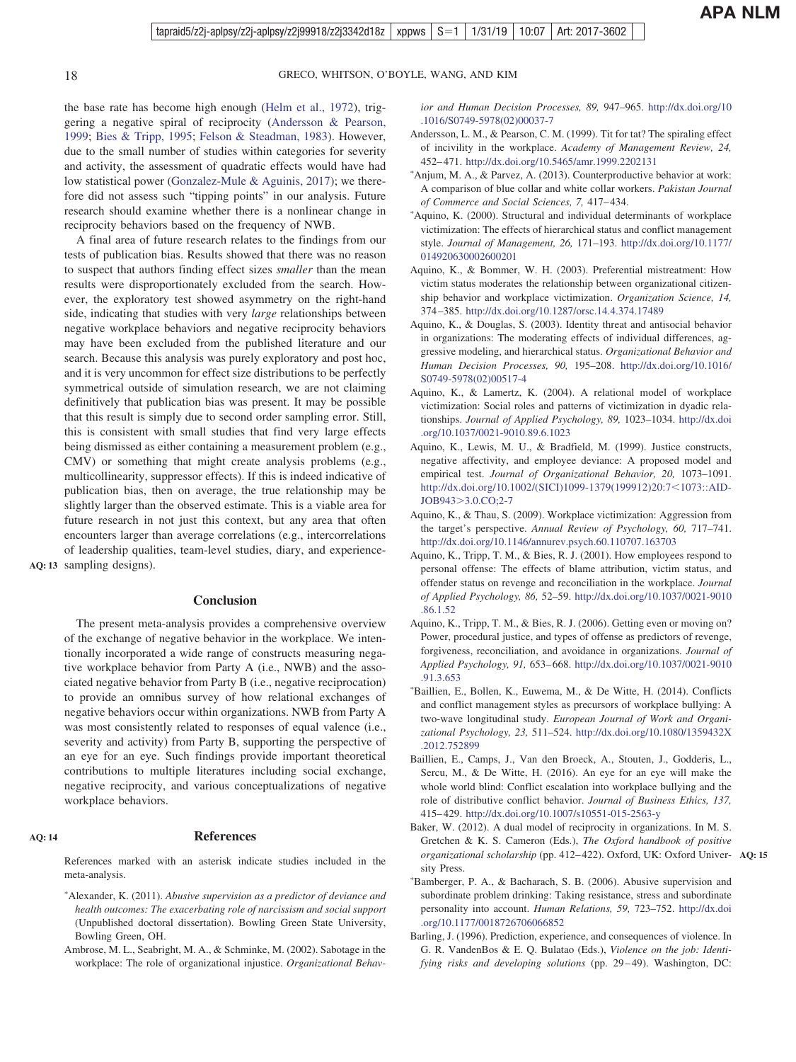<span id="page-17-0"></span>

the base rate has become high enough [\(Helm et al., 1972\)](#page-21-0), triggering a negative spiral of reciprocity (Andersson & Pearson, 1999; [Bies & Tripp, 1995;](#page-18-0) [Felson & Steadman, 1983\)](#page-20-0). However, due to the small number of studies within categories for severity and activity, the assessment of quadratic effects would have had low statistical power [\(Gonzalez-Mule & Aguinis, 2017\)](#page-20-0); we therefore did not assess such "tipping points" in our analysis. Future research should examine whether there is a nonlinear change in reciprocity behaviors based on the frequency of NWB.

A final area of future research relates to the findings from our tests of publication bias. Results showed that there was no reason to suspect that authors finding effect sizes *smaller* than the mean results were disproportionately excluded from the search. However, the exploratory test showed asymmetry on the right-hand side, indicating that studies with very *large* relationships between negative workplace behaviors and negative reciprocity behaviors may have been excluded from the published literature and our search. Because this analysis was purely exploratory and post hoc, and it is very uncommon for effect size distributions to be perfectly symmetrical outside of simulation research, we are not claiming definitively that publication bias was present. It may be possible that this result is simply due to second order sampling error. Still, this is consistent with small studies that find very large effects being dismissed as either containing a measurement problem (e.g., CMV) or something that might create analysis problems (e.g., multicollinearity, suppressor effects). If this is indeed indicative of publication bias, then on average, the true relationship may be slightly larger than the observed estimate. This is a viable area for future research in not just this context, but any area that often encounters larger than average correlations (e.g., intercorrelations of leadership qualities, team-level studies, diary, and experience-

AQ: 13 sampling designs).

 $\frac{1}{2}$ 

#### **Conclusion**

The present meta-analysis provides a comprehensive overview of the exchange of negative behavior in the workplace. We intentionally incorporated a wide range of constructs measuring negative workplace behavior from Party A (i.e., NWB) and the associated negative behavior from Party B (i.e., negative reciprocation) to provide an omnibus survey of how relational exchanges of negative behaviors occur within organizations. NWB from Party A was most consistently related to responses of equal valence (i.e., severity and activity) from Party B, supporting the perspective of an eye for an eye. Such findings provide important theoretical contributions to multiple literatures including social exchange, negative reciprocity, and various conceptualizations of negative workplace behaviors.

#### **AQ: 14**

#### **References**

References marked with an asterisk indicate studies included in the meta-analysis.

- \*Alexander, K. (2011). *Abusive supervision as a predictor of deviance and health outcomes: The exacerbating role of narcissism and social support* (Unpublished doctoral dissertation). Bowling Green State University, Bowling Green, OH.
- Ambrose, M. L., Seabright, M. A., & Schminke, M. (2002). Sabotage in the workplace: The role of organizational injustice. *Organizational Behav-*

*ior and Human Decision Processes, 89,* 947–965. [http://dx.doi.org/10](http://dx.doi.org/10.1016/S0749-5978%2802%2900037-7) [.1016/S0749-5978\(02\)00037-7](http://dx.doi.org/10.1016/S0749-5978%2802%2900037-7)

- Andersson, L. M., & Pearson, C. M. (1999). Tit for tat? The spiraling effect of incivility in the workplace. *Academy of Management Review, 24,* 452– 471. <http://dx.doi.org/10.5465/amr.1999.2202131>
- \*Anjum, M. A., & Parvez, A. (2013). Counterproductive behavior at work: A comparison of blue collar and white collar workers. *Pakistan Journal of Commerce and Social Sciences, 7,* 417– 434.
- \*Aquino, K. (2000). Structural and individual determinants of workplace victimization: The effects of hierarchical status and conflict management style. *Journal of Management, 26,* 171–193. [http://dx.doi.org/10.1177/](http://dx.doi.org/10.1177/014920630002600201) [014920630002600201](http://dx.doi.org/10.1177/014920630002600201)
- Aquino, K., & Bommer, W. H. (2003). Preferential mistreatment: How victim status moderates the relationship between organizational citizenship behavior and workplace victimization. *Organization Science, 14,* 374 –385. <http://dx.doi.org/10.1287/orsc.14.4.374.17489>
- Aquino, K., & Douglas, S. (2003). Identity threat and antisocial behavior in organizations: The moderating effects of individual differences, aggressive modeling, and hierarchical status. *Organizational Behavior and Human Decision Processes, 90,* 195–208. [http://dx.doi.org/10.1016/](http://dx.doi.org/10.1016/S0749-5978%2802%2900517-4) [S0749-5978\(02\)00517-4](http://dx.doi.org/10.1016/S0749-5978%2802%2900517-4)
- Aquino, K., & Lamertz, K. (2004). A relational model of workplace victimization: Social roles and patterns of victimization in dyadic relationships. *Journal of Applied Psychology, 89,* 1023–1034. [http://dx.doi](http://dx.doi.org/10.1037/0021-9010.89.6.1023) [.org/10.1037/0021-9010.89.6.1023](http://dx.doi.org/10.1037/0021-9010.89.6.1023)
- Aquino, K., Lewis, M. U., & Bradfield, M. (1999). Justice constructs, negative affectivity, and employee deviance: A proposed model and empirical test. *Journal of Organizational Behavior, 20,* 1073–1091. [http://dx.doi.org/10.1002/\(SICI\)1099-1379\(199912\)20:7](http://dx.doi.org/10.1002/%28SICI%291099-1379%28199912%2920:7%3C1073::AID-JOB943%3E3.0.CO;2-7)<1073::AID-JOB943>[3.0.CO;2-7](http://dx.doi.org/10.1002/%28SICI%291099-1379%28199912%2920:7%3C1073::AID-JOB943%3E3.0.CO;2-7)
- Aquino, K., & Thau, S. (2009). Workplace victimization: Aggression from the target's perspective. *Annual Review of Psychology, 60,* 717–741. <http://dx.doi.org/10.1146/annurev.psych.60.110707.163703>
- Aquino, K., Tripp, T. M., & Bies, R. J. (2001). How employees respond to personal offense: The effects of blame attribution, victim status, and offender status on revenge and reconciliation in the workplace. *Journal of Applied Psychology, 86,* 52–59. [http://dx.doi.org/10.1037/0021-9010](http://dx.doi.org/10.1037/0021-9010.86.1.52) [.86.1.52](http://dx.doi.org/10.1037/0021-9010.86.1.52)
- Aquino, K., Tripp, T. M., & Bies, R. J. (2006). Getting even or moving on? Power, procedural justice, and types of offense as predictors of revenge, forgiveness, reconciliation, and avoidance in organizations. *Journal of Applied Psychology, 91,* 653– 668. [http://dx.doi.org/10.1037/0021-9010](http://dx.doi.org/10.1037/0021-9010.91.3.653) [.91.3.653](http://dx.doi.org/10.1037/0021-9010.91.3.653)
- Baillien, E., Bollen, K., Euwema, M., & De Witte, H. (2014). Conflicts and conflict management styles as precursors of workplace bullying: A two-wave longitudinal study. *European Journal of Work and Organizational Psychology, 23,* 511–524. [http://dx.doi.org/10.1080/1359432X](http://dx.doi.org/10.1080/1359432X.2012.752899) [.2012.752899](http://dx.doi.org/10.1080/1359432X.2012.752899)
- Baillien, E., Camps, J., Van den Broeck, A., Stouten, J., Godderis, L., Sercu, M., & De Witte, H. (2016). An eye for an eye will make the whole world blind: Conflict escalation into workplace bullying and the role of distributive conflict behavior. *Journal of Business Ethics, 137,* 415– 429. <http://dx.doi.org/10.1007/s10551-015-2563-y>
- Baker, W. (2012). A dual model of reciprocity in organizations. In M. S. Gretchen & K. S. Cameron (Eds.), *The Oxford handbook of positive organizational scholarship* (pp. 412– 422). Oxford, UK: Oxford Univer-**AQ: 15** sity Press.
- Bamberger, P. A., & Bacharach, S. B. (2006). Abusive supervision and subordinate problem drinking: Taking resistance, stress and subordinate personality into account. *Human Relations, 59,* 723–752. [http://dx.doi](http://dx.doi.org/10.1177/0018726706066852) [.org/10.1177/0018726706066852](http://dx.doi.org/10.1177/0018726706066852)
- Barling, J. (1996). Prediction, experience, and consequences of violence. In G. R. VandenBos & E. Q. Bulatao (Eds.), *Violence on the job: Identifying risks and developing solutions* (pp. 29–49). Washington, DC: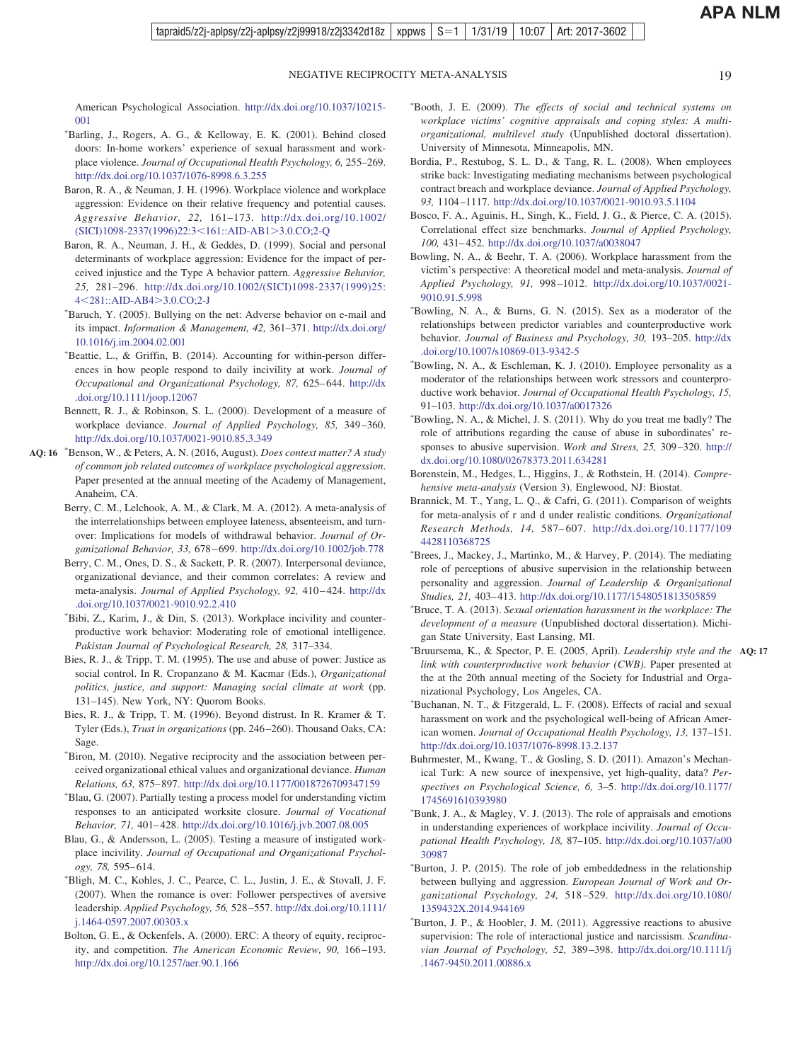<span id="page-18-0"></span>American Psychological Association. [http://dx.doi.org/10.1037/10215-](http://dx.doi.org/10.1037/10215-001) [001](http://dx.doi.org/10.1037/10215-001)

- Barling, J., Rogers, A. G., & Kelloway, E. K. (2001). Behind closed doors: In-home workers' experience of sexual harassment and workplace violence. *Journal of Occupational Health Psychology, 6,* 255–269. <http://dx.doi.org/10.1037/1076-8998.6.3.255>
- Baron, R. A., & Neuman, J. H. (1996). Workplace violence and workplace aggression: Evidence on their relative frequency and potential causes. *Aggressive Behavior, 22,* 161–173. [http://dx.doi.org/10.1002/](http://dx.doi.org/10.1002/%28SICI%291098-2337%281996%2922:3%3C161::AID-AB1%3E3.0.CO;2-Q) [\(SICI\)1098-2337\(1996\)22:3](http://dx.doi.org/10.1002/%28SICI%291098-2337%281996%2922:3%3C161::AID-AB1%3E3.0.CO;2-Q)<161::AID-AB1>3.0.CO;2-Q
- Baron, R. A., Neuman, J. H., & Geddes, D. (1999). Social and personal determinants of workplace aggression: Evidence for the impact of perceived injustice and the Type A behavior pattern. *Aggressive Behavior, 25,* 281–296. [http://dx.doi.org/10.1002/\(SICI\)1098-2337\(1999\)25:](http://dx.doi.org/10.1002/%28SICI%291098-2337%281999%2925:4%3C281::AID-AB4%3E3.0.CO;2-J) 4<[281::AID-AB4](http://dx.doi.org/10.1002/%28SICI%291098-2337%281999%2925:4%3C281::AID-AB4%3E3.0.CO;2-J)>3.0.CO;2-J
- Baruch, Y. (2005). Bullying on the net: Adverse behavior on e-mail and its impact. *Information & Management, 42,* 361–371. [http://dx.doi.org/](http://dx.doi.org/10.1016/j.im.2004.02.001) [10.1016/j.im.2004.02.001](http://dx.doi.org/10.1016/j.im.2004.02.001)
- \*Beattie, L., & Griffin, B. (2014). Accounting for within-person differences in how people respond to daily incivility at work. *Journal of Occupational and Organizational Psychology, 87,* 625– 644. [http://dx](http://dx.doi.org/10.1111/joop.12067) [.doi.org/10.1111/joop.12067](http://dx.doi.org/10.1111/joop.12067)
- Bennett, R. J., & Robinson, S. L. (2000). Development of a measure of workplace deviance. *Journal of Applied Psychology, 85,* 349 –360. <http://dx.doi.org/10.1037/0021-9010.85.3.349>
- AQ: 16 \*Benson, W., & Peters, A. N. (2016, August). *Does context matter? A study of common job related outcomes of workplace psychological aggression*. Paper presented at the annual meeting of the Academy of Management, Anaheim, CA.

 $\frac{1}{2}$ 

- Berry, C. M., Lelchook, A. M., & Clark, M. A. (2012). A meta-analysis of the interrelationships between employee lateness, absenteeism, and turnover: Implications for models of withdrawal behavior. *Journal of Organizational Behavior, 33,* 678 – 699. <http://dx.doi.org/10.1002/job.778>
- Berry, C. M., Ones, D. S., & Sackett, P. R. (2007). Interpersonal deviance, organizational deviance, and their common correlates: A review and meta-analysis. *Journal of Applied Psychology, 92,* 410 – 424. [http://dx](http://dx.doi.org/10.1037/0021-9010.92.2.410) [.doi.org/10.1037/0021-9010.92.2.410](http://dx.doi.org/10.1037/0021-9010.92.2.410)
- Bibi, Z., Karim, J., & Din, S. (2013). Workplace incivility and counterproductive work behavior: Moderating role of emotional intelligence. *Pakistan Journal of Psychological Research, 28,* 317–334.
- Bies, R. J., & Tripp, T. M. (1995). The use and abuse of power: Justice as social control. In R. Cropanzano & M. Kacmar (Eds.), *Organizational politics, justice, and support: Managing social climate at work* (pp. 131–145). New York, NY: Quorom Books.
- Bies, R. J., & Tripp, T. M. (1996). Beyond distrust. In R. Kramer & T. Tyler (Eds.), *Trust in organizations* (pp. 246 –260). Thousand Oaks, CA: Sage.
- Biron, M. (2010). Negative reciprocity and the association between perceived organizational ethical values and organizational deviance. *Human Relations, 63,* 875– 897. <http://dx.doi.org/10.1177/0018726709347159>
- Blau, G. (2007). Partially testing a process model for understanding victim responses to an anticipated worksite closure. *Journal of Vocational Behavior, 71,* 401– 428. <http://dx.doi.org/10.1016/j.jvb.2007.08.005>
- Blau, G., & Andersson, L. (2005). Testing a measure of instigated workplace incivility. *Journal of Occupational and Organizational Psychology, 78,* 595– 614.
- Bligh, M. C., Kohles, J. C., Pearce, C. L., Justin, J. E., & Stovall, J. F. (2007). When the romance is over: Follower perspectives of aversive leadership. *Applied Psychology, 56,* 528 –557. [http://dx.doi.org/10.1111/](http://dx.doi.org/10.1111/j.1464-0597.2007.00303.x) [j.1464-0597.2007.00303.x](http://dx.doi.org/10.1111/j.1464-0597.2007.00303.x)
- Bolton, G. E., & Ockenfels, A. (2000). ERC: A theory of equity, reciprocity, and competition. *The American Economic Review*, 90, 166-193. <http://dx.doi.org/10.1257/aer.90.1.166>
- Booth, J. E. (2009). *The effects of social and technical systems on workplace victims' cognitive appraisals and coping styles: A multiorganizational, multilevel study* (Unpublished doctoral dissertation). University of Minnesota, Minneapolis, MN.
- Bordia, P., Restubog, S. L. D., & Tang, R. L. (2008). When employees strike back: Investigating mediating mechanisms between psychological contract breach and workplace deviance. *Journal of Applied Psychology, 93,* 1104 –1117. <http://dx.doi.org/10.1037/0021-9010.93.5.1104>
- Bosco, F. A., Aguinis, H., Singh, K., Field, J. G., & Pierce, C. A. (2015). Correlational effect size benchmarks. *Journal of Applied Psychology, 100,* 431– 452. <http://dx.doi.org/10.1037/a0038047>
- Bowling, N. A., & Beehr, T. A. (2006). Workplace harassment from the victim's perspective: A theoretical model and meta-analysis. *Journal of Applied Psychology, 91,* 998 –1012. [http://dx.doi.org/10.1037/0021-](http://dx.doi.org/10.1037/0021-9010.91.5.998) [9010.91.5.998](http://dx.doi.org/10.1037/0021-9010.91.5.998)
- Bowling, N. A., & Burns, G. N. (2015). Sex as a moderator of the relationships between predictor variables and counterproductive work behavior. *Journal of Business and Psychology, 30,* 193–205. [http://dx](http://dx.doi.org/10.1007/s10869-013-9342-5) [.doi.org/10.1007/s10869-013-9342-5](http://dx.doi.org/10.1007/s10869-013-9342-5)
- Bowling, N. A., & Eschleman, K. J. (2010). Employee personality as a moderator of the relationships between work stressors and counterproductive work behavior. *Journal of Occupational Health Psychology, 15,* 91–103. <http://dx.doi.org/10.1037/a0017326>
- Bowling, N. A., & Michel, J. S. (2011). Why do you treat me badly? The role of attributions regarding the cause of abuse in subordinates' responses to abusive supervision. *Work and Stress, 25,* 309 –320. [http://](http://dx.doi.org/10.1080/02678373.2011.634281) [dx.doi.org/10.1080/02678373.2011.634281](http://dx.doi.org/10.1080/02678373.2011.634281)
- Borenstein, M., Hedges, L., Higgins, J., & Rothstein, H. (2014). *Comprehensive meta-analysis* (Version 3). Englewood, NJ: Biostat.
- Brannick, M. T., Yang, L. Q., & Cafri, G. (2011). Comparison of weights for meta-analysis of r and d under realistic conditions. *Organizational Research Methods, 14,* 587– 607. [http://dx.doi.org/10.1177/109](http://dx.doi.org/10.1177/1094428110368725) [4428110368725](http://dx.doi.org/10.1177/1094428110368725)
- Brees, J., Mackey, J., Martinko, M., & Harvey, P. (2014). The mediating role of perceptions of abusive supervision in the relationship between personality and aggression. *Journal of Leadership & Organizational Studies, 21,* 403– 413. <http://dx.doi.org/10.1177/1548051813505859>
- Bruce, T. A. (2013). *Sexual orientation harassment in the workplace: The development of a measure* (Unpublished doctoral dissertation). Michigan State University, East Lansing, MI.
- Bruursema, K., & Spector, P. E. (2005, April). *Leadership style and the* **AQ: 17** *link with counterproductive work behavior (CWB)*. Paper presented at the at the 20th annual meeting of the Society for Industrial and Organizational Psychology, Los Angeles, CA.
- Buchanan, N. T., & Fitzgerald, L. F. (2008). Effects of racial and sexual harassment on work and the psychological well-being of African American women. *Journal of Occupational Health Psychology, 13,* 137–151. <http://dx.doi.org/10.1037/1076-8998.13.2.137>
- Buhrmester, M., Kwang, T., & Gosling, S. D. (2011). Amazon's Mechanical Turk: A new source of inexpensive, yet high-quality, data? *Perspectives on Psychological Science, 6,* 3–5. [http://dx.doi.org/10.1177/](http://dx.doi.org/10.1177/1745691610393980) [1745691610393980](http://dx.doi.org/10.1177/1745691610393980)
- Bunk, J. A., & Magley, V. J. (2013). The role of appraisals and emotions in understanding experiences of workplace incivility. *Journal of Occupational Health Psychology, 18,* 87–105. [http://dx.doi.org/10.1037/a00](http://dx.doi.org/10.1037/a0030987) [30987](http://dx.doi.org/10.1037/a0030987)
- Burton, J. P. (2015). The role of job embeddedness in the relationship between bullying and aggression. *European Journal of Work and Organizational Psychology, 24,* 518 –529. [http://dx.doi.org/10.1080/](http://dx.doi.org/10.1080/1359432X.2014.944169) [1359432X.2014.944169](http://dx.doi.org/10.1080/1359432X.2014.944169)
- Burton, J. P., & Hoobler, J. M. (2011). Aggressive reactions to abusive supervision: The role of interactional justice and narcissism. *Scandinavian Journal of Psychology, 52,* 389 –398. [http://dx.doi.org/10.1111/j](http://dx.doi.org/10.1111/j.1467-9450.2011.00886.x) [.1467-9450.2011.00886.x](http://dx.doi.org/10.1111/j.1467-9450.2011.00886.x)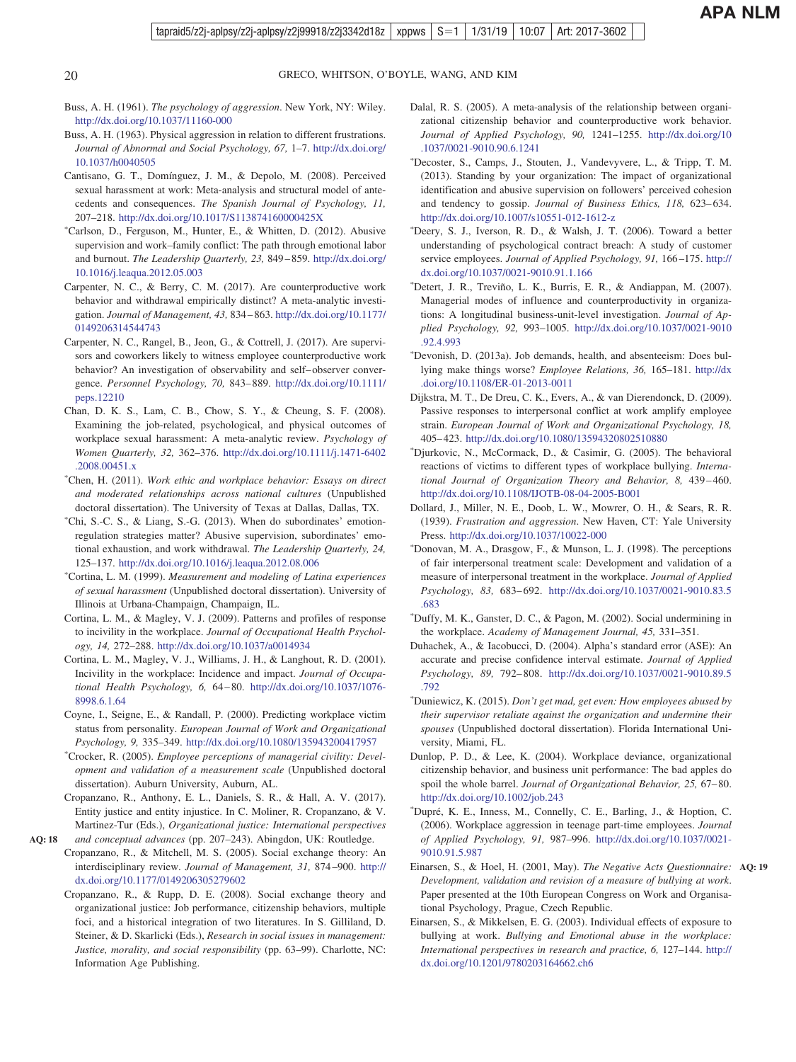<span id="page-19-0"></span>

- Buss, A. H. (1961). *The psychology of aggression*. New York, NY: Wiley. <http://dx.doi.org/10.1037/11160-000>
- Buss, A. H. (1963). Physical aggression in relation to different frustrations. *Journal of Abnormal and Social Psychology, 67,* 1–7. [http://dx.doi.org/](http://dx.doi.org/10.1037/h0040505) [10.1037/h0040505](http://dx.doi.org/10.1037/h0040505)
- Cantisano, G. T., Domínguez, J. M., & Depolo, M. (2008). Perceived sexual harassment at work: Meta-analysis and structural model of antecedents and consequences. *The Spanish Journal of Psychology, 11,* 207–218. <http://dx.doi.org/10.1017/S113874160000425X>
- Carlson, D., Ferguson, M., Hunter, E., & Whitten, D. (2012). Abusive supervision and work–family conflict: The path through emotional labor and burnout. *The Leadership Quarterly, 23,* 849 – 859. [http://dx.doi.org/](http://dx.doi.org/10.1016/j.leaqua.2012.05.003) [10.1016/j.leaqua.2012.05.003](http://dx.doi.org/10.1016/j.leaqua.2012.05.003)
- Carpenter, N. C., & Berry, C. M. (2017). Are counterproductive work behavior and withdrawal empirically distinct? A meta-analytic investigation. *Journal of Management, 43,* 834 – 863. [http://dx.doi.org/10.1177/](http://dx.doi.org/10.1177/0149206314544743) [0149206314544743](http://dx.doi.org/10.1177/0149206314544743)
- Carpenter, N. C., Rangel, B., Jeon, G., & Cottrell, J. (2017). Are supervisors and coworkers likely to witness employee counterproductive work behavior? An investigation of observability and self– observer convergence. *Personnel Psychology, 70,* 843– 889. [http://dx.doi.org/10.1111/](http://dx.doi.org/10.1111/peps.12210) [peps.12210](http://dx.doi.org/10.1111/peps.12210)
- Chan, D. K. S., Lam, C. B., Chow, S. Y., & Cheung, S. F. (2008). Examining the job-related, psychological, and physical outcomes of workplace sexual harassment: A meta-analytic review. *Psychology of Women Quarterly, 32,* 362–376. [http://dx.doi.org/10.1111/j.1471-6402](http://dx.doi.org/10.1111/j.1471-6402.2008.00451.x) [.2008.00451.x](http://dx.doi.org/10.1111/j.1471-6402.2008.00451.x)
- Chen, H. (2011). *Work ethic and workplace behavior: Essays on direct and moderated relationships across national cultures* (Unpublished doctoral dissertation). The University of Texas at Dallas, Dallas, TX.
- Chi, S.-C. S., & Liang, S.-G. (2013). When do subordinates' emotionregulation strategies matter? Abusive supervision, subordinates' emotional exhaustion, and work withdrawal. *The Leadership Quarterly, 24,* 125–137. <http://dx.doi.org/10.1016/j.leaqua.2012.08.006>
- Cortina, L. M. (1999). *Measurement and modeling of Latina experiences of sexual harassment* (Unpublished doctoral dissertation). University of Illinois at Urbana-Champaign, Champaign, IL.
- Cortina, L. M., & Magley, V. J. (2009). Patterns and profiles of response to incivility in the workplace. *Journal of Occupational Health Psychology, 14,* 272–288. <http://dx.doi.org/10.1037/a0014934>
- Cortina, L. M., Magley, V. J., Williams, J. H., & Langhout, R. D. (2001). Incivility in the workplace: Incidence and impact. *Journal of Occupational Health Psychology, 6,* 64 – 80. [http://dx.doi.org/10.1037/1076-](http://dx.doi.org/10.1037/1076-8998.6.1.64) [8998.6.1.64](http://dx.doi.org/10.1037/1076-8998.6.1.64)
- Coyne, I., Seigne, E., & Randall, P. (2000). Predicting workplace victim status from personality. *European Journal of Work and Organizational Psychology, 9,* 335–349. <http://dx.doi.org/10.1080/135943200417957>
- Crocker, R. (2005). *Employee perceptions of managerial civility: Development and validation of a measurement scale* (Unpublished doctoral dissertation). Auburn University, Auburn, AL.
- Cropanzano, R., Anthony, E. L., Daniels, S. R., & Hall, A. V. (2017). Entity justice and entity injustice. In C. Moliner, R. Cropanzano, & V. Martinez-Tur (Eds.), *Organizational justice: International perspectives and conceptual advances* (pp. 207–243). Abingdon, UK: Routledge.
- Cropanzano, R., & Mitchell, M. S. (2005). Social exchange theory: An interdisciplinary review. *Journal of Management, 31,* 874 –900. [http://](http://dx.doi.org/10.1177/0149206305279602) [dx.doi.org/10.1177/0149206305279602](http://dx.doi.org/10.1177/0149206305279602)

**AQ: 18**

Cropanzano, R., & Rupp, D. E. (2008). Social exchange theory and organizational justice: Job performance, citizenship behaviors, multiple foci, and a historical integration of two literatures. In S. Gilliland, D. Steiner, & D. Skarlicki (Eds.), *Research in social issues in management: Justice, morality, and social responsibility* (pp. 63–99). Charlotte, NC: Information Age Publishing.

- Dalal, R. S. (2005). A meta-analysis of the relationship between organizational citizenship behavior and counterproductive work behavior. *Journal of Applied Psychology, 90,* 1241–1255. [http://dx.doi.org/10](http://dx.doi.org/10.1037/0021-9010.90.6.1241) [.1037/0021-9010.90.6.1241](http://dx.doi.org/10.1037/0021-9010.90.6.1241)
- Decoster, S., Camps, J., Stouten, J., Vandevyvere, L., & Tripp, T. M. (2013). Standing by your organization: The impact of organizational identification and abusive supervision on followers' perceived cohesion and tendency to gossip. *Journal of Business Ethics*, 118, 623-634. <http://dx.doi.org/10.1007/s10551-012-1612-z>
- Deery, S. J., Iverson, R. D., & Walsh, J. T. (2006). Toward a better understanding of psychological contract breach: A study of customer service employees. *Journal of Applied Psychology, 91,* 166 –175. [http://](http://dx.doi.org/10.1037/0021-9010.91.1.166) [dx.doi.org/10.1037/0021-9010.91.1.166](http://dx.doi.org/10.1037/0021-9010.91.1.166)
- Detert, J. R., Treviño, L. K., Burris, E. R., & Andiappan, M. (2007). Managerial modes of influence and counterproductivity in organizations: A longitudinal business-unit-level investigation. *Journal of Applied Psychology, 92,* 993–1005. [http://dx.doi.org/10.1037/0021-9010](http://dx.doi.org/10.1037/0021-9010.92.4.993) [.92.4.993](http://dx.doi.org/10.1037/0021-9010.92.4.993)
- Devonish, D. (2013a). Job demands, health, and absenteeism: Does bullying make things worse? *Employee Relations, 36,* 165–181. [http://dx](http://dx.doi.org/10.1108/ER-01-2013-0011) [.doi.org/10.1108/ER-01-2013-0011](http://dx.doi.org/10.1108/ER-01-2013-0011)
- Dijkstra, M. T., De Dreu, C. K., Evers, A., & van Dierendonck, D. (2009). Passive responses to interpersonal conflict at work amplify employee strain. *European Journal of Work and Organizational Psychology, 18,* 405– 423. <http://dx.doi.org/10.1080/13594320802510880>
- Djurkovic, N., McCormack, D., & Casimir, G. (2005). The behavioral reactions of victims to different types of workplace bullying. *International Journal of Organization Theory and Behavior, 8,* 439 – 460. <http://dx.doi.org/10.1108/IJOTB-08-04-2005-B001>
- Dollard, J., Miller, N. E., Doob, L. W., Mowrer, O. H., & Sears, R. R. (1939). *Frustration and aggression*. New Haven, CT: Yale University Press. <http://dx.doi.org/10.1037/10022-000>
- Donovan, M. A., Drasgow, F., & Munson, L. J. (1998). The perceptions of fair interpersonal treatment scale: Development and validation of a measure of interpersonal treatment in the workplace. *Journal of Applied Psychology, 83,* 683– 692. [http://dx.doi.org/10.1037/0021-9010.83.5](http://dx.doi.org/10.1037/0021-9010.83.5.683) [.683](http://dx.doi.org/10.1037/0021-9010.83.5.683)
- Duffy, M. K., Ganster, D. C., & Pagon, M. (2002). Social undermining in the workplace. *Academy of Management Journal, 45,* 331–351.
- Duhachek, A., & Iacobucci, D. (2004). Alpha's standard error (ASE): An accurate and precise confidence interval estimate. *Journal of Applied Psychology, 89,* 792– 808. [http://dx.doi.org/10.1037/0021-9010.89.5](http://dx.doi.org/10.1037/0021-9010.89.5.792) [.792](http://dx.doi.org/10.1037/0021-9010.89.5.792)
- Duniewicz, K. (2015). *Don't get mad, get even: How employees abused by their supervisor retaliate against the organization and undermine their spouses* (Unpublished doctoral dissertation). Florida International University, Miami, FL.
- Dunlop, P. D., & Lee, K. (2004). Workplace deviance, organizational citizenship behavior, and business unit performance: The bad apples do spoil the whole barrel. *Journal of Organizational Behavior, 25,* 67– 80. <http://dx.doi.org/10.1002/job.243>
- Dupré, K. E., Inness, M., Connelly, C. E., Barling, J., & Hoption, C. (2006). Workplace aggression in teenage part-time employees. *Journal of Applied Psychology, 91,* 987–996. [http://dx.doi.org/10.1037/0021-](http://dx.doi.org/10.1037/0021-9010.91.5.987) [9010.91.5.987](http://dx.doi.org/10.1037/0021-9010.91.5.987)
- Einarsen, S., & Hoel, H. (2001, May). *The Negative Acts Questionnaire:* **AQ: 19** *Development, validation and revision of a measure of bullying at work*. Paper presented at the 10th European Congress on Work and Organisational Psychology, Prague, Czech Republic.
- Einarsen, S., & Mikkelsen, E. G. (2003). Individual effects of exposure to bullying at work. *Bullying and Emotional abuse in the workplace: International perspectives in research and practice, 6,* 127–144. [http://](http://dx.doi.org/10.1201/9780203164662.ch6) [dx.doi.org/10.1201/9780203164662.ch6](http://dx.doi.org/10.1201/9780203164662.ch6)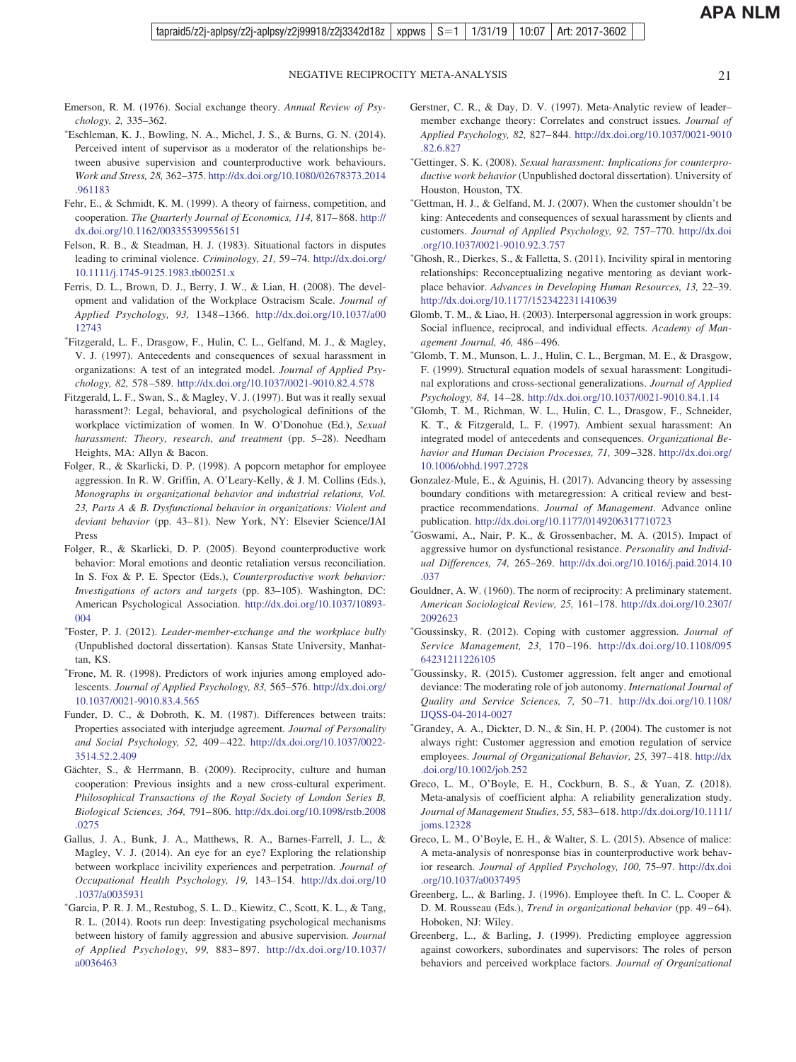- <span id="page-20-0"></span>Emerson, R. M. (1976). Social exchange theory. *Annual Review of Psychology, 2,* 335–362.
- Eschleman, K. J., Bowling, N. A., Michel, J. S., & Burns, G. N. (2014). Perceived intent of supervisor as a moderator of the relationships between abusive supervision and counterproductive work behaviours. *Work and Stress, 28,* 362–375. [http://dx.doi.org/10.1080/02678373.2014](http://dx.doi.org/10.1080/02678373.2014.961183) [.961183](http://dx.doi.org/10.1080/02678373.2014.961183)
- Fehr, E., & Schmidt, K. M. (1999). A theory of fairness, competition, and cooperation. *The Quarterly Journal of Economics, 114,* 817– 868. [http://](http://dx.doi.org/10.1162/003355399556151) [dx.doi.org/10.1162/003355399556151](http://dx.doi.org/10.1162/003355399556151)
- Felson, R. B., & Steadman, H. J. (1983). Situational factors in disputes leading to criminal violence. *Criminology, 21,* 59 –74. [http://dx.doi.org/](http://dx.doi.org/10.1111/j.1745-9125.1983.tb00251.x) [10.1111/j.1745-9125.1983.tb00251.x](http://dx.doi.org/10.1111/j.1745-9125.1983.tb00251.x)
- Ferris, D. L., Brown, D. J., Berry, J. W., & Lian, H. (2008). The development and validation of the Workplace Ostracism Scale. *Journal of Applied Psychology, 93,* 1348 –1366. [http://dx.doi.org/10.1037/a00](http://dx.doi.org/10.1037/a0012743) [12743](http://dx.doi.org/10.1037/a0012743)
- Fitzgerald, L. F., Drasgow, F., Hulin, C. L., Gelfand, M. J., & Magley, V. J. (1997). Antecedents and consequences of sexual harassment in organizations: A test of an integrated model. *Journal of Applied Psychology, 82,* 578 –589. <http://dx.doi.org/10.1037/0021-9010.82.4.578>
- Fitzgerald, L. F., Swan, S., & Magley, V. J. (1997). But was it really sexual harassment?: Legal, behavioral, and psychological definitions of the workplace victimization of women. In W. O'Donohue (Ed.), *Sexual harassment: Theory, research, and treatment* (pp. 5–28). Needham Heights, MA: Allyn & Bacon.
- Folger, R., & Skarlicki, D. P. (1998). A popcorn metaphor for employee aggression. In R. W. Griffin, A. O'Leary-Kelly, & J. M. Collins (Eds.), *Monographs in organizational behavior and industrial relations, Vol. 23, Parts A & B. Dysfunctional behavior in organizations: Violent and deviant behavior* (pp. 43– 81). New York, NY: Elsevier Science/JAI Press
- Folger, R., & Skarlicki, D. P. (2005). Beyond counterproductive work behavior: Moral emotions and deontic retaliation versus reconciliation. In S. Fox & P. E. Spector (Eds.), *Counterproductive work behavior: Investigations of actors and targets* (pp. 83–105). Washington, DC: American Psychological Association. [http://dx.doi.org/10.1037/10893-](http://dx.doi.org/10.1037/10893-004) [004](http://dx.doi.org/10.1037/10893-004)
- Foster, P. J. (2012). *Leader-member-exchange and the workplace bully* (Unpublished doctoral dissertation). Kansas State University, Manhattan, KS.
- Frone, M. R. (1998). Predictors of work injuries among employed adolescents. *Journal of Applied Psychology, 83,* 565–576. [http://dx.doi.org/](http://dx.doi.org/10.1037/0021-9010.83.4.565) [10.1037/0021-9010.83.4.565](http://dx.doi.org/10.1037/0021-9010.83.4.565)
- Funder, D. C., & Dobroth, K. M. (1987). Differences between traits: Properties associated with interjudge agreement. *Journal of Personality and Social Psychology, 52,* 409 – 422. [http://dx.doi.org/10.1037/0022-](http://dx.doi.org/10.1037/0022-3514.52.2.409) [3514.52.2.409](http://dx.doi.org/10.1037/0022-3514.52.2.409)
- Gächter, S., & Herrmann, B. (2009). Reciprocity, culture and human cooperation: Previous insights and a new cross-cultural experiment. *Philosophical Transactions of the Royal Society of London Series B, Biological Sciences, 364,* 791– 806. [http://dx.doi.org/10.1098/rstb.2008](http://dx.doi.org/10.1098/rstb.2008.0275) [.0275](http://dx.doi.org/10.1098/rstb.2008.0275)
- Gallus, J. A., Bunk, J. A., Matthews, R. A., Barnes-Farrell, J. L., & Magley, V. J. (2014). An eye for an eye? Exploring the relationship between workplace incivility experiences and perpetration. *Journal of Occupational Health Psychology, 19,* 143–154. [http://dx.doi.org/10](http://dx.doi.org/10.1037/a0035931) [.1037/a0035931](http://dx.doi.org/10.1037/a0035931)
- Garcia, P. R. J. M., Restubog, S. L. D., Kiewitz, C., Scott, K. L., & Tang, R. L. (2014). Roots run deep: Investigating psychological mechanisms between history of family aggression and abusive supervision. *Journal of Applied Psychology, 99,* 883– 897. [http://dx.doi.org/10.1037/](http://dx.doi.org/10.1037/a0036463) [a0036463](http://dx.doi.org/10.1037/a0036463)
- Gerstner, C. R., & Day, D. V. (1997). Meta-Analytic review of leader– member exchange theory: Correlates and construct issues. *Journal of Applied Psychology, 82,* 827– 844. [http://dx.doi.org/10.1037/0021-9010](http://dx.doi.org/10.1037/0021-9010.82.6.827) [.82.6.827](http://dx.doi.org/10.1037/0021-9010.82.6.827)
- Gettinger, S. K. (2008). *Sexual harassment: Implications for counterproductive work behavior* (Unpublished doctoral dissertation). University of Houston, Houston, TX.
- Gettman, H. J., & Gelfand, M. J. (2007). When the customer shouldn't be king: Antecedents and consequences of sexual harassment by clients and customers. *Journal of Applied Psychology, 92,* 757–770. [http://dx.doi](http://dx.doi.org/10.1037/0021-9010.92.3.757) [.org/10.1037/0021-9010.92.3.757](http://dx.doi.org/10.1037/0021-9010.92.3.757)
- Ghosh, R., Dierkes, S., & Falletta, S. (2011). Incivility spiral in mentoring relationships: Reconceptualizing negative mentoring as deviant workplace behavior. *Advances in Developing Human Resources, 13,* 22–39. <http://dx.doi.org/10.1177/1523422311410639>
- Glomb, T. M., & Liao, H. (2003). Interpersonal aggression in work groups: Social influence, reciprocal, and individual effects. *Academy of Management Journal, 46,* 486 – 496.
- Glomb, T. M., Munson, L. J., Hulin, C. L., Bergman, M. E., & Drasgow, F. (1999). Structural equation models of sexual harassment: Longitudinal explorations and cross-sectional generalizations. *Journal of Applied Psychology, 84,* 14 –28. <http://dx.doi.org/10.1037/0021-9010.84.1.14>
- Glomb, T. M., Richman, W. L., Hulin, C. L., Drasgow, F., Schneider, K. T., & Fitzgerald, L. F. (1997). Ambient sexual harassment: An integrated model of antecedents and consequences. *Organizational Behavior and Human Decision Processes, 71,* 309 –328. [http://dx.doi.org/](http://dx.doi.org/10.1006/obhd.1997.2728) [10.1006/obhd.1997.2728](http://dx.doi.org/10.1006/obhd.1997.2728)
- Gonzalez-Mule, E., & Aguinis, H. (2017). Advancing theory by assessing boundary conditions with metaregression: A critical review and bestpractice recommendations. *Journal of Management*. Advance online publication. <http://dx.doi.org/10.1177/0149206317710723>
- Goswami, A., Nair, P. K., & Grossenbacher, M. A. (2015). Impact of aggressive humor on dysfunctional resistance. *Personality and Individual Differences, 74,* 265–269. [http://dx.doi.org/10.1016/j.paid.2014.10](http://dx.doi.org/10.1016/j.paid.2014.10.037) [.037](http://dx.doi.org/10.1016/j.paid.2014.10.037)
- Gouldner, A. W. (1960). The norm of reciprocity: A preliminary statement. *American Sociological Review, 25,* 161–178. [http://dx.doi.org/10.2307/](http://dx.doi.org/10.2307/2092623) [2092623](http://dx.doi.org/10.2307/2092623)
- Goussinsky, R. (2012). Coping with customer aggression. *Journal of Service Management, 23,* 170 –196. [http://dx.doi.org/10.1108/095](http://dx.doi.org/10.1108/09564231211226105) [64231211226105](http://dx.doi.org/10.1108/09564231211226105)
- Goussinsky, R. (2015). Customer aggression, felt anger and emotional deviance: The moderating role of job autonomy. *International Journal of Quality and Service Sciences, 7,* 50 –71. [http://dx.doi.org/10.1108/](http://dx.doi.org/10.1108/IJQSS-04-2014-0027) [IJQSS-04-2014-0027](http://dx.doi.org/10.1108/IJQSS-04-2014-0027)
- Grandey, A. A., Dickter, D. N., & Sin, H. P. (2004). The customer is not always right: Customer aggression and emotion regulation of service employees. *Journal of Organizational Behavior*, 25, 397-418. [http://dx](http://dx.doi.org/10.1002/job.252) [.doi.org/10.1002/job.252](http://dx.doi.org/10.1002/job.252)
- Greco, L. M., O'Boyle, E. H., Cockburn, B. S., & Yuan, Z. (2018). Meta-analysis of coefficient alpha: A reliability generalization study. *Journal of Management Studies, 55,* 583– 618. [http://dx.doi.org/10.1111/](http://dx.doi.org/10.1111/joms.12328) [joms.12328](http://dx.doi.org/10.1111/joms.12328)
- Greco, L. M., O'Boyle, E. H., & Walter, S. L. (2015). Absence of malice: A meta-analysis of nonresponse bias in counterproductive work behavior research. *Journal of Applied Psychology, 100,* 75–97. [http://dx.doi](http://dx.doi.org/10.1037/a0037495) [.org/10.1037/a0037495](http://dx.doi.org/10.1037/a0037495)
- Greenberg, L., & Barling, J. (1996). Employee theft. In C. L. Cooper & D. M. Rousseau (Eds.), *Trend in organizational behavior* (pp. 49-64). Hoboken, NJ: Wiley.
- Greenberg, L., & Barling, J. (1999). Predicting employee aggression against coworkers, subordinates and supervisors: The roles of person behaviors and perceived workplace factors. *Journal of Organizational*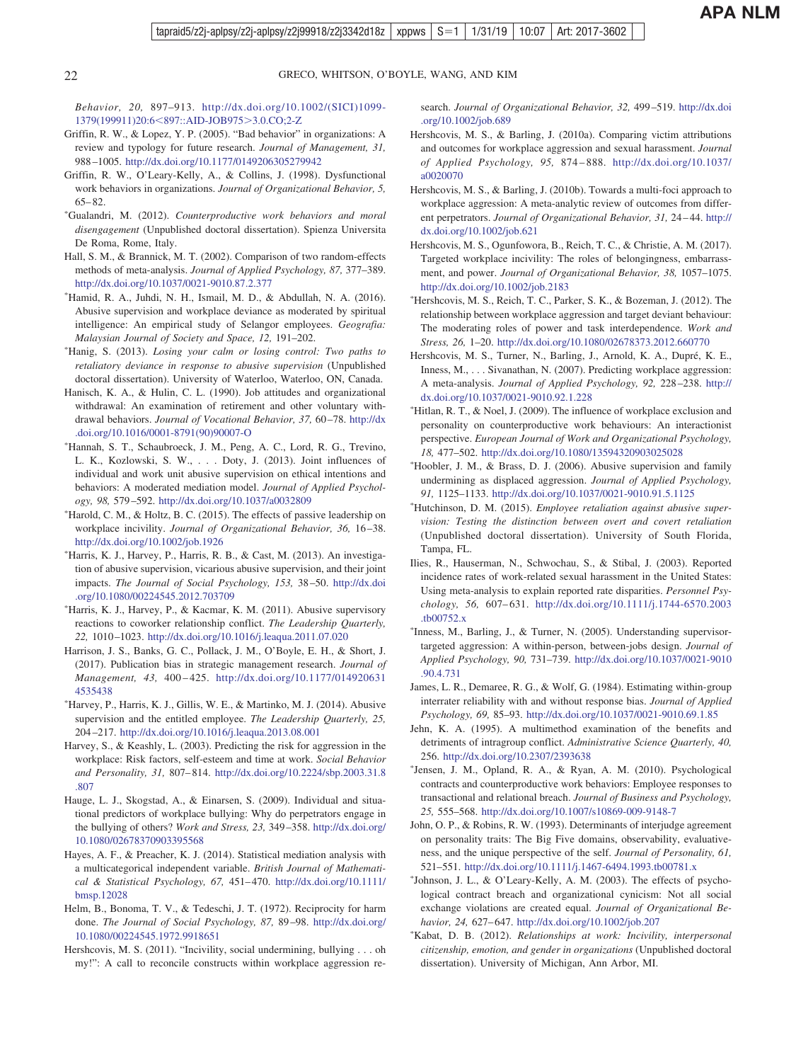*Behavior, 20,* 897–913. [http://dx.doi.org/10.1002/\(SICI\)1099-](http://dx.doi.org/10.1002/%28SICI%291099-1379%28199911%2920:6%3C897::AID-JOB975%3E3.0.CO;2-Z) [1379\(199911\)20:6](http://dx.doi.org/10.1002/%28SICI%291099-1379%28199911%2920:6%3C897::AID-JOB975%3E3.0.CO;2-Z)<897::AID-JOB975>3.0.CO;2-Z

- Griffin, R. W., & Lopez, Y. P. (2005). "Bad behavior" in organizations: A review and typology for future research. *Journal of Management, 31,* 988 –1005. <http://dx.doi.org/10.1177/0149206305279942>
- Griffin, R. W., O'Leary-Kelly, A., & Collins, J. (1998). Dysfunctional work behaviors in organizations. *Journal of Organizational Behavior, 5,*  $65 - 82.$
- Gualandri, M. (2012). *Counterproductive work behaviors and moral disengagement* (Unpublished doctoral dissertation). Spienza Universita De Roma, Rome, Italy.
- Hall, S. M., & Brannick, M. T. (2002). Comparison of two random-effects methods of meta-analysis. *Journal of Applied Psychology, 87,* 377–389. <http://dx.doi.org/10.1037/0021-9010.87.2.377>
- Hamid, R. A., Juhdi, N. H., Ismail, M. D., & Abdullah, N. A. (2016). Abusive supervision and workplace deviance as moderated by spiritual intelligence: An empirical study of Selangor employees. *Geografia: Malaysian Journal of Society and Space, 12,* 191–202.
- Hanig, S. (2013). *Losing your calm or losing control: Two paths to retaliatory deviance in response to abusive supervision* (Unpublished doctoral dissertation). University of Waterloo, Waterloo, ON, Canada.
- Hanisch, K. A., & Hulin, C. L. (1990). Job attitudes and organizational withdrawal: An examination of retirement and other voluntary withdrawal behaviors. *Journal of Vocational Behavior*, 37, 60-78. [http://dx](http://dx.doi.org/10.1016/0001-8791%2890%2990007-O) [.doi.org/10.1016/0001-8791\(90\)90007-O](http://dx.doi.org/10.1016/0001-8791%2890%2990007-O)
- Hannah, S. T., Schaubroeck, J. M., Peng, A. C., Lord, R. G., Trevino, L. K., Kozlowski, S. W.,... Doty, J. (2013). Joint influences of individual and work unit abusive supervision on ethical intentions and behaviors: A moderated mediation model. *Journal of Applied Psychology, 98,* 579 –592. <http://dx.doi.org/10.1037/a0032809>
- Harold, C. M., & Holtz, B. C. (2015). The effects of passive leadership on workplace incivility. *Journal of Organizational Behavior, 36,* 16 –38. <http://dx.doi.org/10.1002/job.1926>
- Harris, K. J., Harvey, P., Harris, R. B., & Cast, M. (2013). An investigation of abusive supervision, vicarious abusive supervision, and their joint impacts. *The Journal of Social Psychology, 153,* 38 –50. [http://dx.doi](http://dx.doi.org/10.1080/00224545.2012.703709) [.org/10.1080/00224545.2012.703709](http://dx.doi.org/10.1080/00224545.2012.703709)
- Harris, K. J., Harvey, P., & Kacmar, K. M. (2011). Abusive supervisory reactions to coworker relationship conflict. *The Leadership Quarterly, 22,* 1010 –1023. <http://dx.doi.org/10.1016/j.leaqua.2011.07.020>
- Harrison, J. S., Banks, G. C., Pollack, J. M., O'Boyle, E. H., & Short, J. (2017). Publication bias in strategic management research. *Journal of Management, 43,* 400 – 425. [http://dx.doi.org/10.1177/014920631](http://dx.doi.org/10.1177/0149206314535438) [4535438](http://dx.doi.org/10.1177/0149206314535438)
- Harvey, P., Harris, K. J., Gillis, W. E., & Martinko, M. J. (2014). Abusive supervision and the entitled employee. *The Leadership Quarterly, 25,* 204 –217. <http://dx.doi.org/10.1016/j.leaqua.2013.08.001>
- Harvey, S., & Keashly, L. (2003). Predicting the risk for aggression in the workplace: Risk factors, self-esteem and time at work. *Social Behavior and Personality, 31,* 807– 814. [http://dx.doi.org/10.2224/sbp.2003.31.8](http://dx.doi.org/10.2224/sbp.2003.31.8.807) [.807](http://dx.doi.org/10.2224/sbp.2003.31.8.807)
- Hauge, L. J., Skogstad, A., & Einarsen, S. (2009). Individual and situational predictors of workplace bullying: Why do perpetrators engage in the bullying of others? *Work and Stress, 23,* 349 –358. [http://dx.doi.org/](http://dx.doi.org/10.1080/02678370903395568) [10.1080/02678370903395568](http://dx.doi.org/10.1080/02678370903395568)
- Hayes, A. F., & Preacher, K. J. (2014). Statistical mediation analysis with a multicategorical independent variable. *British Journal of Mathematical & Statistical Psychology, 67,* 451– 470. [http://dx.doi.org/10.1111/](http://dx.doi.org/10.1111/bmsp.12028) [bmsp.12028](http://dx.doi.org/10.1111/bmsp.12028)
- Helm, B., Bonoma, T. V., & Tedeschi, J. T. (1972). Reciprocity for harm done. *The Journal of Social Psychology, 87,* 89 –98. [http://dx.doi.org/](http://dx.doi.org/10.1080/00224545.1972.9918651) [10.1080/00224545.1972.9918651](http://dx.doi.org/10.1080/00224545.1972.9918651)
- Hershcovis, M. S. (2011). "Incivility, social undermining, bullying . . . oh my!": A call to reconcile constructs within workplace aggression re-

search. *Journal of Organizational Behavior, 32,* 499 –519. [http://dx.doi](http://dx.doi.org/10.1002/job.689) [.org/10.1002/job.689](http://dx.doi.org/10.1002/job.689)

- Hershcovis, M. S., & Barling, J. (2010a). Comparing victim attributions and outcomes for workplace aggression and sexual harassment. *Journal of Applied Psychology, 95,* 874 – 888. [http://dx.doi.org/10.1037/](http://dx.doi.org/10.1037/a0020070) [a0020070](http://dx.doi.org/10.1037/a0020070)
- Hershcovis, M. S., & Barling, J. (2010b). Towards a multi-foci approach to workplace aggression: A meta-analytic review of outcomes from different perpetrators. *Journal of Organizational Behavior, 31,* 24 – 44. [http://](http://dx.doi.org/10.1002/job.621) [dx.doi.org/10.1002/job.621](http://dx.doi.org/10.1002/job.621)
- Hershcovis, M. S., Ogunfowora, B., Reich, T. C., & Christie, A. M. (2017). Targeted workplace incivility: The roles of belongingness, embarrassment, and power. *Journal of Organizational Behavior, 38,* 1057–1075. <http://dx.doi.org/10.1002/job.2183>
- Hershcovis, M. S., Reich, T. C., Parker, S. K., & Bozeman, J. (2012). The relationship between workplace aggression and target deviant behaviour: The moderating roles of power and task interdependence. *Work and Stress, 26,* 1–20. <http://dx.doi.org/10.1080/02678373.2012.660770>
- Hershcovis, M. S., Turner, N., Barling, J., Arnold, K. A., Dupré, K. E., Inness, M., ... Sivanathan, N. (2007). Predicting workplace aggression: A meta-analysis. *Journal of Applied Psychology, 92,* 228 –238. [http://](http://dx.doi.org/10.1037/0021-9010.92.1.228) [dx.doi.org/10.1037/0021-9010.92.1.228](http://dx.doi.org/10.1037/0021-9010.92.1.228)
- Hitlan, R. T., & Noel, J. (2009). The influence of workplace exclusion and personality on counterproductive work behaviours: An interactionist perspective. *European Journal of Work and Organizational Psychology, 18,* 477–502. <http://dx.doi.org/10.1080/13594320903025028>
- Hoobler, J. M., & Brass, D. J. (2006). Abusive supervision and family undermining as displaced aggression. *Journal of Applied Psychology, 91,* 1125–1133. <http://dx.doi.org/10.1037/0021-9010.91.5.1125>
- Hutchinson, D. M. (2015). *Employee retaliation against abusive supervision: Testing the distinction between overt and covert retaliation* (Unpublished doctoral dissertation). University of South Florida, Tampa, FL.
- Ilies, R., Hauserman, N., Schwochau, S., & Stibal, J. (2003). Reported incidence rates of work-related sexual harassment in the United States: Using meta-analysis to explain reported rate disparities. *Personnel Psychology, 56,* 607– 631. [http://dx.doi.org/10.1111/j.1744-6570.2003](http://dx.doi.org/10.1111/j.1744-6570.2003.tb00752.x) [.tb00752.x](http://dx.doi.org/10.1111/j.1744-6570.2003.tb00752.x)
- \*Inness, M., Barling, J., & Turner, N. (2005). Understanding supervisortargeted aggression: A within-person, between-jobs design. *Journal of Applied Psychology, 90,* 731–739. [http://dx.doi.org/10.1037/0021-9010](http://dx.doi.org/10.1037/0021-9010.90.4.731) [.90.4.731](http://dx.doi.org/10.1037/0021-9010.90.4.731)
- James, L. R., Demaree, R. G., & Wolf, G. (1984). Estimating within-group interrater reliability with and without response bias. *Journal of Applied Psychology, 69,* 85–93. <http://dx.doi.org/10.1037/0021-9010.69.1.85>
- Jehn, K. A. (1995). A multimethod examination of the benefits and detriments of intragroup conflict. *Administrative Science Quarterly, 40,* 256. <http://dx.doi.org/10.2307/2393638>
- Jensen, J. M., Opland, R. A., & Ryan, A. M. (2010). Psychological contracts and counterproductive work behaviors: Employee responses to transactional and relational breach. *Journal of Business and Psychology, 25,* 555–568. <http://dx.doi.org/10.1007/s10869-009-9148-7>
- John, O. P., & Robins, R. W. (1993). Determinants of interjudge agreement on personality traits: The Big Five domains, observability, evaluativeness, and the unique perspective of the self. *Journal of Personality, 61,* 521–551. <http://dx.doi.org/10.1111/j.1467-6494.1993.tb00781.x>
- Johnson, J. L., & O'Leary-Kelly, A. M. (2003). The effects of psychological contract breach and organizational cynicism: Not all social exchange violations are created equal. *Journal of Organizational Behavior, 24,* 627– 647. <http://dx.doi.org/10.1002/job.207>
- Kabat, D. B. (2012). *Relationships at work: Incivility, interpersonal citizenship, emotion, and gender in organizations* (Unpublished doctoral dissertation). University of Michigan, Ann Arbor, MI.

<span id="page-21-0"></span>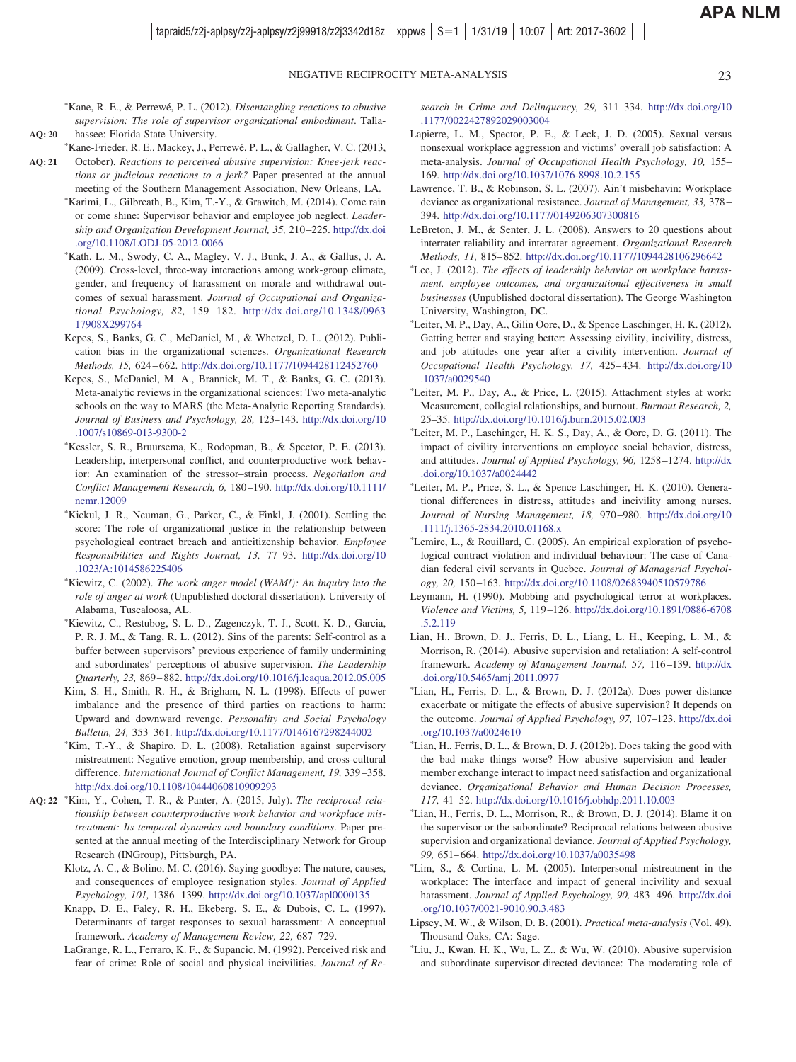<span id="page-22-0"></span>-Kane, R. E., & Perrewé, P. L. (2012). *Disentangling reactions to abusive supervision: The role of supervisor organizational embodiment*. Tallahassee: Florida State University.

-Kane-Frieder, R. E., Mackey, J., Perrewé, P. L., & Gallagher, V. C. (2013,

**AQ: 20**

October). *Reactions to perceived abusive supervision: Knee-jerk reactions or judicious reactions to a jerk?* Paper presented at the annual meeting of the Southern Management Association, New Orleans, LA. **AQ: 21**

- Karimi, L., Gilbreath, B., Kim, T.-Y., & Grawitch, M. (2014). Come rain or come shine: Supervisor behavior and employee job neglect. *Leadership and Organization Development Journal, 35,* 210 –225. [http://dx.doi](http://dx.doi.org/10.1108/LODJ-05-2012-0066) [.org/10.1108/LODJ-05-2012-0066](http://dx.doi.org/10.1108/LODJ-05-2012-0066)
- Kath, L. M., Swody, C. A., Magley, V. J., Bunk, J. A., & Gallus, J. A. (2009). Cross-level, three-way interactions among work-group climate, gender, and frequency of harassment on morale and withdrawal outcomes of sexual harassment. *Journal of Occupational and Organizational Psychology, 82,* 159 –182. [http://dx.doi.org/10.1348/0963](http://dx.doi.org/10.1348/096317908X299764) [17908X299764](http://dx.doi.org/10.1348/096317908X299764)
- Kepes, S., Banks, G. C., McDaniel, M., & Whetzel, D. L. (2012). Publication bias in the organizational sciences. *Organizational Research Methods, 15,* 624 – 662. <http://dx.doi.org/10.1177/1094428112452760>
- Kepes, S., McDaniel, M. A., Brannick, M. T., & Banks, G. C. (2013). Meta-analytic reviews in the organizational sciences: Two meta-analytic schools on the way to MARS (the Meta-Analytic Reporting Standards). *Journal of Business and Psychology, 28,* 123–143. [http://dx.doi.org/10](http://dx.doi.org/10.1007/s10869-013-9300-2) [.1007/s10869-013-9300-2](http://dx.doi.org/10.1007/s10869-013-9300-2)
- Kessler, S. R., Bruursema, K., Rodopman, B., & Spector, P. E. (2013). Leadership, interpersonal conflict, and counterproductive work behavior: An examination of the stressor–strain process. *Negotiation and Conflict Management Research, 6,* 180 –190. [http://dx.doi.org/10.1111/](http://dx.doi.org/10.1111/ncmr.12009) [ncmr.12009](http://dx.doi.org/10.1111/ncmr.12009)
- Kickul, J. R., Neuman, G., Parker, C., & Finkl, J. (2001). Settling the score: The role of organizational justice in the relationship between psychological contract breach and anticitizenship behavior. *Employee Responsibilities and Rights Journal, 13,* 77–93. [http://dx.doi.org/10](http://dx.doi.org/10.1023/A:1014586225406) [.1023/A:1014586225406](http://dx.doi.org/10.1023/A:1014586225406)
- Kiewitz, C. (2002). *The work anger model (WAM!): An inquiry into the role of anger at work* (Unpublished doctoral dissertation). University of Alabama, Tuscaloosa, AL.
- Kiewitz, C., Restubog, S. L. D., Zagenczyk, T. J., Scott, K. D., Garcia, P. R. J. M., & Tang, R. L. (2012). Sins of the parents: Self-control as a buffer between supervisors' previous experience of family undermining and subordinates' perceptions of abusive supervision. *The Leadership Quarterly, 23,* 869 – 882. <http://dx.doi.org/10.1016/j.leaqua.2012.05.005>
- Kim, S. H., Smith, R. H., & Brigham, N. L. (1998). Effects of power imbalance and the presence of third parties on reactions to harm: Upward and downward revenge. *Personality and Social Psychology Bulletin, 24,* 353–361. <http://dx.doi.org/10.1177/0146167298244002>
- Kim, T.-Y., & Shapiro, D. L. (2008). Retaliation against supervisory mistreatment: Negative emotion, group membership, and cross-cultural difference. *International Journal of Conflict Management, 19,* 339 –358. <http://dx.doi.org/10.1108/10444060810909293>
- Kim, Y., Cohen, T. R., & Panter, A. (2015, July). *The reciprocal rela-***AQ: 22** *tionship between counterproductive work behavior and workplace mistreatment: Its temporal dynamics and boundary conditions*. Paper presented at the annual meeting of the Interdisciplinary Network for Group Research (INGroup), Pittsburgh, PA.
	- Klotz, A. C., & Bolino, M. C. (2016). Saying goodbye: The nature, causes, and consequences of employee resignation styles. *Journal of Applied Psychology, 101,* 1386 –1399. <http://dx.doi.org/10.1037/apl0000135>
	- Knapp, D. E., Faley, R. H., Ekeberg, S. E., & Dubois, C. L. (1997). Determinants of target responses to sexual harassment: A conceptual framework. *Academy of Management Review, 22,* 687–729.
	- LaGrange, R. L., Ferraro, K. F., & Supancic, M. (1992). Perceived risk and fear of crime: Role of social and physical incivilities. *Journal of Re-*

*search in Crime and Delinquency, 29,* 311–334. [http://dx.doi.org/10](http://dx.doi.org/10.1177/0022427892029003004) [.1177/0022427892029003004](http://dx.doi.org/10.1177/0022427892029003004)

- Lapierre, L. M., Spector, P. E., & Leck, J. D. (2005). Sexual versus nonsexual workplace aggression and victims' overall job satisfaction: A meta-analysis. *Journal of Occupational Health Psychology, 10,* 155– 169. <http://dx.doi.org/10.1037/1076-8998.10.2.155>
- Lawrence, T. B., & Robinson, S. L. (2007). Ain't misbehavin: Workplace deviance as organizational resistance. *Journal of Management, 33,* 378 – 394. <http://dx.doi.org/10.1177/0149206307300816>
- LeBreton, J. M., & Senter, J. L. (2008). Answers to 20 questions about interrater reliability and interrater agreement. *Organizational Research Methods, 11,* 815– 852. <http://dx.doi.org/10.1177/1094428106296642>
- Lee, J. (2012). *The effects of leadership behavior on workplace harassment, employee outcomes, and organizational effectiveness in small businesses* (Unpublished doctoral dissertation). The George Washington University, Washington, DC.
- Leiter, M. P., Day, A., Gilin Oore, D., & Spence Laschinger, H. K. (2012). Getting better and staying better: Assessing civility, incivility, distress, and job attitudes one year after a civility intervention. *Journal of Occupational Health Psychology, 17,* 425– 434. [http://dx.doi.org/10](http://dx.doi.org/10.1037/a0029540) [.1037/a0029540](http://dx.doi.org/10.1037/a0029540)
- Leiter, M. P., Day, A., & Price, L. (2015). Attachment styles at work: Measurement, collegial relationships, and burnout. *Burnout Research, 2,* 25–35. <http://dx.doi.org/10.1016/j.burn.2015.02.003>
- Leiter, M. P., Laschinger, H. K. S., Day, A., & Oore, D. G. (2011). The impact of civility interventions on employee social behavior, distress, and attitudes. *Journal of Applied Psychology, 96,* 1258 –1274. [http://dx](http://dx.doi.org/10.1037/a0024442) [.doi.org/10.1037/a0024442](http://dx.doi.org/10.1037/a0024442)
- Leiter, M. P., Price, S. L., & Spence Laschinger, H. K. (2010). Generational differences in distress, attitudes and incivility among nurses. *Journal of Nursing Management, 18,* 970 –980. [http://dx.doi.org/10](http://dx.doi.org/10.1111/j.1365-2834.2010.01168.x) [.1111/j.1365-2834.2010.01168.x](http://dx.doi.org/10.1111/j.1365-2834.2010.01168.x)
- Lemire, L., & Rouillard, C. (2005). An empirical exploration of psychological contract violation and individual behaviour: The case of Canadian federal civil servants in Quebec. *Journal of Managerial Psychology, 20,* 150 –163. <http://dx.doi.org/10.1108/02683940510579786>
- Leymann, H. (1990). Mobbing and psychological terror at workplaces. *Violence and Victims, 5,* 119 –126. [http://dx.doi.org/10.1891/0886-6708](http://dx.doi.org/10.1891/0886-6708.5.2.119) [.5.2.119](http://dx.doi.org/10.1891/0886-6708.5.2.119)
- Lian, H., Brown, D. J., Ferris, D. L., Liang, L. H., Keeping, L. M., & Morrison, R. (2014). Abusive supervision and retaliation: A self-control framework. *Academy of Management Journal, 57,* 116 –139. [http://dx](http://dx.doi.org/10.5465/amj.2011.0977) [.doi.org/10.5465/amj.2011.0977](http://dx.doi.org/10.5465/amj.2011.0977)
- Lian, H., Ferris, D. L., & Brown, D. J. (2012a). Does power distance exacerbate or mitigate the effects of abusive supervision? It depends on the outcome. *Journal of Applied Psychology, 97,* 107–123. [http://dx.doi](http://dx.doi.org/10.1037/a0024610) [.org/10.1037/a0024610](http://dx.doi.org/10.1037/a0024610)
- Lian, H., Ferris, D. L., & Brown, D. J. (2012b). Does taking the good with the bad make things worse? How abusive supervision and leader– member exchange interact to impact need satisfaction and organizational deviance. *Organizational Behavior and Human Decision Processes, 117,* 41–52. <http://dx.doi.org/10.1016/j.obhdp.2011.10.003>
- Lian, H., Ferris, D. L., Morrison, R., & Brown, D. J. (2014). Blame it on the supervisor or the subordinate? Reciprocal relations between abusive supervision and organizational deviance. *Journal of Applied Psychology, 99,* 651– 664. <http://dx.doi.org/10.1037/a0035498>
- Lim, S., & Cortina, L. M. (2005). Interpersonal mistreatment in the workplace: The interface and impact of general incivility and sexual harassment. *Journal of Applied Psychology, 90,* 483– 496. [http://dx.doi](http://dx.doi.org/10.1037/0021-9010.90.3.483) [.org/10.1037/0021-9010.90.3.483](http://dx.doi.org/10.1037/0021-9010.90.3.483)
- Lipsey, M. W., & Wilson, D. B. (2001). *Practical meta-analysis* (Vol. 49). Thousand Oaks, CA: Sage.
- Liu, J., Kwan, H. K., Wu, L. Z., & Wu, W. (2010). Abusive supervision and subordinate supervisor-directed deviance: The moderating role of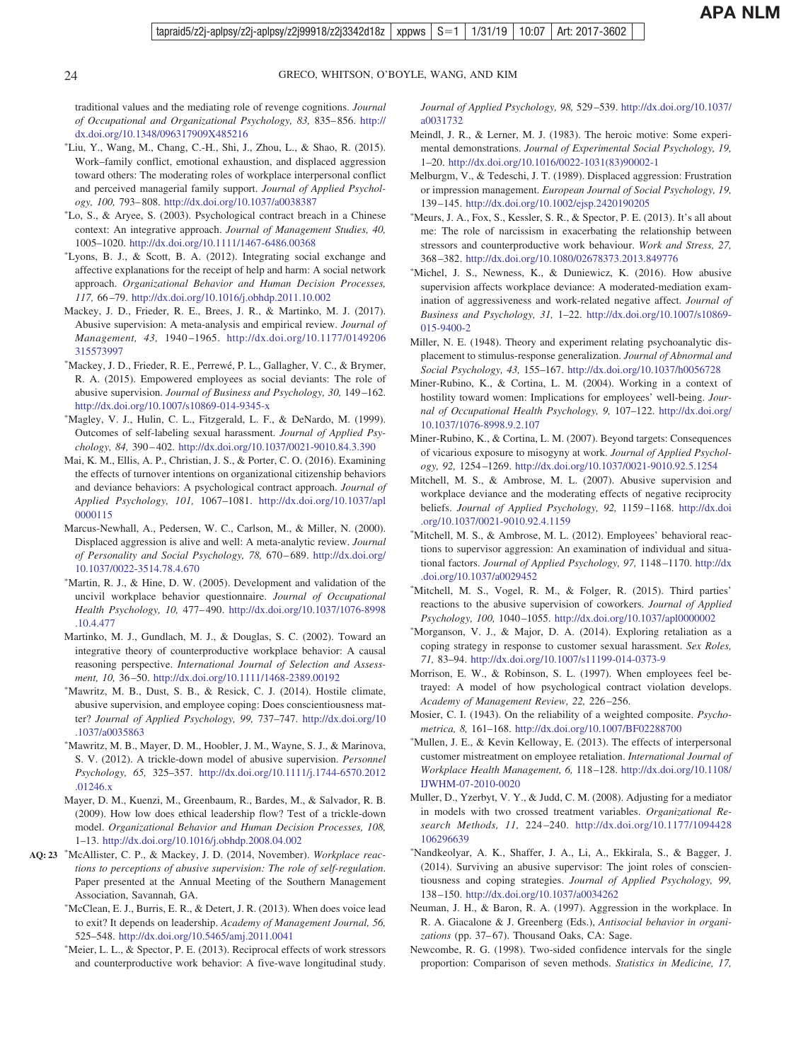traditional values and the mediating role of revenge cognitions. *Journal of Occupational and Organizational Psychology, 83,* 835– 856. [http://](http://dx.doi.org/10.1348/096317909X485216) [dx.doi.org/10.1348/096317909X485216](http://dx.doi.org/10.1348/096317909X485216)

- Liu, Y., Wang, M., Chang, C.-H., Shi, J., Zhou, L., & Shao, R. (2015). Work–family conflict, emotional exhaustion, and displaced aggression toward others: The moderating roles of workplace interpersonal conflict and perceived managerial family support. *Journal of Applied Psychology, 100,* 793– 808. <http://dx.doi.org/10.1037/a0038387>
- Lo, S., & Aryee, S. (2003). Psychological contract breach in a Chinese context: An integrative approach. *Journal of Management Studies, 40,* 1005–1020. <http://dx.doi.org/10.1111/1467-6486.00368>
- Lyons, B. J., & Scott, B. A. (2012). Integrating social exchange and affective explanations for the receipt of help and harm: A social network approach. *Organizational Behavior and Human Decision Processes, 117,* 66 –79. <http://dx.doi.org/10.1016/j.obhdp.2011.10.002>
- Mackey, J. D., Frieder, R. E., Brees, J. R., & Martinko, M. J. (2017). Abusive supervision: A meta-analysis and empirical review. *Journal of Management, 43,* 1940 –1965. [http://dx.doi.org/10.1177/0149206](http://dx.doi.org/10.1177/0149206315573997) [315573997](http://dx.doi.org/10.1177/0149206315573997)
- Mackey, J. D., Frieder, R. E., Perrewé, P. L., Gallagher, V. C., & Brymer, R. A. (2015). Empowered employees as social deviants: The role of abusive supervision. *Journal of Business and Psychology, 30,* 149 –162. <http://dx.doi.org/10.1007/s10869-014-9345-x>
- Magley, V. J., Hulin, C. L., Fitzgerald, L. F., & DeNardo, M. (1999). Outcomes of self-labeling sexual harassment. *Journal of Applied Psychology, 84,* 390 – 402. <http://dx.doi.org/10.1037/0021-9010.84.3.390>
- Mai, K. M., Ellis, A. P., Christian, J. S., & Porter, C. O. (2016). Examining the effects of turnover intentions on organizational citizenship behaviors and deviance behaviors: A psychological contract approach. *Journal of Applied Psychology, 101,* 1067–1081. [http://dx.doi.org/10.1037/apl](http://dx.doi.org/10.1037/apl0000115) [0000115](http://dx.doi.org/10.1037/apl0000115)
- Marcus-Newhall, A., Pedersen, W. C., Carlson, M., & Miller, N. (2000). Displaced aggression is alive and well: A meta-analytic review. *Journal of Personality and Social Psychology, 78,* 670 – 689. [http://dx.doi.org/](http://dx.doi.org/10.1037/0022-3514.78.4.670) [10.1037/0022-3514.78.4.670](http://dx.doi.org/10.1037/0022-3514.78.4.670)
- Martin, R. J., & Hine, D. W. (2005). Development and validation of the uncivil workplace behavior questionnaire. *Journal of Occupational Health Psychology, 10,* 477– 490. [http://dx.doi.org/10.1037/1076-8998](http://dx.doi.org/10.1037/1076-8998.10.4.477) [.10.4.477](http://dx.doi.org/10.1037/1076-8998.10.4.477)
- Martinko, M. J., Gundlach, M. J., & Douglas, S. C. (2002). Toward an integrative theory of counterproductive workplace behavior: A causal reasoning perspective. *International Journal of Selection and Assessment, 10,* 36 –50. <http://dx.doi.org/10.1111/1468-2389.00192>
- Mawritz, M. B., Dust, S. B., & Resick, C. J. (2014). Hostile climate, abusive supervision, and employee coping: Does conscientiousness matter? *Journal of Applied Psychology, 99,* 737–747. [http://dx.doi.org/10](http://dx.doi.org/10.1037/a0035863) [.1037/a0035863](http://dx.doi.org/10.1037/a0035863)
- Mawritz, M. B., Mayer, D. M., Hoobler, J. M., Wayne, S. J., & Marinova, S. V. (2012). A trickle-down model of abusive supervision. *Personnel Psychology, 65,* 325–357. [http://dx.doi.org/10.1111/j.1744-6570.2012](http://dx.doi.org/10.1111/j.1744-6570.2012.01246.x) [.01246.x](http://dx.doi.org/10.1111/j.1744-6570.2012.01246.x)
- Mayer, D. M., Kuenzi, M., Greenbaum, R., Bardes, M., & Salvador, R. B. (2009). How low does ethical leadership flow? Test of a trickle-down model. *Organizational Behavior and Human Decision Processes, 108,* 1–13. <http://dx.doi.org/10.1016/j.obhdp.2008.04.002>
- McAllister, C. P., & Mackey, J. D. (2014, November). *Workplace reac-***AQ: 23** *tions to perceptions of abusive supervision: The role of self-regulation*. Paper presented at the Annual Meeting of the Southern Management Association, Savannah, GA.
	- McClean, E. J., Burris, E. R., & Detert, J. R. (2013). When does voice lead to exit? It depends on leadership. *Academy of Management Journal, 56,* 525–548. <http://dx.doi.org/10.5465/amj.2011.0041>
	- Meier, L. L., & Spector, P. E. (2013). Reciprocal effects of work stressors and counterproductive work behavior: A five-wave longitudinal study.

*Journal of Applied Psychology, 98,* 529 –539. [http://dx.doi.org/10.1037/](http://dx.doi.org/10.1037/a0031732) [a0031732](http://dx.doi.org/10.1037/a0031732)

- Meindl, J. R., & Lerner, M. J. (1983). The heroic motive: Some experimental demonstrations. *Journal of Experimental Social Psychology, 19,* 1–20. [http://dx.doi.org/10.1016/0022-1031\(83\)90002-1](http://dx.doi.org/10.1016/0022-1031%2883%2990002-1)
- Melburgm, V., & Tedeschi, J. T. (1989). Displaced aggression: Frustration or impression management. *European Journal of Social Psychology, 19,* 139 –145. <http://dx.doi.org/10.1002/ejsp.2420190205>
- Meurs, J. A., Fox, S., Kessler, S. R., & Spector, P. E. (2013). It's all about me: The role of narcissism in exacerbating the relationship between stressors and counterproductive work behaviour. *Work and Stress, 27,* 368 –382. <http://dx.doi.org/10.1080/02678373.2013.849776>
- Michel, J. S., Newness, K., & Duniewicz, K. (2016). How abusive supervision affects workplace deviance: A moderated-mediation examination of aggressiveness and work-related negative affect. *Journal of Business and Psychology, 31,* 1–22. [http://dx.doi.org/10.1007/s10869-](http://dx.doi.org/10.1007/s10869-015-9400-2) [015-9400-2](http://dx.doi.org/10.1007/s10869-015-9400-2)
- Miller, N. E. (1948). Theory and experiment relating psychoanalytic displacement to stimulus-response generalization. *Journal of Abnormal and Social Psychology, 43,* 155–167. <http://dx.doi.org/10.1037/h0056728>
- Miner-Rubino, K., & Cortina, L. M. (2004). Working in a context of hostility toward women: Implications for employees' well-being. *Journal of Occupational Health Psychology, 9,* 107–122. [http://dx.doi.org/](http://dx.doi.org/10.1037/1076-8998.9.2.107) [10.1037/1076-8998.9.2.107](http://dx.doi.org/10.1037/1076-8998.9.2.107)
- Miner-Rubino, K., & Cortina, L. M. (2007). Beyond targets: Consequences of vicarious exposure to misogyny at work. *Journal of Applied Psychology, 92,* 1254 –1269. <http://dx.doi.org/10.1037/0021-9010.92.5.1254>
- Mitchell, M. S., & Ambrose, M. L. (2007). Abusive supervision and workplace deviance and the moderating effects of negative reciprocity beliefs. *Journal of Applied Psychology, 92,* 1159 –1168. [http://dx.doi](http://dx.doi.org/10.1037/0021-9010.92.4.1159) [.org/10.1037/0021-9010.92.4.1159](http://dx.doi.org/10.1037/0021-9010.92.4.1159)
- \*Mitchell, M. S., & Ambrose, M. L. (2012). Employees' behavioral reactions to supervisor aggression: An examination of individual and situational factors. *Journal of Applied Psychology, 97,* 1148 –1170. [http://dx](http://dx.doi.org/10.1037/a0029452) [.doi.org/10.1037/a0029452](http://dx.doi.org/10.1037/a0029452)
- Mitchell, M. S., Vogel, R. M., & Folger, R. (2015). Third parties' reactions to the abusive supervision of coworkers. *Journal of Applied Psychology, 100,* 1040 –1055. <http://dx.doi.org/10.1037/apl0000002>
- Morganson, V. J., & Major, D. A. (2014). Exploring retaliation as a coping strategy in response to customer sexual harassment. *Sex Roles, 71,* 83–94. <http://dx.doi.org/10.1007/s11199-014-0373-9>
- Morrison, E. W., & Robinson, S. L. (1997). When employees feel betrayed: A model of how psychological contract violation develops. *Academy of Management Review, 22,* 226 –256.
- Mosier, C. I. (1943). On the reliability of a weighted composite. *Psychometrica, 8,* 161–168. <http://dx.doi.org/10.1007/BF02288700>
- Mullen, J. E., & Kevin Kelloway, E. (2013). The effects of interpersonal customer mistreatment on employee retaliation. *International Journal of Workplace Health Management, 6,* 118 –128. [http://dx.doi.org/10.1108/](http://dx.doi.org/10.1108/IJWHM-07-2010-0020) [IJWHM-07-2010-0020](http://dx.doi.org/10.1108/IJWHM-07-2010-0020)
- Muller, D., Yzerbyt, V. Y., & Judd, C. M. (2008). Adjusting for a mediator in models with two crossed treatment variables. *Organizational Research Methods, 11,* 224 –240. [http://dx.doi.org/10.1177/1094428](http://dx.doi.org/10.1177/1094428106296639) [106296639](http://dx.doi.org/10.1177/1094428106296639)
- Nandkeolyar, A. K., Shaffer, J. A., Li, A., Ekkirala, S., & Bagger, J. (2014). Surviving an abusive supervisor: The joint roles of conscientiousness and coping strategies. *Journal of Applied Psychology, 99,* 138 –150. <http://dx.doi.org/10.1037/a0034262>
- Neuman, J. H., & Baron, R. A. (1997). Aggression in the workplace. In R. A. Giacalone & J. Greenberg (Eds.), *Antisocial behavior in organi*zations (pp. 37-67). Thousand Oaks, CA: Sage.
- Newcombe, R. G. (1998). Two-sided confidence intervals for the single proportion: Comparison of seven methods. *Statistics in Medicine, 17,*

<span id="page-23-0"></span>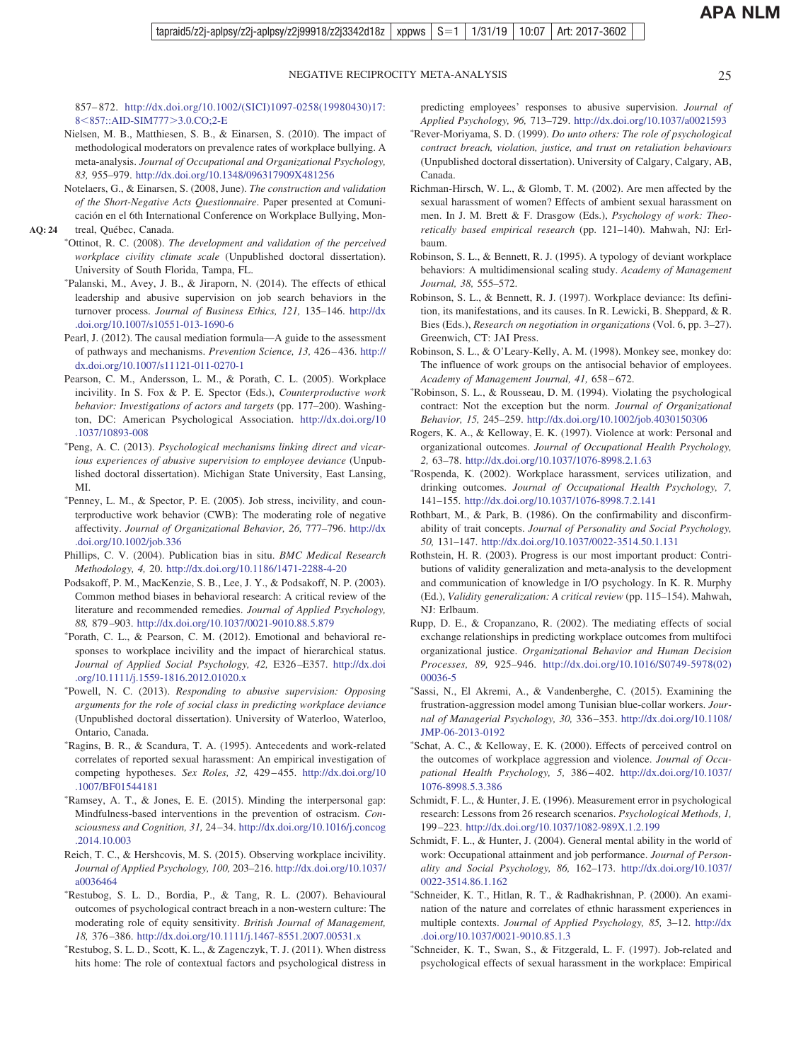<span id="page-24-0"></span>857– 872. [http://dx.doi.org/10.1002/\(SICI\)1097-0258\(19980430\)17:](http://dx.doi.org/10.1002/%28SICI%291097-0258%2819980430%2917:8%3C857::AID-SIM777%3E3.0.CO;2-E) 8<[857::AID-SIM777](http://dx.doi.org/10.1002/%28SICI%291097-0258%2819980430%2917:8%3C857::AID-SIM777%3E3.0.CO;2-E)>3.0.CO;2-E

- Nielsen, M. B., Matthiesen, S. B., & Einarsen, S. (2010). The impact of methodological moderators on prevalence rates of workplace bullying. A meta-analysis. *Journal of Occupational and Organizational Psychology, 83,* 955–979. <http://dx.doi.org/10.1348/096317909X481256>
- Notelaers, G., & Einarsen, S. (2008, June). *The construction and validation of the Short-Negative Acts Questionnaire*. Paper presented at Comunicación en el 6th International Conference on Workplace Bullying, Montreal, Québec, Canada.
- **AQ: 24**
	- Ottinot, R. C. (2008). *The development and validation of the perceived workplace civility climate scale* (Unpublished doctoral dissertation). University of South Florida, Tampa, FL.
	- \*Palanski, M., Avey, J. B., & Jiraporn, N. (2014). The effects of ethical leadership and abusive supervision on job search behaviors in the turnover process. *Journal of Business Ethics, 121,* 135–146. [http://dx](http://dx.doi.org/10.1007/s10551-013-1690-6) [.doi.org/10.1007/s10551-013-1690-6](http://dx.doi.org/10.1007/s10551-013-1690-6)
	- Pearl, J. (2012). The causal mediation formula—A guide to the assessment of pathways and mechanisms. *Prevention Science, 13,* 426 – 436. [http://](http://dx.doi.org/10.1007/s11121-011-0270-1) [dx.doi.org/10.1007/s11121-011-0270-1](http://dx.doi.org/10.1007/s11121-011-0270-1)
	- Pearson, C. M., Andersson, L. M., & Porath, C. L. (2005). Workplace incivility. In S. Fox & P. E. Spector (Eds.), *Counterproductive work behavior: Investigations of actors and targets* (pp. 177–200). Washington, DC: American Psychological Association. [http://dx.doi.org/10](http://dx.doi.org/10.1037/10893-008) [.1037/10893-008](http://dx.doi.org/10.1037/10893-008)
	- Peng, A. C. (2013). *Psychological mechanisms linking direct and vicarious experiences of abusive supervision to employee deviance* (Unpublished doctoral dissertation). Michigan State University, East Lansing, MI.
	- Penney, L. M., & Spector, P. E. (2005). Job stress, incivility, and counterproductive work behavior (CWB): The moderating role of negative affectivity. *Journal of Organizational Behavior, 26,* 777–796. [http://dx](http://dx.doi.org/10.1002/job.336) [.doi.org/10.1002/job.336](http://dx.doi.org/10.1002/job.336)
	- Phillips, C. V. (2004). Publication bias in situ. *BMC Medical Research Methodology, 4,* 20. <http://dx.doi.org/10.1186/1471-2288-4-20>
	- Podsakoff, P. M., MacKenzie, S. B., Lee, J. Y., & Podsakoff, N. P. (2003). Common method biases in behavioral research: A critical review of the literature and recommended remedies. *Journal of Applied Psychology, 88,* 879 –903. <http://dx.doi.org/10.1037/0021-9010.88.5.879>
	- Porath, C. L., & Pearson, C. M. (2012). Emotional and behavioral responses to workplace incivility and the impact of hierarchical status. *Journal of Applied Social Psychology, 42,* E326 –E357. [http://dx.doi](http://dx.doi.org/10.1111/j.1559-1816.2012.01020.x) [.org/10.1111/j.1559-1816.2012.01020.x](http://dx.doi.org/10.1111/j.1559-1816.2012.01020.x)
	- Powell, N. C. (2013). *Responding to abusive supervision: Opposing arguments for the role of social class in predicting workplace deviance* (Unpublished doctoral dissertation). University of Waterloo, Waterloo, Ontario, Canada.
	- Ragins, B. R., & Scandura, T. A. (1995). Antecedents and work-related correlates of reported sexual harassment: An empirical investigation of competing hypotheses. *Sex Roles, 32,* 429 – 455. [http://dx.doi.org/10](http://dx.doi.org/10.1007/BF01544181) [.1007/BF01544181](http://dx.doi.org/10.1007/BF01544181)
	- Ramsey, A. T., & Jones, E. E. (2015). Minding the interpersonal gap: Mindfulness-based interventions in the prevention of ostracism. *Consciousness and Cognition, 31,* 24 –34. [http://dx.doi.org/10.1016/j.concog](http://dx.doi.org/10.1016/j.concog.2014.10.003) [.2014.10.003](http://dx.doi.org/10.1016/j.concog.2014.10.003)
	- Reich, T. C., & Hershcovis, M. S. (2015). Observing workplace incivility. *Journal of Applied Psychology, 100,* 203–216. [http://dx.doi.org/10.1037/](http://dx.doi.org/10.1037/a0036464) [a0036464](http://dx.doi.org/10.1037/a0036464)
	- Restubog, S. L. D., Bordia, P., & Tang, R. L. (2007). Behavioural outcomes of psychological contract breach in a non-western culture: The moderating role of equity sensitivity. *British Journal of Management, 18,* 376 –386. <http://dx.doi.org/10.1111/j.1467-8551.2007.00531.x>
	- Restubog, S. L. D., Scott, K. L., & Zagenczyk, T. J. (2011). When distress hits home: The role of contextual factors and psychological distress in

predicting employees' responses to abusive supervision. *Journal of Applied Psychology, 96,* 713–729. <http://dx.doi.org/10.1037/a0021593>

- Rever-Moriyama, S. D. (1999). *Do unto others: The role of psychological contract breach, violation, justice, and trust on retaliation behaviours* (Unpublished doctoral dissertation). University of Calgary, Calgary, AB, Canada.
- Richman-Hirsch, W. L., & Glomb, T. M. (2002). Are men affected by the sexual harassment of women? Effects of ambient sexual harassment on men. In J. M. Brett & F. Drasgow (Eds.), *Psychology of work: Theoretically based empirical research* (pp. 121–140). Mahwah, NJ: Erlbaum.
- Robinson, S. L., & Bennett, R. J. (1995). A typology of deviant workplace behaviors: A multidimensional scaling study. *Academy of Management Journal, 38,* 555–572.
- Robinson, S. L., & Bennett, R. J. (1997). Workplace deviance: Its definition, its manifestations, and its causes. In R. Lewicki, B. Sheppard, & R. Bies (Eds.), *Research on negotiation in organizations* (Vol. 6, pp. 3–27). Greenwich, CT: JAI Press.
- Robinson, S. L., & O'Leary-Kelly, A. M. (1998). Monkey see, monkey do: The influence of work groups on the antisocial behavior of employees. *Academy of Management Journal, 41,* 658 – 672.
- Robinson, S. L., & Rousseau, D. M. (1994). Violating the psychological contract: Not the exception but the norm. *Journal of Organizational Behavior, 15,* 245–259. <http://dx.doi.org/10.1002/job.4030150306>
- Rogers, K. A., & Kelloway, E. K. (1997). Violence at work: Personal and organizational outcomes. *Journal of Occupational Health Psychology, 2,* 63–78. <http://dx.doi.org/10.1037/1076-8998.2.1.63>
- Rospenda, K. (2002). Workplace harassment, services utilization, and drinking outcomes. *Journal of Occupational Health Psychology, 7,* 141–155. <http://dx.doi.org/10.1037/1076-8998.7.2.141>
- Rothbart, M., & Park, B. (1986). On the confirmability and disconfirmability of trait concepts. *Journal of Personality and Social Psychology, 50,* 131–147. <http://dx.doi.org/10.1037/0022-3514.50.1.131>
- Rothstein, H. R. (2003). Progress is our most important product: Contributions of validity generalization and meta-analysis to the development and communication of knowledge in I/O psychology. In K. R. Murphy (Ed.), *Validity generalization: A critical review* (pp. 115–154). Mahwah, NJ: Erlbaum.
- Rupp, D. E., & Cropanzano, R. (2002). The mediating effects of social exchange relationships in predicting workplace outcomes from multifoci organizational justice. *Organizational Behavior and Human Decision Processes, 89,* 925–946. [http://dx.doi.org/10.1016/S0749-5978\(02\)](http://dx.doi.org/10.1016/S0749-5978%2802%2900036-5) [00036-5](http://dx.doi.org/10.1016/S0749-5978%2802%2900036-5)
- Sassi, N., El Akremi, A., & Vandenberghe, C. (2015). Examining the frustration-aggression model among Tunisian blue-collar workers. *Journal of Managerial Psychology, 30,* 336 –353. [http://dx.doi.org/10.1108/](http://dx.doi.org/10.1108/JMP-06-2013-0192) [JMP-06-2013-0192](http://dx.doi.org/10.1108/JMP-06-2013-0192)
- Schat, A. C., & Kelloway, E. K. (2000). Effects of perceived control on the outcomes of workplace aggression and violence. *Journal of Occupational Health Psychology, 5,* 386 – 402. [http://dx.doi.org/10.1037/](http://dx.doi.org/10.1037/1076-8998.5.3.386) [1076-8998.5.3.386](http://dx.doi.org/10.1037/1076-8998.5.3.386)
- Schmidt, F. L., & Hunter, J. E. (1996). Measurement error in psychological research: Lessons from 26 research scenarios. *Psychological Methods, 1,* 199 –223. <http://dx.doi.org/10.1037/1082-989X.1.2.199>
- Schmidt, F. L., & Hunter, J. (2004). General mental ability in the world of work: Occupational attainment and job performance. *Journal of Personality and Social Psychology, 86,* 162–173. [http://dx.doi.org/10.1037/](http://dx.doi.org/10.1037/0022-3514.86.1.162) [0022-3514.86.1.162](http://dx.doi.org/10.1037/0022-3514.86.1.162)
- Schneider, K. T., Hitlan, R. T., & Radhakrishnan, P. (2000). An examination of the nature and correlates of ethnic harassment experiences in multiple contexts. *Journal of Applied Psychology, 85,* 3–12. [http://dx](http://dx.doi.org/10.1037/0021-9010.85.1.3) [.doi.org/10.1037/0021-9010.85.1.3](http://dx.doi.org/10.1037/0021-9010.85.1.3)
- \*Schneider, K. T., Swan, S., & Fitzgerald, L. F. (1997). Job-related and psychological effects of sexual harassment in the workplace: Empirical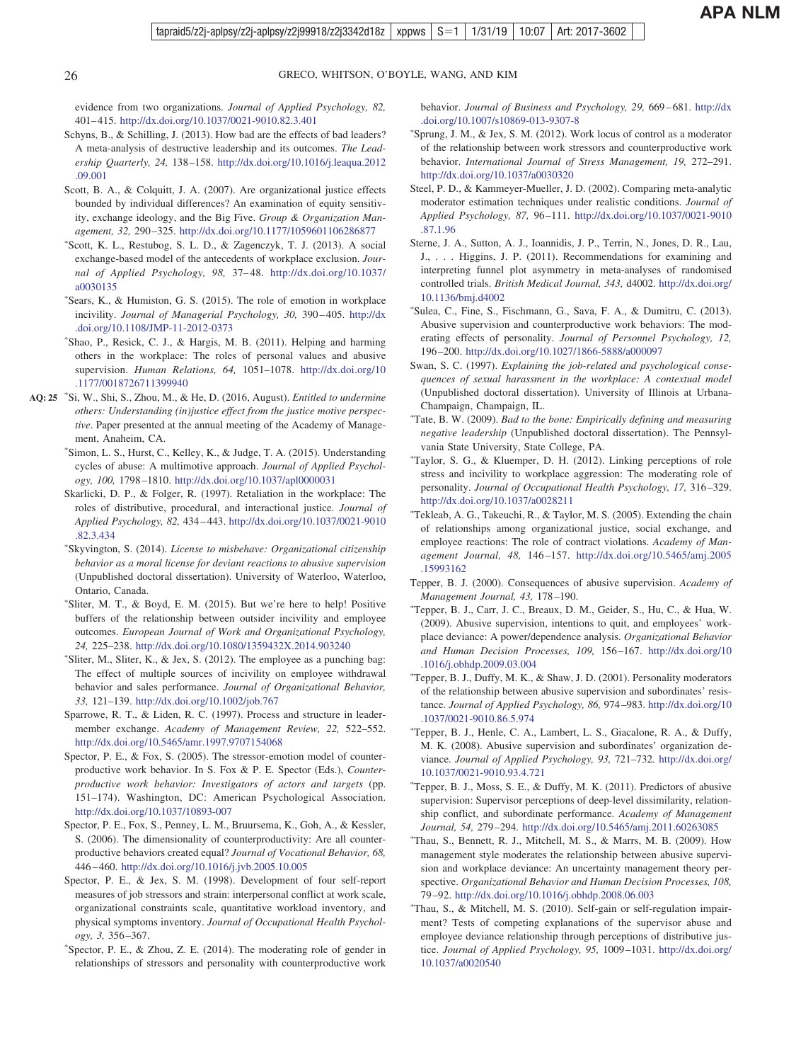evidence from two organizations. *Journal of Applied Psychology, 82,* 401– 415. <http://dx.doi.org/10.1037/0021-9010.82.3.401>

- Schyns, B., & Schilling, J. (2013). How bad are the effects of bad leaders? A meta-analysis of destructive leadership and its outcomes. *The Leadership Quarterly, 24,* 138 –158. [http://dx.doi.org/10.1016/j.leaqua.2012](http://dx.doi.org/10.1016/j.leaqua.2012.09.001) [.09.001](http://dx.doi.org/10.1016/j.leaqua.2012.09.001)
- Scott, B. A., & Colquitt, J. A. (2007). Are organizational justice effects bounded by individual differences? An examination of equity sensitivity, exchange ideology, and the Big Five. *Group & Organization Management, 32,* 290 –325. <http://dx.doi.org/10.1177/1059601106286877>
- Scott, K. L., Restubog, S. L. D., & Zagenczyk, T. J. (2013). A social exchange-based model of the antecedents of workplace exclusion. *Journal of Applied Psychology, 98,* 37– 48. [http://dx.doi.org/10.1037/](http://dx.doi.org/10.1037/a0030135) [a0030135](http://dx.doi.org/10.1037/a0030135)
- Sears, K., & Humiston, G. S. (2015). The role of emotion in workplace incivility. *Journal of Managerial Psychology, 30,* 390 – 405. [http://dx](http://dx.doi.org/10.1108/JMP-11-2012-0373) [.doi.org/10.1108/JMP-11-2012-0373](http://dx.doi.org/10.1108/JMP-11-2012-0373)
- Shao, P., Resick, C. J., & Hargis, M. B. (2011). Helping and harming others in the workplace: The roles of personal values and abusive supervision. *Human Relations, 64,* 1051–1078. [http://dx.doi.org/10](http://dx.doi.org/10.1177/0018726711399940) [.1177/0018726711399940](http://dx.doi.org/10.1177/0018726711399940)
- Si, W., Shi, S., Zhou, M., & He, D. (2016, August). *Entitled to undermine* **AQ: 25** *others: Understanding (in)justice effect from the justice motive perspective*. Paper presented at the annual meeting of the Academy of Management, Anaheim, CA.
	- Simon, L. S., Hurst, C., Kelley, K., & Judge, T. A. (2015). Understanding cycles of abuse: A multimotive approach. *Journal of Applied Psychology, 100,* 1798 –1810. <http://dx.doi.org/10.1037/apl0000031>
	- Skarlicki, D. P., & Folger, R. (1997). Retaliation in the workplace: The roles of distributive, procedural, and interactional justice. *Journal of Applied Psychology, 82,* 434 – 443. [http://dx.doi.org/10.1037/0021-9010](http://dx.doi.org/10.1037/0021-9010.82.3.434) [.82.3.434](http://dx.doi.org/10.1037/0021-9010.82.3.434)
	- Skyvington, S. (2014). *License to misbehave: Organizational citizenship behavior as a moral license for deviant reactions to abusive supervision* (Unpublished doctoral dissertation). University of Waterloo, Waterloo, Ontario, Canada.
	- Sliter, M. T., & Boyd, E. M. (2015). But we're here to help! Positive buffers of the relationship between outsider incivility and employee outcomes. *European Journal of Work and Organizational Psychology, 24,* 225–238. <http://dx.doi.org/10.1080/1359432X.2014.903240>
	- Sliter, M., Sliter, K., & Jex, S. (2012). The employee as a punching bag: The effect of multiple sources of incivility on employee withdrawal behavior and sales performance. *Journal of Organizational Behavior, 33,* 121–139. <http://dx.doi.org/10.1002/job.767>
	- Sparrowe, R. T., & Liden, R. C. (1997). Process and structure in leadermember exchange. *Academy of Management Review, 22,* 522–552. <http://dx.doi.org/10.5465/amr.1997.9707154068>
	- Spector, P. E., & Fox, S. (2005). The stressor-emotion model of counterproductive work behavior. In S. Fox & P. E. Spector (Eds.), *Counterproductive work behavior: Investigators of actors and targets* (pp. 151–174). Washington, DC: American Psychological Association. <http://dx.doi.org/10.1037/10893-007>
	- Spector, P. E., Fox, S., Penney, L. M., Bruursema, K., Goh, A., & Kessler, S. (2006). The dimensionality of counterproductivity: Are all counterproductive behaviors created equal? *Journal of Vocational Behavior, 68,* 446 – 460. <http://dx.doi.org/10.1016/j.jvb.2005.10.005>
	- Spector, P. E., & Jex, S. M. (1998). Development of four self-report measures of job stressors and strain: interpersonal conflict at work scale, organizational constraints scale, quantitative workload inventory, and physical symptoms inventory. *Journal of Occupational Health Psychology, 3,* 356 –367.
	- Spector, P. E., & Zhou, Z. E. (2014). The moderating role of gender in relationships of stressors and personality with counterproductive work

behavior. *Journal of Business and Psychology, 29,* 669 – 681. [http://dx](http://dx.doi.org/10.1007/s10869-013-9307-8) [.doi.org/10.1007/s10869-013-9307-8](http://dx.doi.org/10.1007/s10869-013-9307-8)

- Sprung, J. M., & Jex, S. M. (2012). Work locus of control as a moderator of the relationship between work stressors and counterproductive work behavior. *International Journal of Stress Management, 19,* 272–291. <http://dx.doi.org/10.1037/a0030320>
- Steel, P. D., & Kammeyer-Mueller, J. D. (2002). Comparing meta-analytic moderator estimation techniques under realistic conditions. *Journal of Applied Psychology, 87,* 96 –111. [http://dx.doi.org/10.1037/0021-9010](http://dx.doi.org/10.1037/0021-9010.87.1.96) [.87.1.96](http://dx.doi.org/10.1037/0021-9010.87.1.96)
- Sterne, J. A., Sutton, A. J., Ioannidis, J. P., Terrin, N., Jones, D. R., Lau, J., . . . Higgins, J. P. (2011). Recommendations for examining and interpreting funnel plot asymmetry in meta-analyses of randomised controlled trials. *British Medical Journal, 343,* d4002. [http://dx.doi.org/](http://dx.doi.org/10.1136/bmj.d4002) [10.1136/bmj.d4002](http://dx.doi.org/10.1136/bmj.d4002)
- Sulea, C., Fine, S., Fischmann, G., Sava, F. A., & Dumitru, C. (2013). Abusive supervision and counterproductive work behaviors: The moderating effects of personality. *Journal of Personnel Psychology, 12,* 196 –200. <http://dx.doi.org/10.1027/1866-5888/a000097>
- Swan, S. C. (1997). *Explaining the job-related and psychological consequences of sexual harassment in the workplace: A contextual model* (Unpublished doctoral dissertation). University of Illinois at Urbana-Champaign, Champaign, IL.
- Tate, B. W. (2009). *Bad to the bone: Empirically defining and measuring negative leadership* (Unpublished doctoral dissertation). The Pennsylvania State University, State College, PA.
- Taylor, S. G., & Kluemper, D. H. (2012). Linking perceptions of role stress and incivility to workplace aggression: The moderating role of personality. *Journal of Occupational Health Psychology, 17,* 316 –329. <http://dx.doi.org/10.1037/a0028211>
- Tekleab, A. G., Takeuchi, R., & Taylor, M. S. (2005). Extending the chain of relationships among organizational justice, social exchange, and employee reactions: The role of contract violations. *Academy of Management Journal, 48,* 146 –157. [http://dx.doi.org/10.5465/amj.2005](http://dx.doi.org/10.5465/amj.2005.15993162) [.15993162](http://dx.doi.org/10.5465/amj.2005.15993162)
- Tepper, B. J. (2000). Consequences of abusive supervision. *Academy of Management Journal, 43,* 178 –190.
- Tepper, B. J., Carr, J. C., Breaux, D. M., Geider, S., Hu, C., & Hua, W. (2009). Abusive supervision, intentions to quit, and employees' workplace deviance: A power/dependence analysis. *Organizational Behavior and Human Decision Processes, 109,* 156 –167. [http://dx.doi.org/10](http://dx.doi.org/10.1016/j.obhdp.2009.03.004) [.1016/j.obhdp.2009.03.004](http://dx.doi.org/10.1016/j.obhdp.2009.03.004)
- Tepper, B. J., Duffy, M. K., & Shaw, J. D. (2001). Personality moderators of the relationship between abusive supervision and subordinates' resistance. *Journal of Applied Psychology, 86,* 974 –983. [http://dx.doi.org/10](http://dx.doi.org/10.1037/0021-9010.86.5.974) [.1037/0021-9010.86.5.974](http://dx.doi.org/10.1037/0021-9010.86.5.974)
- Tepper, B. J., Henle, C. A., Lambert, L. S., Giacalone, R. A., & Duffy, M. K. (2008). Abusive supervision and subordinates' organization deviance. *Journal of Applied Psychology, 93,* 721–732. [http://dx.doi.org/](http://dx.doi.org/10.1037/0021-9010.93.4.721) [10.1037/0021-9010.93.4.721](http://dx.doi.org/10.1037/0021-9010.93.4.721)
- Tepper, B. J., Moss, S. E., & Duffy, M. K. (2011). Predictors of abusive supervision: Supervisor perceptions of deep-level dissimilarity, relationship conflict, and subordinate performance. *Academy of Management Journal, 54,* 279 –294. <http://dx.doi.org/10.5465/amj.2011.60263085>
- Thau, S., Bennett, R. J., Mitchell, M. S., & Marrs, M. B. (2009). How management style moderates the relationship between abusive supervision and workplace deviance: An uncertainty management theory perspective. *Organizational Behavior and Human Decision Processes, 108,* 79 –92. <http://dx.doi.org/10.1016/j.obhdp.2008.06.003>
- Thau, S., & Mitchell, M. S. (2010). Self-gain or self-regulation impairment? Tests of competing explanations of the supervisor abuse and employee deviance relationship through perceptions of distributive justice. *Journal of Applied Psychology, 95,* 1009 –1031. [http://dx.doi.org/](http://dx.doi.org/10.1037/a0020540) [10.1037/a0020540](http://dx.doi.org/10.1037/a0020540)

<span id="page-25-0"></span>

 $\frac{1}{\sqrt{2}}$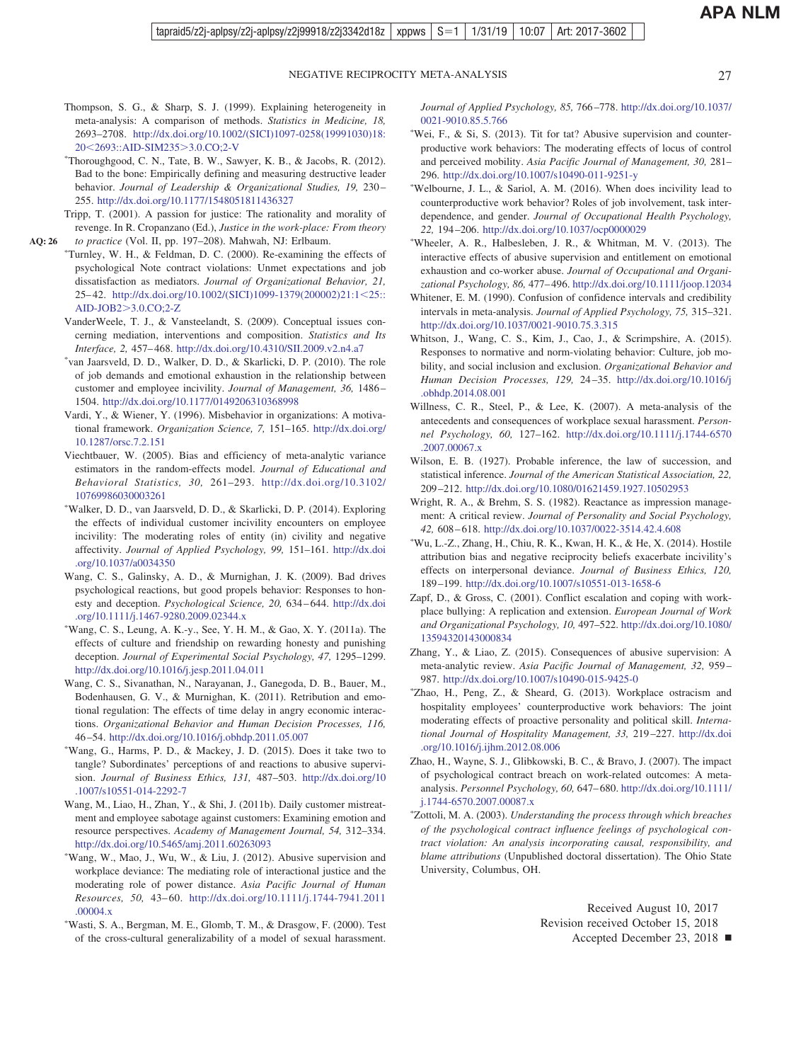- <span id="page-26-0"></span>Thompson, S. G., & Sharp, S. J. (1999). Explaining heterogeneity in meta-analysis: A comparison of methods. *Statistics in Medicine, 18,* 2693–2708. [http://dx.doi.org/10.1002/\(SICI\)1097-0258\(19991030\)18:](http://dx.doi.org/10.1002/%28SICI%291097-0258%2819991030%2918:20%3C2693::AID-SIM235%3E3.0.CO;2-V) 20<[2693::AID-SIM235](http://dx.doi.org/10.1002/%28SICI%291097-0258%2819991030%2918:20%3C2693::AID-SIM235%3E3.0.CO;2-V)>3.0.CO;2-V
- Thoroughgood, C. N., Tate, B. W., Sawyer, K. B., & Jacobs, R. (2012). Bad to the bone: Empirically defining and measuring destructive leader behavior. *Journal of Leadership & Organizational Studies, 19, 230*-255. <http://dx.doi.org/10.1177/1548051811436327>
- Tripp, T. (2001). A passion for justice: The rationality and morality of revenge. In R. Cropanzano (Ed.), *Justice in the work-place: From theory to practice* (Vol. II, pp. 197–208). Mahwah, NJ: Erlbaum. **AQ: 26**
	- -Turnley, W. H., & Feldman, D. C. (2000). Re-examining the effects of psychological Note contract violations: Unmet expectations and job dissatisfaction as mediators. *Journal of Organizational Behavior, 21,* 25–42. [http://dx.doi.org/10.1002/\(SICI\)1099-1379\(200002\)21:1](http://dx.doi.org/10.1002/%28SICI%291099-1379%28200002%2921:1%3C25::AID-JOB2%3E3.0.CO;2-Z)<25:: AID-JOB2>[3.0.CO;2-Z](http://dx.doi.org/10.1002/%28SICI%291099-1379%28200002%2921:1%3C25::AID-JOB2%3E3.0.CO;2-Z)
		- VanderWeele, T. J., & Vansteelandt, S. (2009). Conceptual issues concerning mediation, interventions and composition. *Statistics and Its Interface, 2,* 457– 468. <http://dx.doi.org/10.4310/SII.2009.v2.n4.a7>
		- van Jaarsveld, D. D., Walker, D. D., & Skarlicki, D. P. (2010). The role of job demands and emotional exhaustion in the relationship between customer and employee incivility. *Journal of Management, 36,* 1486 – 1504. <http://dx.doi.org/10.1177/0149206310368998>
		- Vardi, Y., & Wiener, Y. (1996). Misbehavior in organizations: A motivational framework. *Organization Science, 7,* 151–165. [http://dx.doi.org/](http://dx.doi.org/10.1287/orsc.7.2.151) [10.1287/orsc.7.2.151](http://dx.doi.org/10.1287/orsc.7.2.151)
		- Viechtbauer, W. (2005). Bias and efficiency of meta-analytic variance estimators in the random-effects model. *Journal of Educational and Behavioral Statistics, 30,* 261–293. [http://dx.doi.org/10.3102/](http://dx.doi.org/10.3102/10769986030003261) [10769986030003261](http://dx.doi.org/10.3102/10769986030003261)
		- Walker, D. D., van Jaarsveld, D. D., & Skarlicki, D. P. (2014). Exploring the effects of individual customer incivility encounters on employee incivility: The moderating roles of entity (in) civility and negative affectivity. *Journal of Applied Psychology, 99,* 151–161. [http://dx.doi](http://dx.doi.org/10.1037/a0034350) [.org/10.1037/a0034350](http://dx.doi.org/10.1037/a0034350)
		- Wang, C. S., Galinsky, A. D., & Murnighan, J. K. (2009). Bad drives psychological reactions, but good propels behavior: Responses to honesty and deception. *Psychological Science, 20,* 634 – 644. [http://dx.doi](http://dx.doi.org/10.1111/j.1467-9280.2009.02344.x) [.org/10.1111/j.1467-9280.2009.02344.x](http://dx.doi.org/10.1111/j.1467-9280.2009.02344.x)
		- Wang, C. S., Leung, A. K.-y., See, Y. H. M., & Gao, X. Y. (2011a). The effects of culture and friendship on rewarding honesty and punishing deception. *Journal of Experimental Social Psychology, 47,* 1295–1299. <http://dx.doi.org/10.1016/j.jesp.2011.04.011>
		- Wang, C. S., Sivanathan, N., Narayanan, J., Ganegoda, D. B., Bauer, M., Bodenhausen, G. V., & Murnighan, K. (2011). Retribution and emotional regulation: The effects of time delay in angry economic interactions. *Organizational Behavior and Human Decision Processes, 116,* 46 –54. <http://dx.doi.org/10.1016/j.obhdp.2011.05.007>
		- Wang, G., Harms, P. D., & Mackey, J. D. (2015). Does it take two to tangle? Subordinates' perceptions of and reactions to abusive supervision. *Journal of Business Ethics, 131,* 487–503. [http://dx.doi.org/10](http://dx.doi.org/10.1007/s10551-014-2292-7) [.1007/s10551-014-2292-7](http://dx.doi.org/10.1007/s10551-014-2292-7)
		- Wang, M., Liao, H., Zhan, Y., & Shi, J. (2011b). Daily customer mistreatment and employee sabotage against customers: Examining emotion and resource perspectives. *Academy of Management Journal, 54,* 312–334. <http://dx.doi.org/10.5465/amj.2011.60263093>
		- -Wang, W., Mao, J., Wu, W., & Liu, J. (2012). Abusive supervision and workplace deviance: The mediating role of interactional justice and the moderating role of power distance. *Asia Pacific Journal of Human Resources, 50,* 43– 60. [http://dx.doi.org/10.1111/j.1744-7941.2011](http://dx.doi.org/10.1111/j.1744-7941.2011.00004.x) [.00004.x](http://dx.doi.org/10.1111/j.1744-7941.2011.00004.x)
		- Wasti, S. A., Bergman, M. E., Glomb, T. M., & Drasgow, F. (2000). Test of the cross-cultural generalizability of a model of sexual harassment.

*Journal of Applied Psychology, 85,* 766 –778. [http://dx.doi.org/10.1037/](http://dx.doi.org/10.1037/0021-9010.85.5.766) [0021-9010.85.5.766](http://dx.doi.org/10.1037/0021-9010.85.5.766)

- \*Wei, F., & Si, S. (2013). Tit for tat? Abusive supervision and counterproductive work behaviors: The moderating effects of locus of control and perceived mobility. *Asia Pacific Journal of Management, 30,* 281– 296. <http://dx.doi.org/10.1007/s10490-011-9251-y>
- \*Welbourne, J. L., & Sariol, A. M. (2016). When does incivility lead to counterproductive work behavior? Roles of job involvement, task interdependence, and gender. *Journal of Occupational Health Psychology, 22,* 194 –206. <http://dx.doi.org/10.1037/ocp0000029>
- Wheeler, A. R., Halbesleben, J. R., & Whitman, M. V. (2013). The interactive effects of abusive supervision and entitlement on emotional exhaustion and co-worker abuse. *Journal of Occupational and Organizational Psychology, 86,* 477– 496. <http://dx.doi.org/10.1111/joop.12034>
- Whitener, E. M. (1990). Confusion of confidence intervals and credibility intervals in meta-analysis. *Journal of Applied Psychology, 75,* 315–321. <http://dx.doi.org/10.1037/0021-9010.75.3.315>
- Whitson, J., Wang, C. S., Kim, J., Cao, J., & Scrimpshire, A. (2015). Responses to normative and norm-violating behavior: Culture, job mobility, and social inclusion and exclusion. *Organizational Behavior and Human Decision Processes, 129,* 24 –35. [http://dx.doi.org/10.1016/j](http://dx.doi.org/10.1016/j.obhdp.2014.08.001) [.obhdp.2014.08.001](http://dx.doi.org/10.1016/j.obhdp.2014.08.001)
- Willness, C. R., Steel, P., & Lee, K. (2007). A meta-analysis of the antecedents and consequences of workplace sexual harassment. *Personnel Psychology, 60,* 127–162. [http://dx.doi.org/10.1111/j.1744-6570](http://dx.doi.org/10.1111/j.1744-6570.2007.00067.x) [.2007.00067.x](http://dx.doi.org/10.1111/j.1744-6570.2007.00067.x)
- Wilson, E. B. (1927). Probable inference, the law of succession, and statistical inference. *Journal of the American Statistical Association, 22,* 209 –212. <http://dx.doi.org/10.1080/01621459.1927.10502953>
- Wright, R. A., & Brehm, S. S. (1982). Reactance as impression management: A critical review. *Journal of Personality and Social Psychology, 42,* 608 – 618. <http://dx.doi.org/10.1037/0022-3514.42.4.608>
- Wu, L.-Z., Zhang, H., Chiu, R. K., Kwan, H. K., & He, X. (2014). Hostile attribution bias and negative reciprocity beliefs exacerbate incivility's effects on interpersonal deviance. *Journal of Business Ethics, 120,* 189 –199. <http://dx.doi.org/10.1007/s10551-013-1658-6>
- Zapf, D., & Gross, C. (2001). Conflict escalation and coping with workplace bullying: A replication and extension. *European Journal of Work and Organizational Psychology, 10,* 497–522. [http://dx.doi.org/10.1080/](http://dx.doi.org/10.1080/13594320143000834) [13594320143000834](http://dx.doi.org/10.1080/13594320143000834)
- Zhang, Y., & Liao, Z. (2015). Consequences of abusive supervision: A meta-analytic review. *Asia Pacific Journal of Management, 32,* 959 – 987. <http://dx.doi.org/10.1007/s10490-015-9425-0>
- Zhao, H., Peng, Z., & Sheard, G. (2013). Workplace ostracism and hospitality employees' counterproductive work behaviors: The joint moderating effects of proactive personality and political skill. *International Journal of Hospitality Management, 33,* 219 –227. [http://dx.doi](http://dx.doi.org/10.1016/j.ijhm.2012.08.006) [.org/10.1016/j.ijhm.2012.08.006](http://dx.doi.org/10.1016/j.ijhm.2012.08.006)
- Zhao, H., Wayne, S. J., Glibkowski, B. C., & Bravo, J. (2007). The impact of psychological contract breach on work-related outcomes: A metaanalysis. *Personnel Psychology, 60,* 647– 680. [http://dx.doi.org/10.1111/](http://dx.doi.org/10.1111/j.1744-6570.2007.00087.x) [j.1744-6570.2007.00087.x](http://dx.doi.org/10.1111/j.1744-6570.2007.00087.x)
- Zottoli, M. A. (2003). *Understanding the process through which breaches of the psychological contract influence feelings of psychological contract violation: An analysis incorporating causal, responsibility, and blame attributions* (Unpublished doctoral dissertation). The Ohio State University, Columbus, OH.

Received August 10, 2017 Revision received October 15, 2018

Accepted December 23, 2018 ■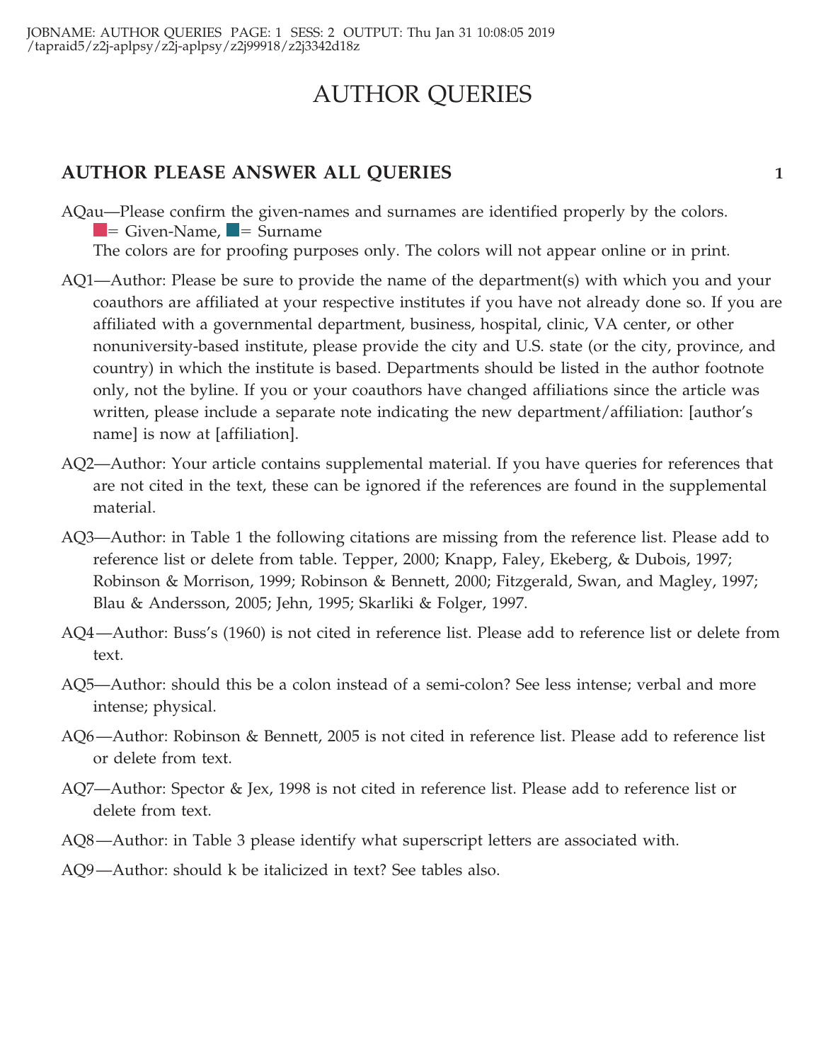# AUTHOR QUERIES

## **AUTHOR PLEASE ANSWER ALL QUERIES 1**

AQau—Please confirm the given-names and surnames are identified properly by the colors.  $=$  Given-Name,  $\blacksquare$  = Surname

The colors are for proofing purposes only. The colors will not appear online or in print.

- AQ1—Author: Please be sure to provide the name of the department(s) with which you and your coauthors are affiliated at your respective institutes if you have not already done so. If you are affiliated with a governmental department, business, hospital, clinic, VA center, or other nonuniversity-based institute, please provide the city and U.S. state (or the city, province, and country) in which the institute is based. Departments should be listed in the author footnote only, not the byline. If you or your coauthors have changed affiliations since the article was written, please include a separate note indicating the new department/affiliation: [author's name] is now at [affiliation].
- AQ2—Author: Your article contains supplemental material. If you have queries for references that are not cited in the text, these can be ignored if the references are found in the supplemental material.
- AQ3—Author: in Table 1 the following citations are missing from the reference list. Please add to reference list or delete from table. Tepper, 2000; Knapp, Faley, Ekeberg, & Dubois, 1997; Robinson & Morrison, 1999; Robinson & Bennett, 2000; Fitzgerald, Swan, and Magley, 1997; Blau & Andersson, 2005; Jehn, 1995; Skarliki & Folger, 1997.
- AQ4—Author: Buss's (1960) is not cited in reference list. Please add to reference list or delete from text.
- AQ5—Author: should this be a colon instead of a semi-colon? See less intense; verbal and more intense; physical.
- AQ6—Author: Robinson & Bennett, 2005 is not cited in reference list. Please add to reference list or delete from text.
- AQ7—Author: Spector & Jex, 1998 is not cited in reference list. Please add to reference list or delete from text.
- AQ8—Author: in Table 3 please identify what superscript letters are associated with.
- AQ9—Author: should k be italicized in text? See tables also.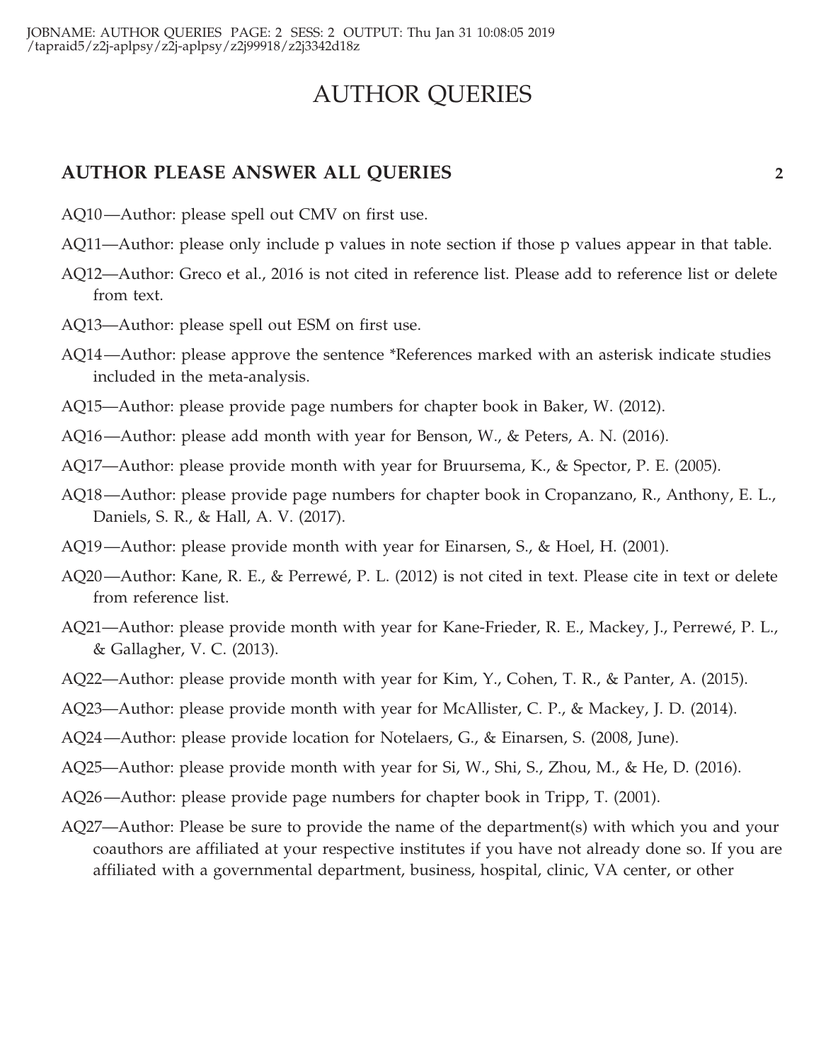# AUTHOR QUERIES

## **AUTHOR PLEASE ANSWER ALL QUERIES 2**

- AQ10—Author: please spell out CMV on first use.
- AQ11—Author: please only include p values in note section if those p values appear in that table.
- AQ12—Author: Greco et al., 2016 is not cited in reference list. Please add to reference list or delete from text.
- AQ13—Author: please spell out ESM on first use.
- AQ14—Author: please approve the sentence \*References marked with an asterisk indicate studies included in the meta-analysis.
- AQ15—Author: please provide page numbers for chapter book in Baker, W. (2012).
- AQ16—Author: please add month with year for Benson, W., & Peters, A. N. (2016).
- AQ17—Author: please provide month with year for Bruursema, K., & Spector, P. E. (2005).
- AQ18—Author: please provide page numbers for chapter book in Cropanzano, R., Anthony, E. L., Daniels, S. R., & Hall, A. V. (2017).
- AQ19—Author: please provide month with year for Einarsen, S., & Hoel, H. (2001).
- AQ20—Author: Kane, R. E., & Perrewé, P. L. (2012) is not cited in text. Please cite in text or delete from reference list.
- AQ21—Author: please provide month with year for Kane-Frieder, R. E., Mackey, J., Perrewé, P. L., & Gallagher, V. C. (2013).
- AQ22—Author: please provide month with year for Kim, Y., Cohen, T. R., & Panter, A. (2015).
- AQ23—Author: please provide month with year for McAllister, C. P., & Mackey, J. D. (2014).
- AQ24—Author: please provide location for Notelaers, G., & Einarsen, S. (2008, June).
- AQ25—Author: please provide month with year for Si, W., Shi, S., Zhou, M., & He, D. (2016).
- AQ26—Author: please provide page numbers for chapter book in Tripp, T. (2001).
- AQ27—Author: Please be sure to provide the name of the department(s) with which you and your coauthors are affiliated at your respective institutes if you have not already done so. If you are affiliated with a governmental department, business, hospital, clinic, VA center, or other